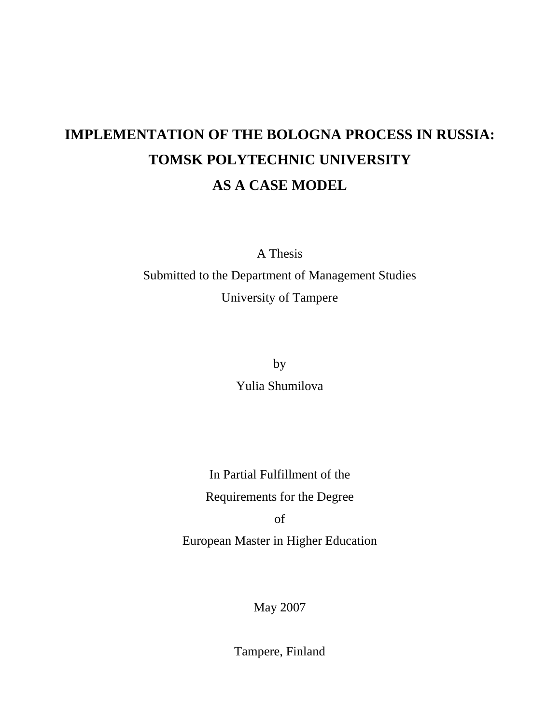# **IMPLEMENTATION OF THE BOLOGNA PROCESS IN RUSSIA: TOMSK POLYTECHNIC UNIVERSITY AS A CASE MODEL**

A Thesis

Submitted to the Department of Management Studies University of Tampere

by

Yulia Shumilova

In Partial Fulfillment of the Requirements for the Degree of

European Master in Higher Education

May 2007

Tampere, Finland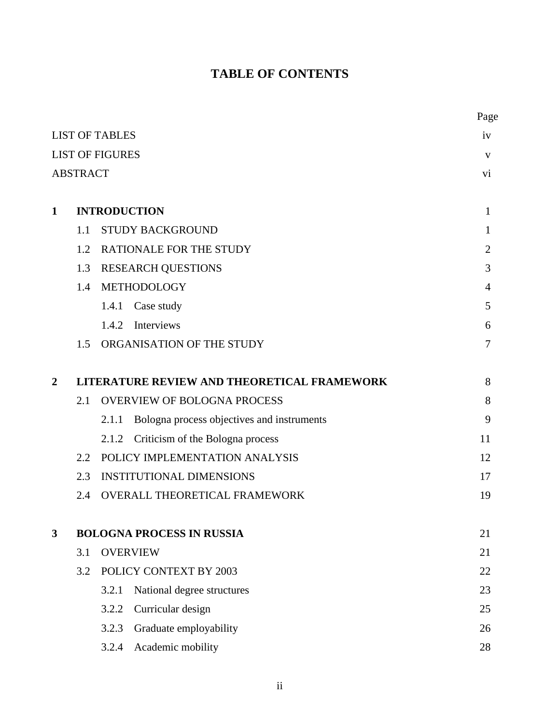# **TABLE OF CONTENTS**

|                        |                 |                                                     | Page           |
|------------------------|-----------------|-----------------------------------------------------|----------------|
|                        |                 | <b>LIST OF TABLES</b>                               | iv             |
| <b>LIST OF FIGURES</b> | V               |                                                     |                |
|                        | <b>ABSTRACT</b> |                                                     | vi             |
| 1                      |                 | <b>INTRODUCTION</b>                                 | 1              |
|                        | 1.1             | STUDY BACKGROUND                                    | 1              |
|                        | 1.2             | <b>RATIONALE FOR THE STUDY</b>                      | $\overline{2}$ |
|                        | 1.3             | <b>RESEARCH QUESTIONS</b>                           | 3              |
|                        | 1.4             | METHODOLOGY                                         | 4              |
|                        |                 | Case study<br>1.4.1                                 | 5              |
|                        |                 | Interviews<br>1.4.2                                 | 6              |
|                        | 1.5             | ORGANISATION OF THE STUDY                           | 7              |
| $\overline{2}$         |                 | LITERATURE REVIEW AND THEORETICAL FRAMEWORK         | 8              |
|                        | 2.1             | <b>OVERVIEW OF BOLOGNA PROCESS</b>                  | 8              |
|                        |                 | Bologna process objectives and instruments<br>2.1.1 | 9              |
|                        |                 | Criticism of the Bologna process<br>2.1.2           | 11             |
|                        | 2.2             | POLICY IMPLEMENTATION ANALYSIS                      | 12             |
|                        | 2.3             | <b>INSTITUTIONAL DIMENSIONS</b>                     | 17             |
|                        | 2.4             | <b>OVERALL THEORETICAL FRAMEWORK</b>                | 19             |
| $\mathbf{3}$           |                 | <b>BOLOGNA PROCESS IN RUSSIA</b>                    | 21             |
|                        | 3.1             | <b>OVERVIEW</b>                                     | 21             |
|                        | 3.2             | POLICY CONTEXT BY 2003                              | 22             |
|                        |                 | 3.2.1<br>National degree structures                 | 23             |
|                        |                 | 3.2.2<br>Curricular design                          | 25             |
|                        |                 | 3.2.3<br>Graduate employability                     | 26             |
|                        |                 | Academic mobility<br>3.2.4                          | 28             |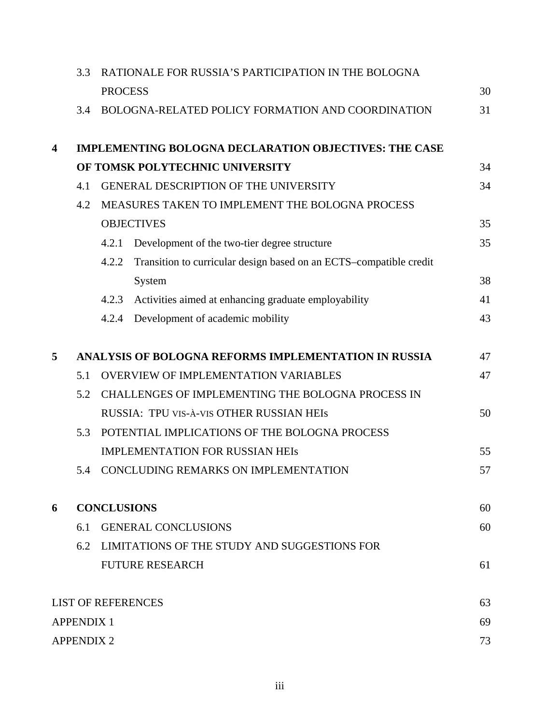|   | RATIONALE FOR RUSSIA'S PARTICIPATION IN THE BOLOGNA<br>3.3 |                   |                                                                    |    |  |
|---|------------------------------------------------------------|-------------------|--------------------------------------------------------------------|----|--|
|   |                                                            | <b>PROCESS</b>    |                                                                    | 30 |  |
|   | 3.4                                                        |                   | BOLOGNA-RELATED POLICY FORMATION AND COORDINATION                  | 31 |  |
| 4 |                                                            |                   | <b>IMPLEMENTING BOLOGNA DECLARATION OBJECTIVES: THE CASE</b>       |    |  |
|   |                                                            |                   | OF TOMSK POLYTECHNIC UNIVERSITY                                    | 34 |  |
|   | 4.1                                                        |                   | <b>GENERAL DESCRIPTION OF THE UNIVERSITY</b>                       | 34 |  |
|   | 4.2                                                        |                   | MEASURES TAKEN TO IMPLEMENT THE BOLOGNA PROCESS                    |    |  |
|   |                                                            | <b>OBJECTIVES</b> |                                                                    | 35 |  |
|   |                                                            | 4.2.1             | Development of the two-tier degree structure                       | 35 |  |
|   |                                                            | 4.2.2             | Transition to curricular design based on an ECTS-compatible credit |    |  |
|   |                                                            |                   | System                                                             | 38 |  |
|   |                                                            | 4.2.3             | Activities aimed at enhancing graduate employability               | 41 |  |
|   |                                                            | 4.2.4             | Development of academic mobility                                   | 43 |  |
| 5 |                                                            |                   | ANALYSIS OF BOLOGNA REFORMS IMPLEMENTATION IN RUSSIA               | 47 |  |
|   | 5.1                                                        |                   | <b>OVERVIEW OF IMPLEMENTATION VARIABLES</b>                        | 47 |  |
|   | 5.2                                                        |                   | CHALLENGES OF IMPLEMENTING THE BOLOGNA PROCESS IN                  |    |  |
|   |                                                            |                   | RUSSIA: TPU VIS-À-VIS OTHER RUSSIAN HEIS                           | 50 |  |
|   | 5.3                                                        |                   | POTENTIAL IMPLICATIONS OF THE BOLOGNA PROCESS                      |    |  |
|   |                                                            |                   | <b>IMPLEMENTATION FOR RUSSIAN HEIS</b>                             | 55 |  |
|   | 5.4                                                        |                   | CONCLUDING REMARKS ON IMPLEMENTATION                               | 57 |  |
| 6 | <b>CONCLUSIONS</b>                                         |                   |                                                                    | 60 |  |
|   | 6.1                                                        |                   | <b>GENERAL CONCLUSIONS</b>                                         | 60 |  |
|   | 6.2                                                        |                   | LIMITATIONS OF THE STUDY AND SUGGESTIONS FOR                       |    |  |
|   |                                                            |                   | <b>FUTURE RESEARCH</b>                                             | 61 |  |
|   |                                                            |                   | <b>LIST OF REFERENCES</b>                                          | 63 |  |
|   | <b>APPENDIX 1</b>                                          |                   |                                                                    |    |  |
|   | <b>APPENDIX 2</b>                                          |                   |                                                                    | 73 |  |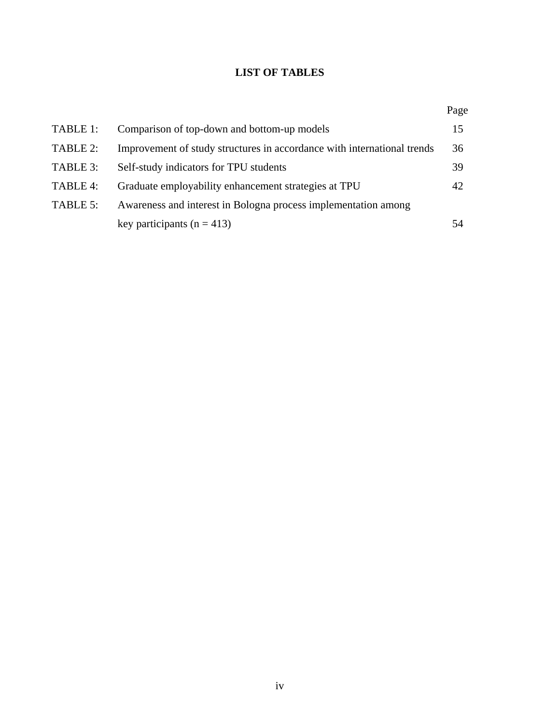# **LIST OF TABLES**

|          |                                                                         | Page |
|----------|-------------------------------------------------------------------------|------|
| TABLE 1: | Comparison of top-down and bottom-up models                             | 15   |
| TABLE 2: | Improvement of study structures in accordance with international trends | 36   |
| TABLE 3: | Self-study indicators for TPU students                                  | 39   |
| TABLE 4: | Graduate employability enhancement strategies at TPU                    | 42   |
| TABLE 5: | Awareness and interest in Bologna process implementation among          |      |
|          | key participants ( $n = 413$ )                                          | 54   |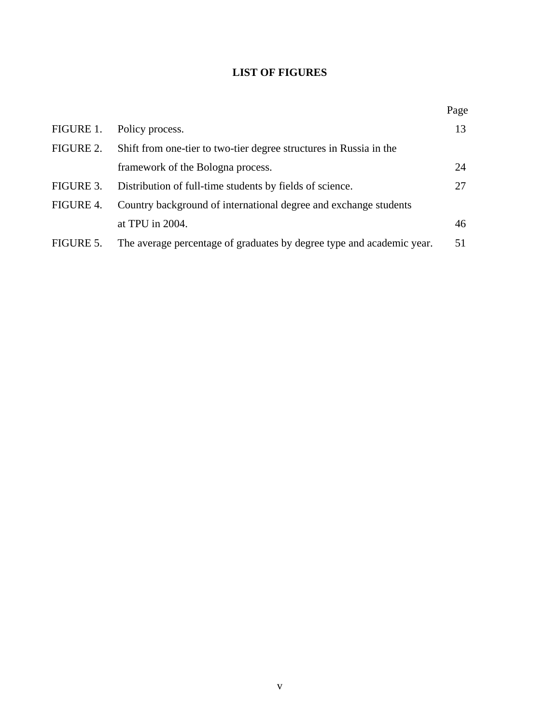# **LIST OF FIGURES**

|           |                                                                       | Page |
|-----------|-----------------------------------------------------------------------|------|
| FIGURE 1. | Policy process.                                                       | 13   |
| FIGURE 2. | Shift from one-tier to two-tier degree structures in Russia in the    |      |
|           | framework of the Bologna process.                                     | 24   |
| FIGURE 3. | Distribution of full-time students by fields of science.              | 27   |
| FIGURE 4. | Country background of international degree and exchange students      |      |
|           | at TPU in 2004.                                                       | 46   |
| FIGURE 5. | The average percentage of graduates by degree type and academic year. | 51   |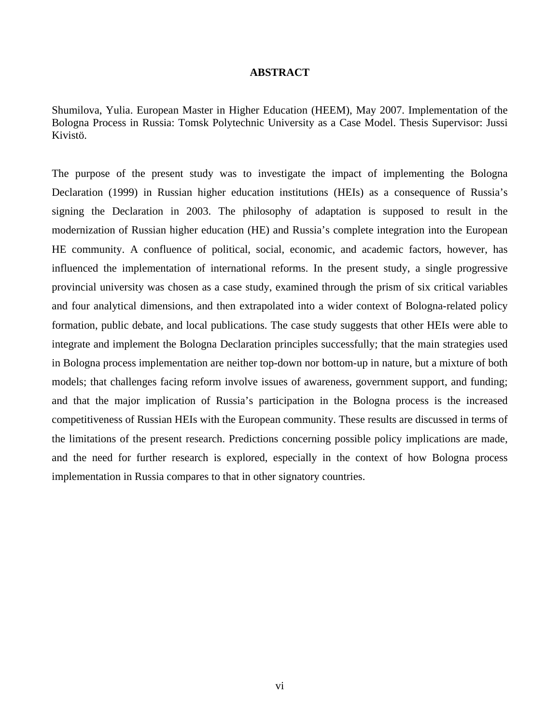### **ABSTRACT**

Shumilova, Yulia. European Master in Higher Education (HEEM), May 2007. Implementation of the Bologna Process in Russia: Tomsk Polytechnic University as a Case Model. Thesis Supervisor: Jussi Kivistö.

The purpose of the present study was to investigate the impact of implementing the Bologna Declaration (1999) in Russian higher education institutions (HEIs) as a consequence of Russia's signing the Declaration in 2003. The philosophy of adaptation is supposed to result in the modernization of Russian higher education (HE) and Russia's complete integration into the European HE community. A confluence of political, social, economic, and academic factors, however, has influenced the implementation of international reforms. In the present study, a single progressive provincial university was chosen as a case study, examined through the prism of six critical variables and four analytical dimensions, and then extrapolated into a wider context of Bologna-related policy formation, public debate, and local publications. The case study suggests that other HEIs were able to integrate and implement the Bologna Declaration principles successfully; that the main strategies used in Bologna process implementation are neither top-down nor bottom-up in nature, but a mixture of both models; that challenges facing reform involve issues of awareness, government support, and funding; and that the major implication of Russia's participation in the Bologna process is the increased competitiveness of Russian HEIs with the European community. These results are discussed in terms of the limitations of the present research. Predictions concerning possible policy implications are made, and the need for further research is explored, especially in the context of how Bologna process implementation in Russia compares to that in other signatory countries.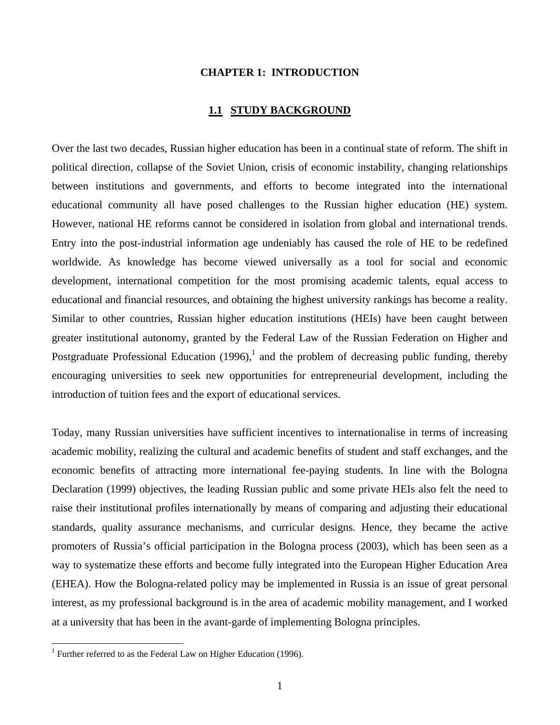#### **CHAPTER 1: INTRODUCTION**

### **1.1 STUDY BACKGROUND**

Over the last two decades, Russian higher education has been in a continual state of reform. The shift in political direction, collapse of the Soviet Union, crisis of economic instability, changing relationships between institutions and governments, and efforts to become integrated into the international educational community all have posed challenges to the Russian higher education (HE) system. However, national HE reforms cannot be considered in isolation from global and international trends. Entry into the post-industrial information age undeniably has caused the role of HE to be redefined worldwide. As knowledge has become viewed universally as a tool for social and economic development, international competition for the most promising academic talents, equal access to educational and financial resources, and obtaining the highest university rankings has become a reality. Similar to other countries, Russian higher education institutions (HEIs) have been caught between greater institutional autonomy, granted by the Federal Law of the Russian Federation on Higher and Postgraduate Professional Education (1996),<sup>1</sup> and the problem of decreasing public funding, thereby encouraging universities to seek new opportunities for entrepreneurial development, including the introduction of tuition fees and the export of educational services.

Today, many Russian universities have sufficient incentives to internationalise in terms of increasing academic mobility, realizing the cultural and academic benefits of student and staff exchanges, and the economic benefits of attracting more international fee-paying students. In line with the Bologna Declaration (1999) objectives, the leading Russian public and some private HEIs also felt the need to raise their institutional profiles internationally by means of comparing and adjusting their educational standards, quality assurance mechanisms, and curricular designs. Hence, they became the active promoters of Russia's official participation in the Bologna process (2003), which has been seen as a way to systematize these efforts and become fully integrated into the European Higher Education Area (EHEA). How the Bologna-related policy may be implemented in Russia is an issue of great personal interest, as my professional background is in the area of academic mobility management, and I worked at a university that has been in the avant-garde of implementing Bologna principles.

l

<sup>&</sup>lt;sup>1</sup> Further referred to as the Federal Law on Higher Education (1996).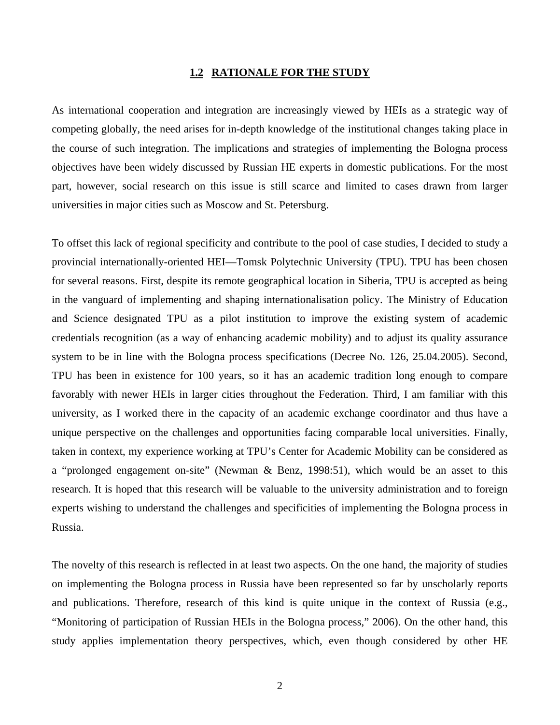# **1.2 RATIONALE FOR THE STUDY**

As international cooperation and integration are increasingly viewed by HEIs as a strategic way of competing globally, the need arises for in-depth knowledge of the institutional changes taking place in the course of such integration. The implications and strategies of implementing the Bologna process objectives have been widely discussed by Russian HE experts in domestic publications. For the most part, however, social research on this issue is still scarce and limited to cases drawn from larger universities in major cities such as Moscow and St. Petersburg.

To offset this lack of regional specificity and contribute to the pool of case studies, I decided to study a provincial internationally-oriented HEI—Tomsk Polytechnic University (TPU). TPU has been chosen for several reasons. First, despite its remote geographical location in Siberia, TPU is accepted as being in the vanguard of implementing and shaping internationalisation policy. The Ministry of Education and Science designated TPU as a pilot institution to improve the existing system of academic credentials recognition (as a way of enhancing academic mobility) and to adjust its quality assurance system to be in line with the Bologna process specifications (Decree No. 126, 25.04.2005). Second, TPU has been in existence for 100 years, so it has an academic tradition long enough to compare favorably with newer HEIs in larger cities throughout the Federation. Third, I am familiar with this university, as I worked there in the capacity of an academic exchange coordinator and thus have a unique perspective on the challenges and opportunities facing comparable local universities. Finally, taken in context, my experience working at TPU's Center for Academic Mobility can be considered as a "prolonged engagement on-site" (Newman & Benz, 1998:51), which would be an asset to this research. It is hoped that this research will be valuable to the university administration and to foreign experts wishing to understand the challenges and specificities of implementing the Bologna process in Russia.

The novelty of this research is reflected in at least two aspects. On the one hand, the majority of studies on implementing the Bologna process in Russia have been represented so far by unscholarly reports and publications. Therefore, research of this kind is quite unique in the context of Russia (e.g., "Monitoring of participation of Russian HEIs in the Bologna process," 2006). On the other hand, this study applies implementation theory perspectives, which, even though considered by other HE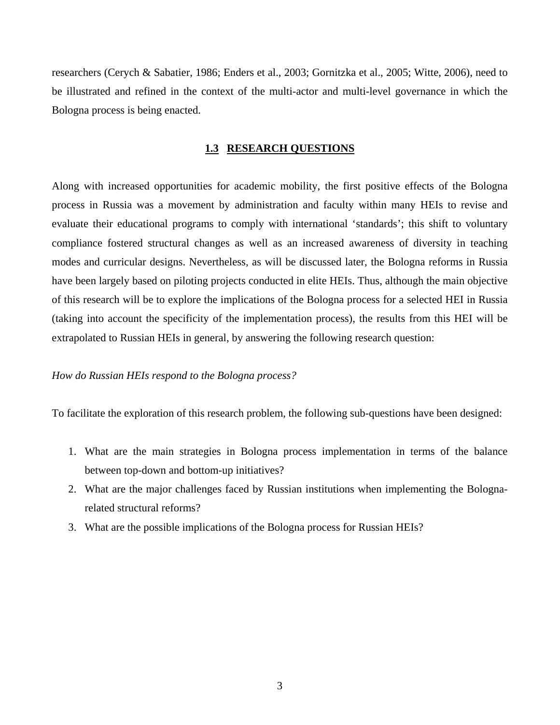researchers (Cerych & Sabatier, 1986; Enders et al., 2003; Gornitzka et al., 2005; Witte, 2006), need to be illustrated and refined in the context of the multi-actor and multi-level governance in which the Bologna process is being enacted.

### **1.3 RESEARCH QUESTIONS**

Along with increased opportunities for academic mobility, the first positive effects of the Bologna process in Russia was a movement by administration and faculty within many HEIs to revise and evaluate their educational programs to comply with international 'standards'; this shift to voluntary compliance fostered structural changes as well as an increased awareness of diversity in teaching modes and curricular designs. Nevertheless, as will be discussed later, the Bologna reforms in Russia have been largely based on piloting projects conducted in elite HEIs. Thus, although the main objective of this research will be to explore the implications of the Bologna process for a selected HEI in Russia (taking into account the specificity of the implementation process), the results from this HEI will be extrapolated to Russian HEIs in general, by answering the following research question:

### *How do Russian HEIs respond to the Bologna process?*

To facilitate the exploration of this research problem, the following sub-questions have been designed:

- 1. What are the main strategies in Bologna process implementation in terms of the balance between top-down and bottom-up initiatives?
- 2. What are the major challenges faced by Russian institutions when implementing the Bolognarelated structural reforms?
- 3. What are the possible implications of the Bologna process for Russian HEIs?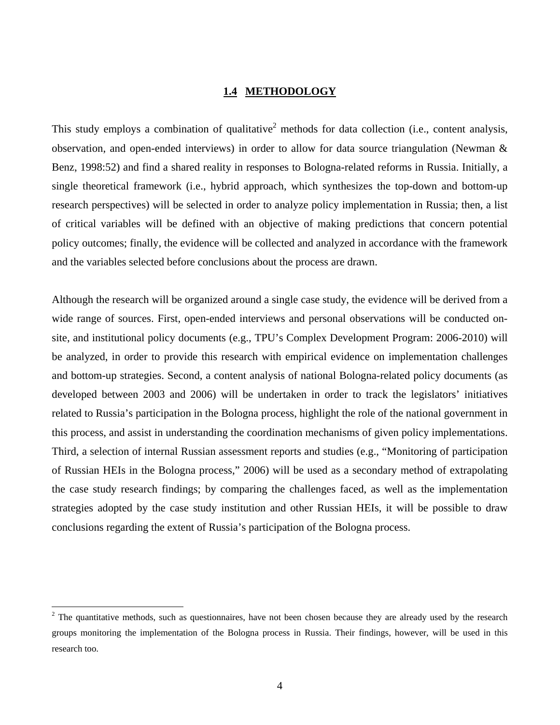# **1.4 METHODOLOGY**

This study employs a combination of qualitative<sup>2</sup> methods for data collection (i.e., content analysis, observation, and open-ended interviews) in order to allow for data source triangulation (Newman & Benz, 1998:52) and find a shared reality in responses to Bologna-related reforms in Russia. Initially, a single theoretical framework (i.e., hybrid approach, which synthesizes the top-down and bottom-up research perspectives) will be selected in order to analyze policy implementation in Russia; then, a list of critical variables will be defined with an objective of making predictions that concern potential policy outcomes; finally, the evidence will be collected and analyzed in accordance with the framework and the variables selected before conclusions about the process are drawn.

Although the research will be organized around a single case study, the evidence will be derived from a wide range of sources. First, open-ended interviews and personal observations will be conducted onsite, and institutional policy documents (e.g., TPU's Complex Development Program: 2006-2010) will be analyzed, in order to provide this research with empirical evidence on implementation challenges and bottom-up strategies. Second, a content analysis of national Bologna-related policy documents (as developed between 2003 and 2006) will be undertaken in order to track the legislators' initiatives related to Russia's participation in the Bologna process, highlight the role of the national government in this process, and assist in understanding the coordination mechanisms of given policy implementations. Third, a selection of internal Russian assessment reports and studies (e.g., "Monitoring of participation of Russian HEIs in the Bologna process," 2006) will be used as a secondary method of extrapolating the case study research findings; by comparing the challenges faced, as well as the implementation strategies adopted by the case study institution and other Russian HEIs, it will be possible to draw conclusions regarding the extent of Russia's participation of the Bologna process.

 $\overline{a}$ 

 $2<sup>2</sup>$  The quantitative methods, such as questionnaires, have not been chosen because they are already used by the research groups monitoring the implementation of the Bologna process in Russia. Their findings, however, will be used in this research too.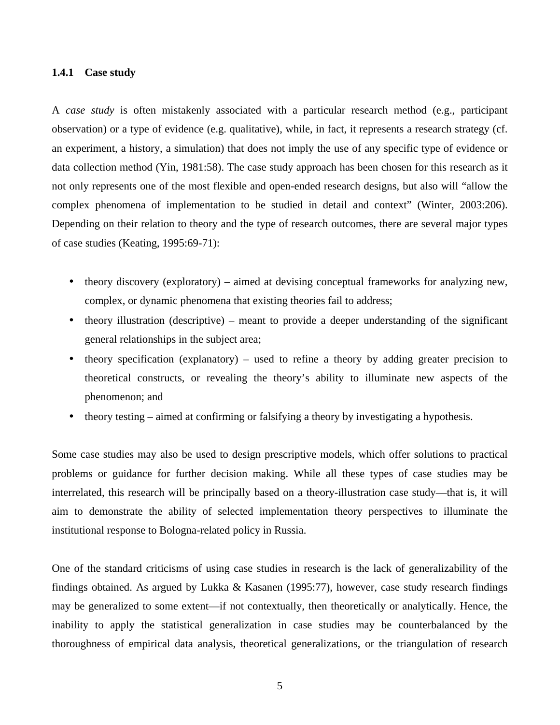#### **1.4.1 Case study**

A *case study* is often mistakenly associated with a particular research method (e.g., participant observation) or a type of evidence (e.g. qualitative), while, in fact, it represents a research strategy (cf. an experiment, a history, a simulation) that does not imply the use of any specific type of evidence or data collection method (Yin, 1981:58). The case study approach has been chosen for this research as it not only represents one of the most flexible and open-ended research designs, but also will "allow the complex phenomena of implementation to be studied in detail and context" (Winter, 2003:206). Depending on their relation to theory and the type of research outcomes, there are several major types of case studies (Keating, 1995:69-71):

- theory discovery (exploratory) aimed at devising conceptual frameworks for analyzing new, complex, or dynamic phenomena that existing theories fail to address;
- theory illustration (descriptive) meant to provide a deeper understanding of the significant general relationships in the subject area;
- theory specification (explanatory) used to refine a theory by adding greater precision to theoretical constructs, or revealing the theory's ability to illuminate new aspects of the phenomenon; and
- theory testing aimed at confirming or falsifying a theory by investigating a hypothesis.

Some case studies may also be used to design prescriptive models, which offer solutions to practical problems or guidance for further decision making. While all these types of case studies may be interrelated, this research will be principally based on a theory-illustration case study—that is, it will aim to demonstrate the ability of selected implementation theory perspectives to illuminate the institutional response to Bologna-related policy in Russia.

One of the standard criticisms of using case studies in research is the lack of generalizability of the findings obtained. As argued by Lukka & Kasanen (1995:77), however, case study research findings may be generalized to some extent—if not contextually, then theoretically or analytically. Hence, the inability to apply the statistical generalization in case studies may be counterbalanced by the thoroughness of empirical data analysis, theoretical generalizations, or the triangulation of research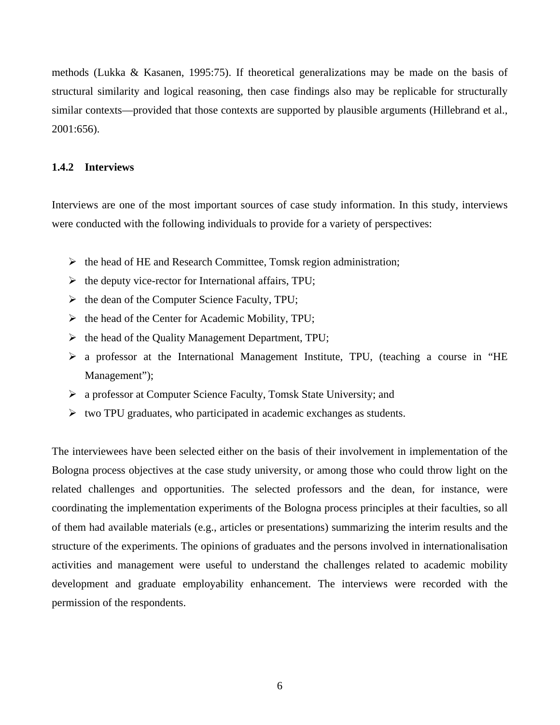methods (Lukka & Kasanen, 1995:75). If theoretical generalizations may be made on the basis of structural similarity and logical reasoning, then case findings also may be replicable for structurally similar contexts—provided that those contexts are supported by plausible arguments (Hillebrand et al., 2001:656).

#### **1.4.2 Interviews**

Interviews are one of the most important sources of case study information. In this study, interviews were conducted with the following individuals to provide for a variety of perspectives:

- $\triangleright$  the head of HE and Research Committee, Tomsk region administration;
- $\triangleright$  the deputy vice-rector for International affairs, TPU;
- $\triangleright$  the dean of the Computer Science Faculty, TPU;
- $\triangleright$  the head of the Center for Academic Mobility, TPU;
- $\triangleright$  the head of the Quality Management Department, TPU;
- a professor at the International Management Institute, TPU, (teaching a course in "HE Management");
- a professor at Computer Science Faculty, Tomsk State University; and
- $\triangleright$  two TPU graduates, who participated in academic exchanges as students.

The interviewees have been selected either on the basis of their involvement in implementation of the Bologna process objectives at the case study university, or among those who could throw light on the related challenges and opportunities. The selected professors and the dean, for instance, were coordinating the implementation experiments of the Bologna process principles at their faculties, so all of them had available materials (e.g., articles or presentations) summarizing the interim results and the structure of the experiments. The opinions of graduates and the persons involved in internationalisation activities and management were useful to understand the challenges related to academic mobility development and graduate employability enhancement. The interviews were recorded with the permission of the respondents.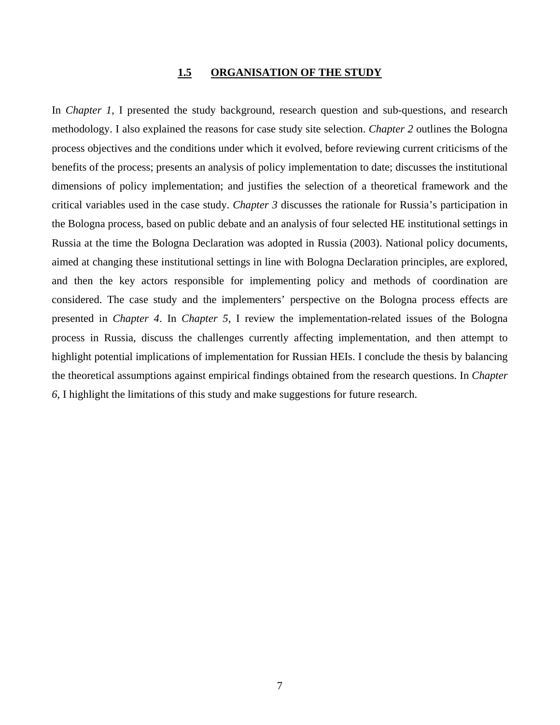#### **1.5 ORGANISATION OF THE STUDY**

In *Chapter 1*, I presented the study background, research question and sub-questions, and research methodology. I also explained the reasons for case study site selection. *Chapter 2* outlines the Bologna process objectives and the conditions under which it evolved, before reviewing current criticisms of the benefits of the process; presents an analysis of policy implementation to date; discusses the institutional dimensions of policy implementation; and justifies the selection of a theoretical framework and the critical variables used in the case study. *Chapter 3* discusses the rationale for Russia's participation in the Bologna process, based on public debate and an analysis of four selected HE institutional settings in Russia at the time the Bologna Declaration was adopted in Russia (2003). National policy documents, aimed at changing these institutional settings in line with Bologna Declaration principles, are explored, and then the key actors responsible for implementing policy and methods of coordination are considered. The case study and the implementers' perspective on the Bologna process effects are presented in *Chapter 4*. In *Chapter 5*, I review the implementation-related issues of the Bologna process in Russia, discuss the challenges currently affecting implementation, and then attempt to highlight potential implications of implementation for Russian HEIs. I conclude the thesis by balancing the theoretical assumptions against empirical findings obtained from the research questions. In *Chapter 6*, I highlight the limitations of this study and make suggestions for future research.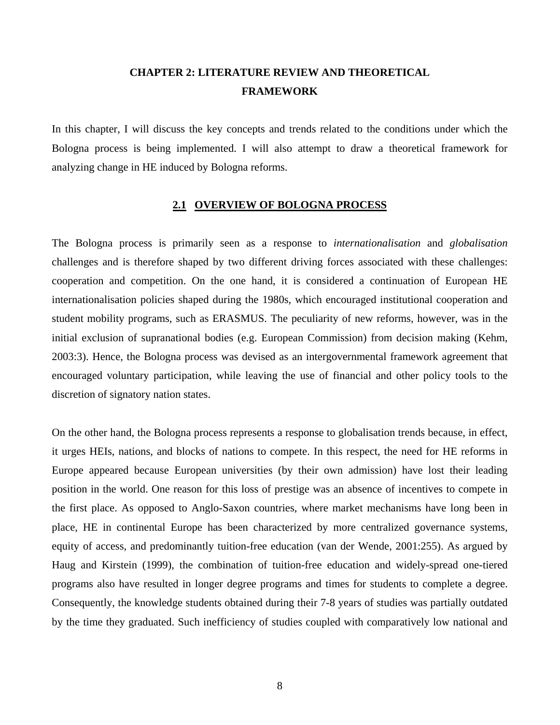# **CHAPTER 2: LITERATURE REVIEW AND THEORETICAL FRAMEWORK**

In this chapter, I will discuss the key concepts and trends related to the conditions under which the Bologna process is being implemented. I will also attempt to draw a theoretical framework for analyzing change in HE induced by Bologna reforms.

#### **2.1 OVERVIEW OF BOLOGNA PROCESS**

The Bologna process is primarily seen as a response to *internationalisation* and *globalisation* challenges and is therefore shaped by two different driving forces associated with these challenges: cooperation and competition. On the one hand, it is considered a continuation of European HE internationalisation policies shaped during the 1980s, which encouraged institutional cooperation and student mobility programs, such as ERASMUS. The peculiarity of new reforms, however, was in the initial exclusion of supranational bodies (e.g. European Commission) from decision making (Kehm, 2003:3). Hence, the Bologna process was devised as an intergovernmental framework agreement that encouraged voluntary participation, while leaving the use of financial and other policy tools to the discretion of signatory nation states.

On the other hand, the Bologna process represents a response to globalisation trends because, in effect, it urges HEIs, nations, and blocks of nations to compete. In this respect, the need for HE reforms in Europe appeared because European universities (by their own admission) have lost their leading position in the world. One reason for this loss of prestige was an absence of incentives to compete in the first place. As opposed to Anglo-Saxon countries, where market mechanisms have long been in place, HE in continental Europe has been characterized by more centralized governance systems, equity of access, and predominantly tuition-free education (van der Wende, 2001:255). As argued by Haug and Kirstein (1999), the combination of tuition-free education and widely-spread one-tiered programs also have resulted in longer degree programs and times for students to complete a degree. Consequently, the knowledge students obtained during their 7-8 years of studies was partially outdated by the time they graduated. Such inefficiency of studies coupled with comparatively low national and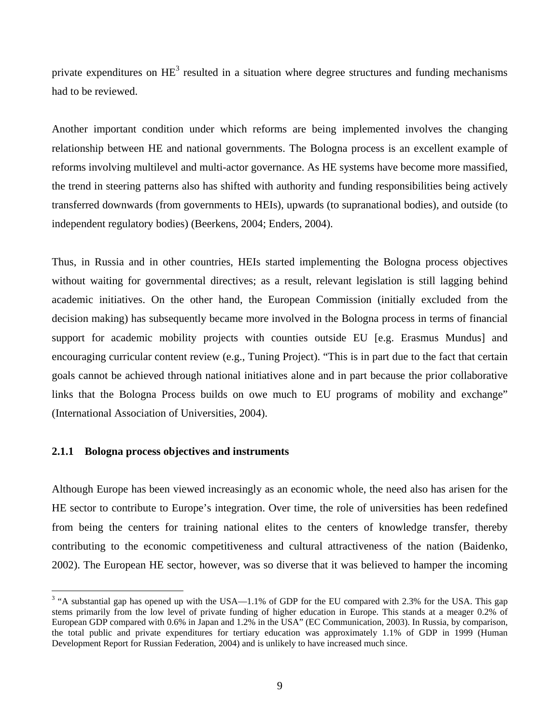private expenditures on  $\text{HE}^3$  resulted in a situation where degree structures and funding mechanisms had to be reviewed.

Another important condition under which reforms are being implemented involves the changing relationship between HE and national governments. The Bologna process is an excellent example of reforms involving multilevel and multi-actor governance. As HE systems have become more massified, the trend in steering patterns also has shifted with authority and funding responsibilities being actively transferred downwards (from governments to HEIs), upwards (to supranational bodies), and outside (to independent regulatory bodies) (Beerkens, 2004; Enders, 2004).

Thus, in Russia and in other countries, HEIs started implementing the Bologna process objectives without waiting for governmental directives; as a result, relevant legislation is still lagging behind academic initiatives. On the other hand, the European Commission (initially excluded from the decision making) has subsequently became more involved in the Bologna process in terms of financial support for academic mobility projects with counties outside EU [e.g. Erasmus Mundus] and encouraging curricular content review (e.g., Tuning Project). "This is in part due to the fact that certain goals cannot be achieved through national initiatives alone and in part because the prior collaborative links that the Bologna Process builds on owe much to EU programs of mobility and exchange" (International Association of Universities, 2004).

#### **2.1.1 Bologna process objectives and instruments**

Although Europe has been viewed increasingly as an economic whole, the need also has arisen for the HE sector to contribute to Europe's integration. Over time, the role of universities has been redefined from being the centers for training national elites to the centers of knowledge transfer, thereby contributing to the economic competitiveness and cultural attractiveness of the nation (Baidenko, 2002). The European HE sector, however, was so diverse that it was believed to hamper the incoming

<sup>&</sup>lt;sup>3</sup> "A substantial gap has opened up with the USA—1.1% of GDP for the EU compared with 2.3% for the USA. This gap stems primarily from the low level of private funding of higher education in Europe. This stands at a meager 0.2% of European GDP compared with 0.6% in Japan and 1.2% in the USA" (EC Communication, 2003). In Russia, by comparison, the total public and private expenditures for tertiary education was approximately 1.1% of GDP in 1999 (Human Development Report for Russian Federation, 2004) and is unlikely to have increased much since.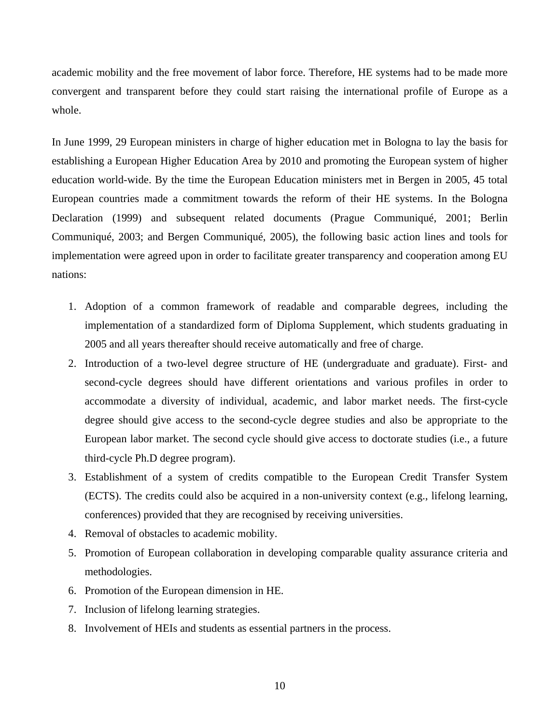academic mobility and the free movement of labor force. Therefore, HE systems had to be made more convergent and transparent before they could start raising the international profile of Europe as a whole.

In June 1999, 29 European ministers in charge of higher education met in Bologna to lay the basis for establishing a European Higher Education Area by 2010 and promoting the European system of higher education world-wide. By the time the European Education ministers met in Bergen in 2005, 45 total European countries made a commitment towards the reform of their HE systems. In the Bologna Declaration (1999) and subsequent related documents (Prague Communiqué, 2001; Berlin Communiqué, 2003; and Bergen Communiqué, 2005), the following basic action lines and tools for implementation were agreed upon in order to facilitate greater transparency and cooperation among EU nations:

- 1. Adoption of a common framework of readable and comparable degrees, including the implementation of a standardized form of Diploma Supplement, which students graduating in 2005 and all years thereafter should receive automatically and free of charge.
- 2. Introduction of a two-level degree structure of HE (undergraduate and graduate). First- and second-cycle degrees should have different orientations and various profiles in order to accommodate a diversity of individual, academic, and labor market needs. The first-cycle degree should give access to the second-cycle degree studies and also be appropriate to the European labor market. The second cycle should give access to doctorate studies (i.e., a future third-cycle Ph.D degree program).
- 3. Establishment of a system of credits compatible to the European Credit Transfer System (ECTS). The credits could also be acquired in a non-university context (e.g., lifelong learning, conferences) provided that they are recognised by receiving universities.
- 4. Removal of obstacles to academic mobility.
- 5. Promotion of European collaboration in developing comparable quality assurance criteria and methodologies.
- 6. Promotion of the European dimension in HE.
- 7. Inclusion of lifelong learning strategies.
- 8. Involvement of HEIs and students as essential partners in the process.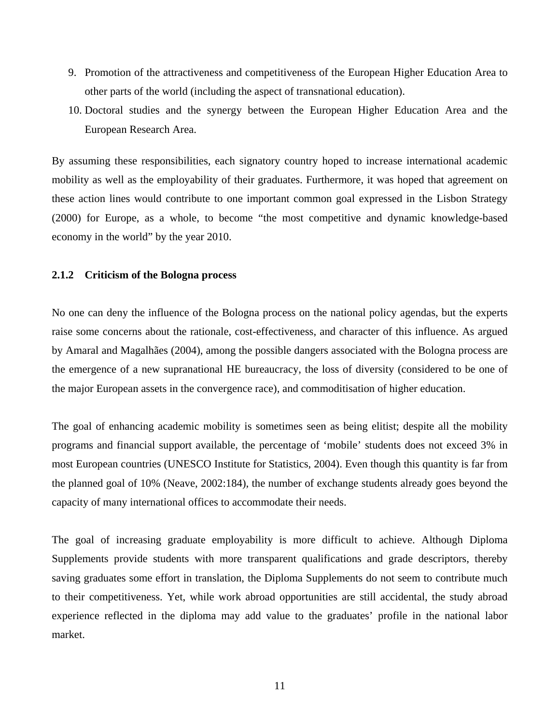- 9. Promotion of the attractiveness and competitiveness of the European Higher Education Area to other parts of the world (including the aspect of transnational education).
- 10. Doctoral studies and the synergy between the European Higher Education Area and the European Research Area.

By assuming these responsibilities, each signatory country hoped to increase international academic mobility as well as the employability of their graduates. Furthermore, it was hoped that agreement on these action lines would contribute to one important common goal expressed in the Lisbon Strategy (2000) for Europe, as a whole, to become "the most competitive and dynamic knowledge-based economy in the world" by the year 2010.

#### **2.1.2 Criticism of the Bologna process**

No one can deny the influence of the Bologna process on the national policy agendas, but the experts raise some concerns about the rationale, cost-effectiveness, and character of this influence. As argued by Amaral and Magalhães (2004), among the possible dangers associated with the Bologna process are the emergence of a new supranational HE bureaucracy, the loss of diversity (considered to be one of the major European assets in the convergence race), and commoditisation of higher education.

The goal of enhancing academic mobility is sometimes seen as being elitist; despite all the mobility programs and financial support available, the percentage of 'mobile' students does not exceed 3% in most European countries (UNESCO Institute for Statistics, 2004). Even though this quantity is far from the planned goal of 10% (Neave, 2002:184), the number of exchange students already goes beyond the capacity of many international offices to accommodate their needs.

The goal of increasing graduate employability is more difficult to achieve. Although Diploma Supplements provide students with more transparent qualifications and grade descriptors, thereby saving graduates some effort in translation, the Diploma Supplements do not seem to contribute much to their competitiveness. Yet, while work abroad opportunities are still accidental, the study abroad experience reflected in the diploma may add value to the graduates' profile in the national labor market.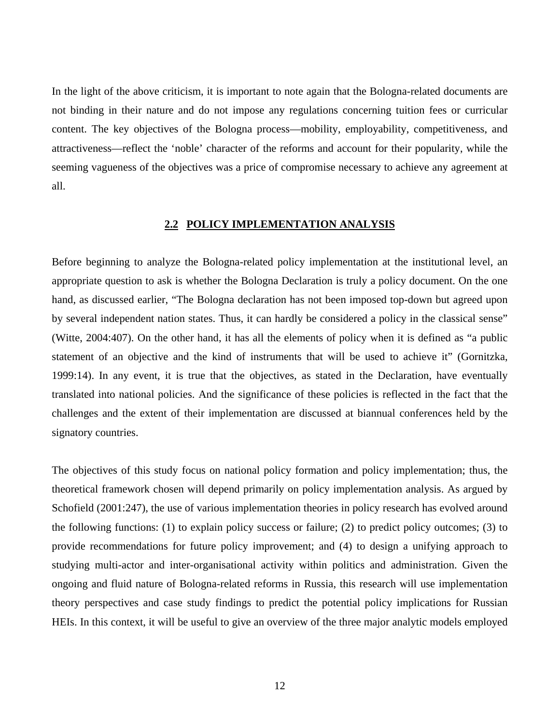In the light of the above criticism, it is important to note again that the Bologna-related documents are not binding in their nature and do not impose any regulations concerning tuition fees or curricular content. The key objectives of the Bologna process—mobility, employability, competitiveness, and attractiveness—reflect the 'noble' character of the reforms and account for their popularity, while the seeming vagueness of the objectives was a price of compromise necessary to achieve any agreement at all.

#### **2.2 POLICY IMPLEMENTATION ANALYSIS**

Before beginning to analyze the Bologna-related policy implementation at the institutional level, an appropriate question to ask is whether the Bologna Declaration is truly a policy document. On the one hand, as discussed earlier, "The Bologna declaration has not been imposed top-down but agreed upon by several independent nation states. Thus, it can hardly be considered a policy in the classical sense" (Witte, 2004:407). On the other hand, it has all the elements of policy when it is defined as "a public statement of an objective and the kind of instruments that will be used to achieve it" (Gornitzka, 1999:14). In any event, it is true that the objectives, as stated in the Declaration, have eventually translated into national policies. And the significance of these policies is reflected in the fact that the challenges and the extent of their implementation are discussed at biannual conferences held by the signatory countries.

The objectives of this study focus on national policy formation and policy implementation; thus, the theoretical framework chosen will depend primarily on policy implementation analysis. As argued by Schofield (2001:247), the use of various implementation theories in policy research has evolved around the following functions: (1) to explain policy success or failure; (2) to predict policy outcomes; (3) to provide recommendations for future policy improvement; and (4) to design a unifying approach to studying multi-actor and inter-organisational activity within politics and administration. Given the ongoing and fluid nature of Bologna-related reforms in Russia, this research will use implementation theory perspectives and case study findings to predict the potential policy implications for Russian HEIs. In this context, it will be useful to give an overview of the three major analytic models employed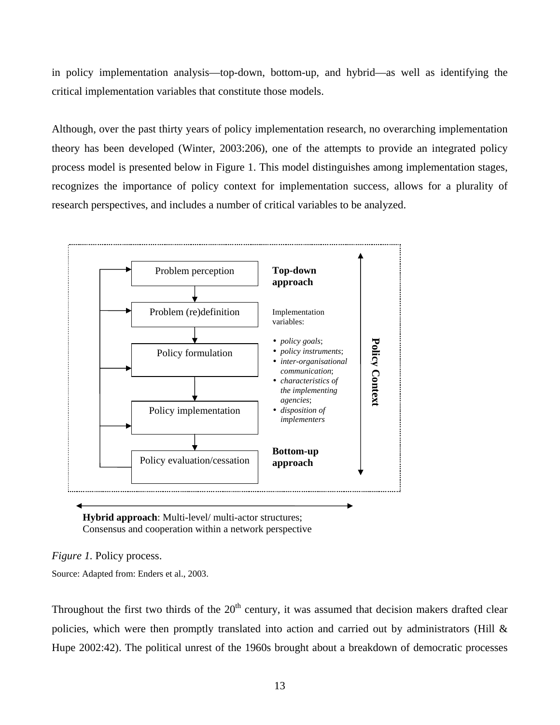in policy implementation analysis—top-down, bottom-up, and hybrid—as well as identifying the critical implementation variables that constitute those models.

Although, over the past thirty years of policy implementation research, no overarching implementation theory has been developed (Winter, 2003:206), one of the attempts to provide an integrated policy process model is presented below in Figure 1. This model distinguishes among implementation stages, recognizes the importance of policy context for implementation success, allows for a plurality of research perspectives, and includes a number of critical variables to be analyzed.



**Hybrid approach**: Multi-level/ multi-actor structures; Consensus and cooperation within a network perspective

*Figure 1.* Policy process.

Source: Adapted from: Enders et al., 2003.

Throughout the first two thirds of the  $20<sup>th</sup>$  century, it was assumed that decision makers drafted clear policies, which were then promptly translated into action and carried out by administrators (Hill & Hupe 2002:42). The political unrest of the 1960s brought about a breakdown of democratic processes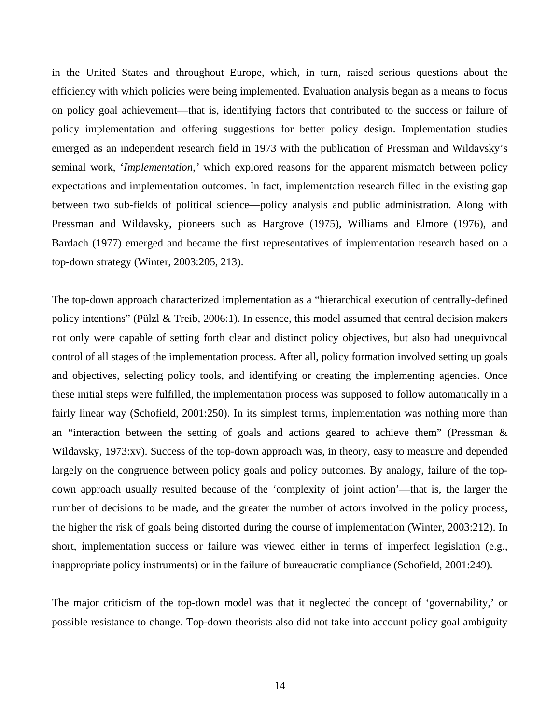in the United States and throughout Europe, which, in turn, raised serious questions about the efficiency with which policies were being implemented. Evaluation analysis began as a means to focus on policy goal achievement—that is, identifying factors that contributed to the success or failure of policy implementation and offering suggestions for better policy design. Implementation studies emerged as an independent research field in 1973 with the publication of Pressman and Wildavsky's seminal work, '*Implementation,'* which explored reasons for the apparent mismatch between policy expectations and implementation outcomes. In fact, implementation research filled in the existing gap between two sub-fields of political science—policy analysis and public administration. Along with Pressman and Wildavsky, pioneers such as Hargrove (1975), Williams and Elmore (1976), and Bardach (1977) emerged and became the first representatives of implementation research based on a top-down strategy (Winter, 2003:205, 213).

The top-down approach characterized implementation as a "hierarchical execution of centrally-defined policy intentions" (Pülzl & Treib, 2006:1). In essence, this model assumed that central decision makers not only were capable of setting forth clear and distinct policy objectives, but also had unequivocal control of all stages of the implementation process. After all, policy formation involved setting up goals and objectives, selecting policy tools, and identifying or creating the implementing agencies. Once these initial steps were fulfilled, the implementation process was supposed to follow automatically in a fairly linear way (Schofield, 2001:250). In its simplest terms, implementation was nothing more than an "interaction between the setting of goals and actions geared to achieve them" (Pressman & Wildavsky, 1973:xv). Success of the top-down approach was, in theory, easy to measure and depended largely on the congruence between policy goals and policy outcomes. By analogy, failure of the topdown approach usually resulted because of the 'complexity of joint action'—that is, the larger the number of decisions to be made, and the greater the number of actors involved in the policy process, the higher the risk of goals being distorted during the course of implementation (Winter, 2003:212). In short, implementation success or failure was viewed either in terms of imperfect legislation (e.g., inappropriate policy instruments) or in the failure of bureaucratic compliance (Schofield, 2001:249).

The major criticism of the top-down model was that it neglected the concept of 'governability,' or possible resistance to change. Top-down theorists also did not take into account policy goal ambiguity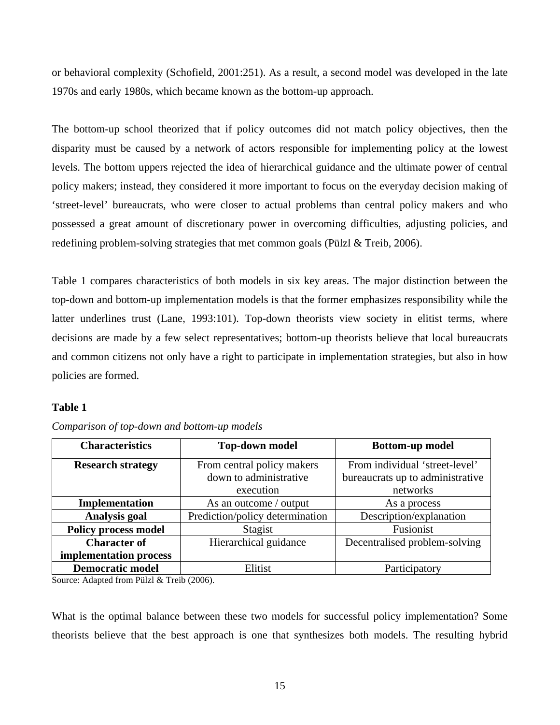or behavioral complexity (Schofield, 2001:251). As a result, a second model was developed in the late 1970s and early 1980s, which became known as the bottom-up approach.

The bottom-up school theorized that if policy outcomes did not match policy objectives, then the disparity must be caused by a network of actors responsible for implementing policy at the lowest levels. The bottom uppers rejected the idea of hierarchical guidance and the ultimate power of central policy makers; instead, they considered it more important to focus on the everyday decision making of 'street-level' bureaucrats, who were closer to actual problems than central policy makers and who possessed a great amount of discretionary power in overcoming difficulties, adjusting policies, and redefining problem-solving strategies that met common goals (Pülzl & Treib, 2006).

Table 1 compares characteristics of both models in six key areas. The major distinction between the top-down and bottom-up implementation models is that the former emphasizes responsibility while the latter underlines trust (Lane, 1993:101). Top-down theorists view society in elitist terms, where decisions are made by a few select representatives; bottom-up theorists believe that local bureaucrats and common citizens not only have a right to participate in implementation strategies, but also in how policies are formed.

# **Table 1**

| <b>Characteristics</b>      | <b>Top-down model</b>           | <b>Bottom-up model</b>           |
|-----------------------------|---------------------------------|----------------------------------|
| <b>Research strategy</b>    | From central policy makers      | From individual 'street-level'   |
|                             | down to administrative          | bureaucrats up to administrative |
|                             | execution                       | networks                         |
| Implementation              | As an outcome / output          | As a process                     |
| <b>Analysis goal</b>        | Prediction/policy determination | Description/explanation          |
| <b>Policy process model</b> | Stagist                         | Fusionist                        |
| <b>Character of</b>         | Hierarchical guidance           | Decentralised problem-solving    |
| implementation process      |                                 |                                  |
| <b>Democratic model</b>     | Elitist                         | Participatory                    |

*Comparison of top-down and bottom-up models*

Source: Adapted from Pülzl & Treib (2006).

What is the optimal balance between these two models for successful policy implementation? Some theorists believe that the best approach is one that synthesizes both models. The resulting hybrid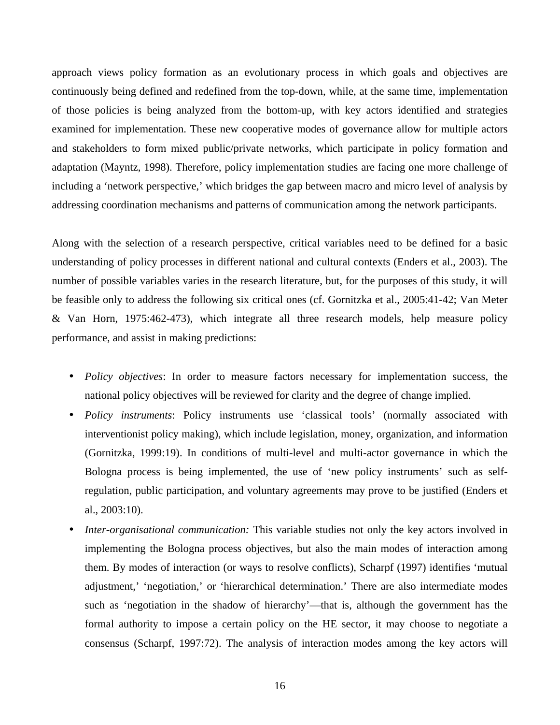approach views policy formation as an evolutionary process in which goals and objectives are continuously being defined and redefined from the top-down, while, at the same time, implementation of those policies is being analyzed from the bottom-up, with key actors identified and strategies examined for implementation. These new cooperative modes of governance allow for multiple actors and stakeholders to form mixed public/private networks, which participate in policy formation and adaptation (Mayntz, 1998). Therefore, policy implementation studies are facing one more challenge of including a 'network perspective,' which bridges the gap between macro and micro level of analysis by addressing coordination mechanisms and patterns of communication among the network participants.

Along with the selection of a research perspective, critical variables need to be defined for a basic understanding of policy processes in different national and cultural contexts (Enders et al., 2003). The number of possible variables varies in the research literature, but, for the purposes of this study, it will be feasible only to address the following six critical ones (cf. Gornitzka et al., 2005:41-42; Van Meter & Van Horn, 1975:462-473), which integrate all three research models, help measure policy performance, and assist in making predictions:

- *Policy objectives*: In order to measure factors necessary for implementation success, the national policy objectives will be reviewed for clarity and the degree of change implied.
- *Policy instruments*: Policy instruments use 'classical tools' (normally associated with interventionist policy making), which include legislation, money, organization, and information (Gornitzka, 1999:19). In conditions of multi-level and multi-actor governance in which the Bologna process is being implemented, the use of 'new policy instruments' such as selfregulation, public participation, and voluntary agreements may prove to be justified (Enders et al., 2003:10).
- *Inter-organisational communication:* This variable studies not only the key actors involved in implementing the Bologna process objectives, but also the main modes of interaction among them. By modes of interaction (or ways to resolve conflicts), Scharpf (1997) identifies 'mutual adjustment,' 'negotiation,' or 'hierarchical determination.' There are also intermediate modes such as 'negotiation in the shadow of hierarchy'—that is, although the government has the formal authority to impose a certain policy on the HE sector, it may choose to negotiate a consensus (Scharpf, 1997:72). The analysis of interaction modes among the key actors will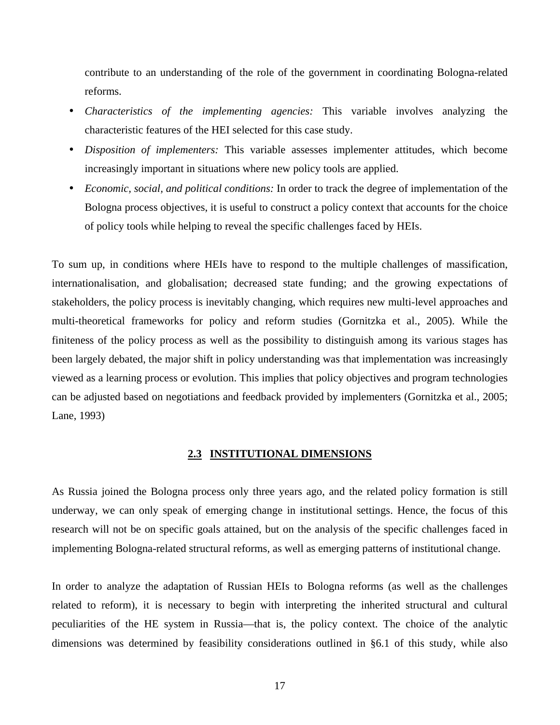contribute to an understanding of the role of the government in coordinating Bologna-related reforms.

- *Characteristics of the implementing agencies:* This variable involves analyzing the characteristic features of the HEI selected for this case study.
- *Disposition of implementers:* This variable assesses implementer attitudes, which become increasingly important in situations where new policy tools are applied.
- *Economic, social, and political conditions:* In order to track the degree of implementation of the Bologna process objectives, it is useful to construct a policy context that accounts for the choice of policy tools while helping to reveal the specific challenges faced by HEIs.

To sum up, in conditions where HEIs have to respond to the multiple challenges of massification, internationalisation, and globalisation; decreased state funding; and the growing expectations of stakeholders, the policy process is inevitably changing, which requires new multi-level approaches and multi-theoretical frameworks for policy and reform studies (Gornitzka et al., 2005). While the finiteness of the policy process as well as the possibility to distinguish among its various stages has been largely debated, the major shift in policy understanding was that implementation was increasingly viewed as a learning process or evolution. This implies that policy objectives and program technologies can be adjusted based on negotiations and feedback provided by implementers (Gornitzka et al., 2005; Lane, 1993)

#### **2.3 INSTITUTIONAL DIMENSIONS**

As Russia joined the Bologna process only three years ago, and the related policy formation is still underway, we can only speak of emerging change in institutional settings. Hence, the focus of this research will not be on specific goals attained, but on the analysis of the specific challenges faced in implementing Bologna-related structural reforms, as well as emerging patterns of institutional change.

In order to analyze the adaptation of Russian HEIs to Bologna reforms (as well as the challenges related to reform), it is necessary to begin with interpreting the inherited structural and cultural peculiarities of the HE system in Russia—that is, the policy context. The choice of the analytic dimensions was determined by feasibility considerations outlined in §6.1 of this study, while also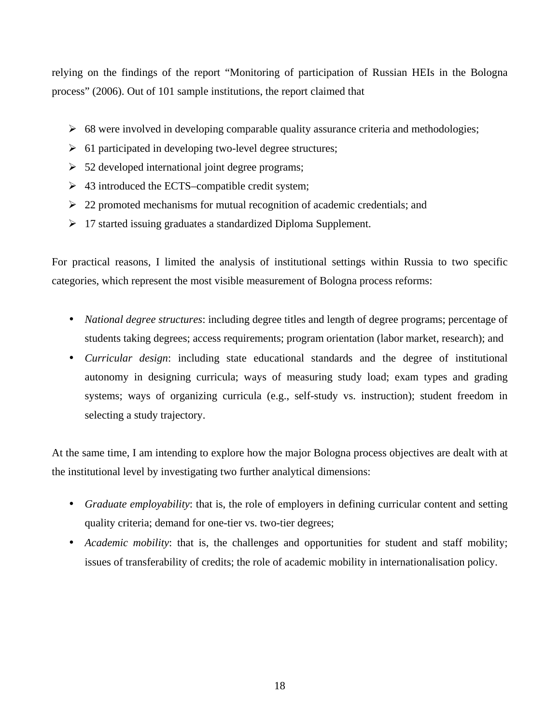relying on the findings of the report "Monitoring of participation of Russian HEIs in the Bologna process" (2006). Out of 101 sample institutions, the report claimed that

- $\geq$  68 were involved in developing comparable quality assurance criteria and methodologies;
- $\geq 61$  participated in developing two-level degree structures;
- $\geq$  52 developed international joint degree programs;
- $\triangleright$  43 introduced the ECTS–compatible credit system;
- $\geq 22$  promoted mechanisms for mutual recognition of academic credentials; and
- 17 started issuing graduates a standardized Diploma Supplement.

For practical reasons, I limited the analysis of institutional settings within Russia to two specific categories, which represent the most visible measurement of Bologna process reforms:

- *National degree structures*: including degree titles and length of degree programs; percentage of students taking degrees; access requirements; program orientation (labor market, research); and
- *Curricular design*: including state educational standards and the degree of institutional autonomy in designing curricula; ways of measuring study load; exam types and grading systems; ways of organizing curricula (e.g., self-study vs. instruction); student freedom in selecting a study trajectory.

At the same time, I am intending to explore how the major Bologna process objectives are dealt with at the institutional level by investigating two further analytical dimensions:

- *Graduate employability*: that is, the role of employers in defining curricular content and setting quality criteria; demand for one-tier vs. two-tier degrees;
- *Academic mobility*: that is, the challenges and opportunities for student and staff mobility; issues of transferability of credits; the role of academic mobility in internationalisation policy.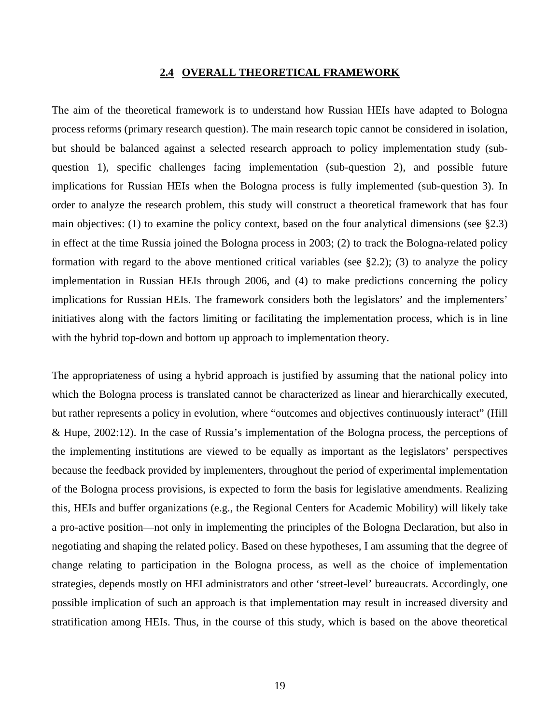#### **2.4 OVERALL THEORETICAL FRAMEWORK**

The aim of the theoretical framework is to understand how Russian HEIs have adapted to Bologna process reforms (primary research question). The main research topic cannot be considered in isolation, but should be balanced against a selected research approach to policy implementation study (subquestion 1), specific challenges facing implementation (sub-question 2), and possible future implications for Russian HEIs when the Bologna process is fully implemented (sub-question 3). In order to analyze the research problem, this study will construct a theoretical framework that has four main objectives: (1) to examine the policy context, based on the four analytical dimensions (see §2.3) in effect at the time Russia joined the Bologna process in 2003; (2) to track the Bologna-related policy formation with regard to the above mentioned critical variables (see §2.2); (3) to analyze the policy implementation in Russian HEIs through 2006, and (4) to make predictions concerning the policy implications for Russian HEIs. The framework considers both the legislators' and the implementers' initiatives along with the factors limiting or facilitating the implementation process, which is in line with the hybrid top-down and bottom up approach to implementation theory.

The appropriateness of using a hybrid approach is justified by assuming that the national policy into which the Bologna process is translated cannot be characterized as linear and hierarchically executed, but rather represents a policy in evolution, where "outcomes and objectives continuously interact" (Hill & Hupe, 2002:12). In the case of Russia's implementation of the Bologna process, the perceptions of the implementing institutions are viewed to be equally as important as the legislators' perspectives because the feedback provided by implementers, throughout the period of experimental implementation of the Bologna process provisions, is expected to form the basis for legislative amendments. Realizing this, HEIs and buffer organizations (e.g., the Regional Centers for Academic Mobility) will likely take a pro-active position—not only in implementing the principles of the Bologna Declaration, but also in negotiating and shaping the related policy. Based on these hypotheses, I am assuming that the degree of change relating to participation in the Bologna process, as well as the choice of implementation strategies, depends mostly on HEI administrators and other 'street-level' bureaucrats. Accordingly, one possible implication of such an approach is that implementation may result in increased diversity and stratification among HEIs. Thus, in the course of this study, which is based on the above theoretical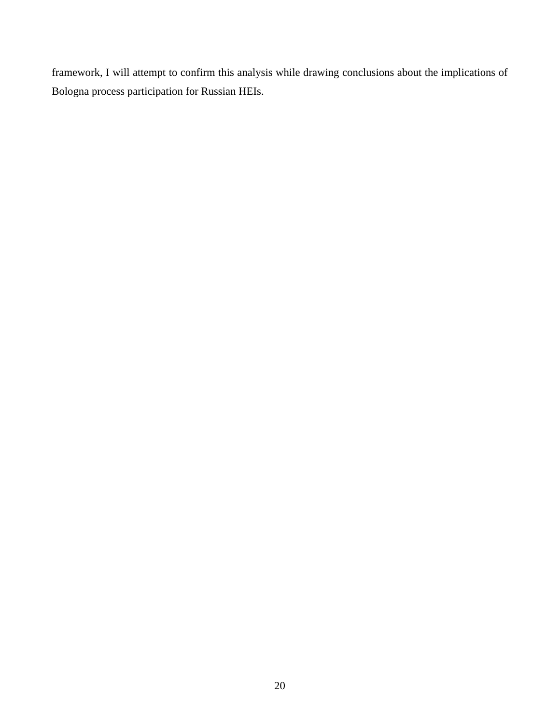framework, I will attempt to confirm this analysis while drawing conclusions about the implications of Bologna process participation for Russian HEIs.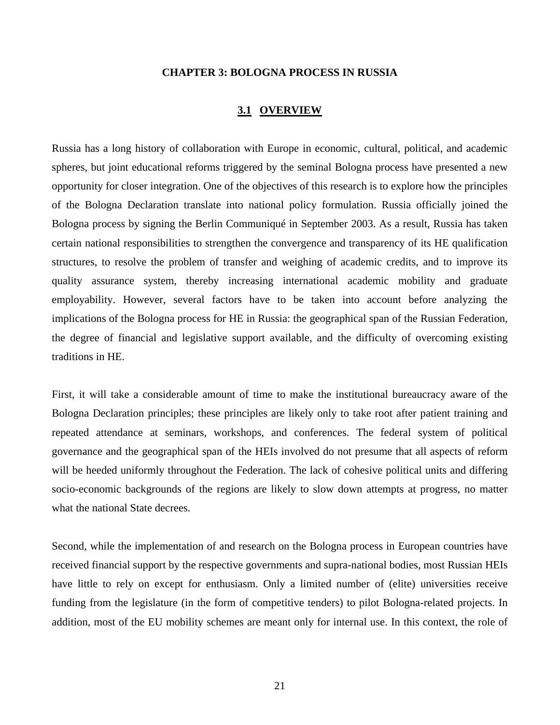#### **CHAPTER 3: BOLOGNA PROCESS IN RUSSIA**

#### **3.1 OVERVIEW**

Russia has a long history of collaboration with Europe in economic, cultural, political, and academic spheres, but joint educational reforms triggered by the seminal Bologna process have presented a new opportunity for closer integration. One of the objectives of this research is to explore how the principles of the Bologna Declaration translate into national policy formulation. Russia officially joined the Bologna process by signing the Berlin Communiqué in September 2003. As a result, Russia has taken certain national responsibilities to strengthen the convergence and transparency of its HE qualification structures, to resolve the problem of transfer and weighing of academic credits, and to improve its quality assurance system, thereby increasing international academic mobility and graduate employability. However, several factors have to be taken into account before analyzing the implications of the Bologna process for HE in Russia: the geographical span of the Russian Federation, the degree of financial and legislative support available, and the difficulty of overcoming existing traditions in HE.

First, it will take a considerable amount of time to make the institutional bureaucracy aware of the Bologna Declaration principles; these principles are likely only to take root after patient training and repeated attendance at seminars, workshops, and conferences. The federal system of political governance and the geographical span of the HEIs involved do not presume that all aspects of reform will be heeded uniformly throughout the Federation. The lack of cohesive political units and differing socio-economic backgrounds of the regions are likely to slow down attempts at progress, no matter what the national State decrees.

Second, while the implementation of and research on the Bologna process in European countries have received financial support by the respective governments and supra-national bodies, most Russian HEIs have little to rely on except for enthusiasm. Only a limited number of (elite) universities receive funding from the legislature (in the form of competitive tenders) to pilot Bologna-related projects. In addition, most of the EU mobility schemes are meant only for internal use. In this context, the role of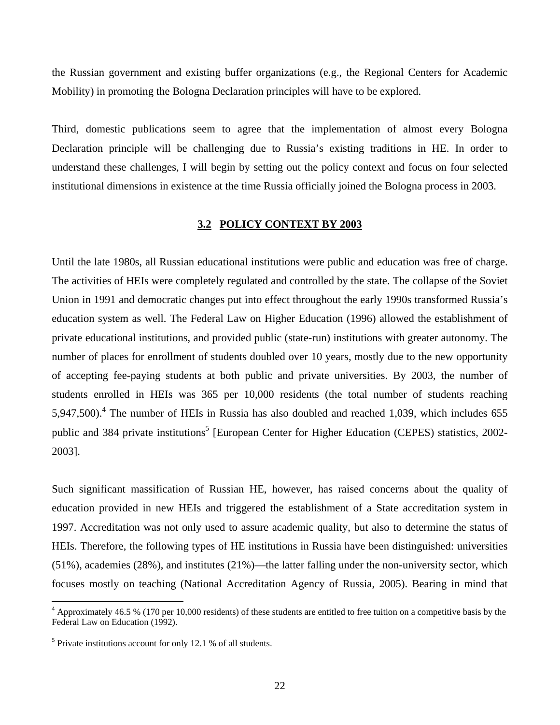the Russian government and existing buffer organizations (e.g., the Regional Centers for Academic Mobility) in promoting the Bologna Declaration principles will have to be explored.

Third, domestic publications seem to agree that the implementation of almost every Bologna Declaration principle will be challenging due to Russia's existing traditions in HE. In order to understand these challenges, I will begin by setting out the policy context and focus on four selected institutional dimensions in existence at the time Russia officially joined the Bologna process in 2003.

#### **3.2 POLICY CONTEXT BY 2003**

Until the late 1980s, all Russian educational institutions were public and education was free of charge. The activities of HEIs were completely regulated and controlled by the state. The collapse of the Soviet Union in 1991 and democratic changes put into effect throughout the early 1990s transformed Russia's education system as well. The Federal Law on Higher Education (1996) allowed the establishment of private educational institutions, and provided public (state-run) institutions with greater autonomy. The number of places for enrollment of students doubled over 10 years, mostly due to the new opportunity of accepting fee-paying students at both public and private universities. By 2003, the number of students enrolled in HEIs was 365 per 10,000 residents (the total number of students reaching 5,947,500).<sup>4</sup> The number of HEIs in Russia has also doubled and reached 1,039, which includes 655 public and 384 private institutions<sup>5</sup> [European Center for Higher Education (CEPES) statistics, 2002-2003].

Such significant massification of Russian HE, however, has raised concerns about the quality of education provided in new HEIs and triggered the establishment of a State accreditation system in 1997. Accreditation was not only used to assure academic quality, but also to determine the status of HEIs. Therefore, the following types of HE institutions in Russia have been distinguished: universities (51%), academies (28%), and institutes (21%)—the latter falling under the non-university sector, which focuses mostly on teaching (National Accreditation Agency of Russia, 2005). Bearing in mind that

 $\overline{a}$ 

<sup>&</sup>lt;sup>4</sup> Approximately 46.5 % (170 per 10,000 residents) of these students are entitled to free tuition on a competitive basis by the Federal Law on Education (1992).

<sup>&</sup>lt;sup>5</sup> Private institutions account for only 12.1 % of all students.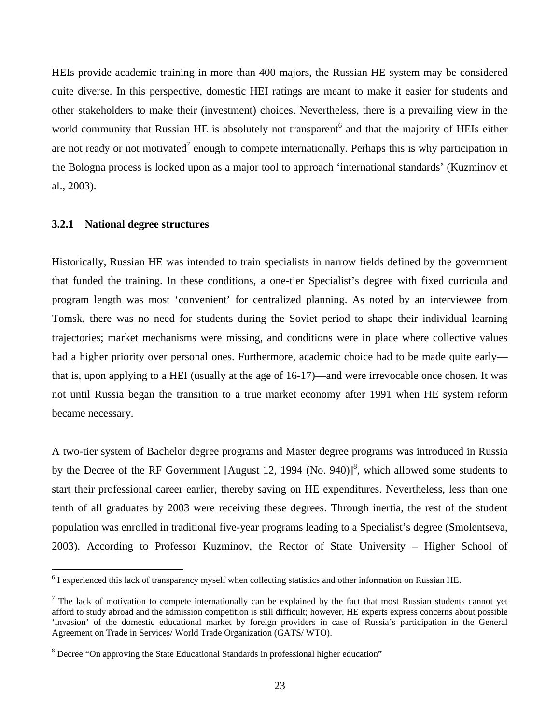HEIs provide academic training in more than 400 majors, the Russian HE system may be considered quite diverse. In this perspective, domestic HEI ratings are meant to make it easier for students and other stakeholders to make their (investment) choices. Nevertheless, there is a prevailing view in the world community that Russian HE is absolutely not transparent<sup>6</sup> and that the majority of HEIs either are not ready or not motivated<sup>7</sup> enough to compete internationally. Perhaps this is why participation in the Bologna process is looked upon as a major tool to approach 'international standards' (Kuzminov et al., 2003).

#### **3.2.1 National degree structures**

 $\overline{a}$ 

Historically, Russian HE was intended to train specialists in narrow fields defined by the government that funded the training. In these conditions, a one-tier Specialist's degree with fixed curricula and program length was most 'convenient' for centralized planning. As noted by an interviewee from Tomsk, there was no need for students during the Soviet period to shape their individual learning trajectories; market mechanisms were missing, and conditions were in place where collective values had a higher priority over personal ones. Furthermore, academic choice had to be made quite early that is, upon applying to a HEI (usually at the age of 16-17)—and were irrevocable once chosen. It was not until Russia began the transition to a true market economy after 1991 when HE system reform became necessary.

A two-tier system of Bachelor degree programs and Master degree programs was introduced in Russia by the Decree of the RF Government [August 12, 1994 (No. 940)]<sup>8</sup>, which allowed some students to start their professional career earlier, thereby saving on HE expenditures. Nevertheless, less than one tenth of all graduates by 2003 were receiving these degrees. Through inertia, the rest of the student population was enrolled in traditional five-year programs leading to a Specialist's degree (Smolentseva, 2003). According to Professor Kuzminov, the Rector of State University – Higher School of

<sup>&</sup>lt;sup>6</sup> I experienced this lack of transparency myself when collecting statistics and other information on Russian HE.

 $<sup>7</sup>$  The lack of motivation to compete internationally can be explained by the fact that most Russian students cannot yet</sup> afford to study abroad and the admission competition is still difficult; however, HE experts express concerns about possible 'invasion' of the domestic educational market by foreign providers in case of Russia's participation in the General Agreement on Trade in Services/ World Trade Organization (GATS/ WTO).

<sup>&</sup>lt;sup>8</sup> Decree "On approving the State Educational Standards in professional higher education"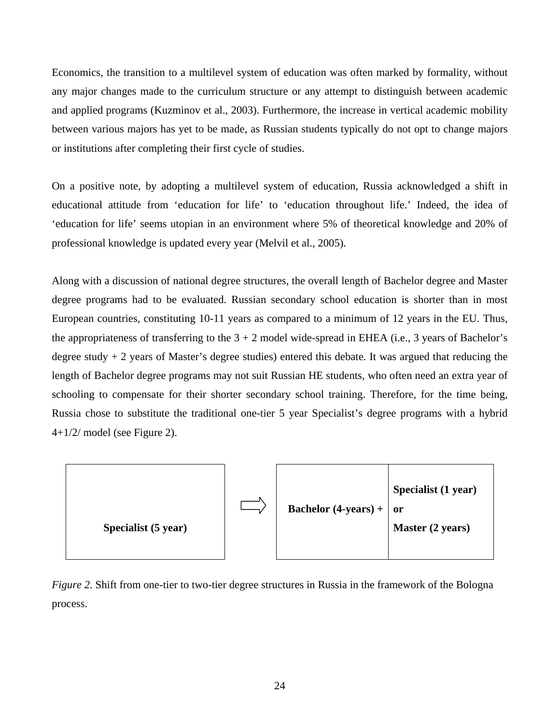Economics, the transition to a multilevel system of education was often marked by formality, without any major changes made to the curriculum structure or any attempt to distinguish between academic and applied programs (Kuzminov et al., 2003). Furthermore, the increase in vertical academic mobility between various majors has yet to be made, as Russian students typically do not opt to change majors or institutions after completing their first cycle of studies.

On a positive note, by adopting a multilevel system of education, Russia acknowledged a shift in educational attitude from 'education for life' to 'education throughout life.' Indeed, the idea of 'education for life' seems utopian in an environment where 5% of theoretical knowledge and 20% of professional knowledge is updated every year (Melvil et al., 2005).

Along with a discussion of national degree structures, the overall length of Bachelor degree and Master degree programs had to be evaluated. Russian secondary school education is shorter than in most European countries, constituting 10-11 years as compared to a minimum of 12 years in the EU. Thus, the appropriateness of transferring to the  $3 + 2$  model wide-spread in EHEA (i.e., 3 years of Bachelor's degree study + 2 years of Master's degree studies) entered this debate. It was argued that reducing the length of Bachelor degree programs may not suit Russian HE students, who often need an extra year of schooling to compensate for their shorter secondary school training. Therefore, for the time being, Russia chose to substitute the traditional one-tier 5 year Specialist's degree programs with a hybrid 4+1/2/ model (see Figure 2).



*Figure 2.* Shift from one-tier to two-tier degree structures in Russia in the framework of the Bologna process.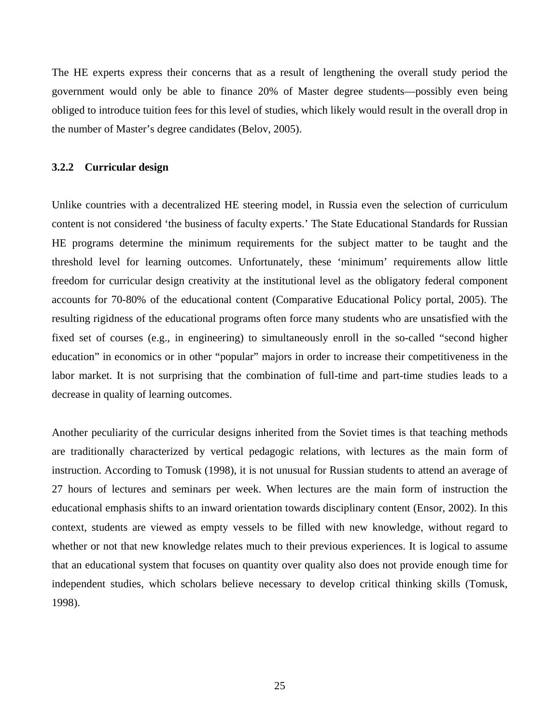The HE experts express their concerns that as a result of lengthening the overall study period the government would only be able to finance 20% of Master degree students—possibly even being obliged to introduce tuition fees for this level of studies, which likely would result in the overall drop in the number of Master's degree candidates (Belov, 2005).

#### **3.2.2 Curricular design**

Unlike countries with a decentralized HE steering model, in Russia even the selection of curriculum content is not considered 'the business of faculty experts.' The State Educational Standards for Russian HE programs determine the minimum requirements for the subject matter to be taught and the threshold level for learning outcomes. Unfortunately, these 'minimum' requirements allow little freedom for curricular design creativity at the institutional level as the obligatory federal component accounts for 70-80% of the educational content (Comparative Educational Policy portal, 2005). The resulting rigidness of the educational programs often force many students who are unsatisfied with the fixed set of courses (e.g., in engineering) to simultaneously enroll in the so-called "second higher education" in economics or in other "popular" majors in order to increase their competitiveness in the labor market. It is not surprising that the combination of full-time and part-time studies leads to a decrease in quality of learning outcomes.

Another peculiarity of the curricular designs inherited from the Soviet times is that teaching methods are traditionally characterized by vertical pedagogic relations, with lectures as the main form of instruction. According to Tomusk (1998), it is not unusual for Russian students to attend an average of 27 hours of lectures and seminars per week. When lectures are the main form of instruction the educational emphasis shifts to an inward orientation towards disciplinary content (Ensor, 2002). In this context, students are viewed as empty vessels to be filled with new knowledge, without regard to whether or not that new knowledge relates much to their previous experiences. It is logical to assume that an educational system that focuses on quantity over quality also does not provide enough time for independent studies, which scholars believe necessary to develop critical thinking skills (Tomusk, 1998).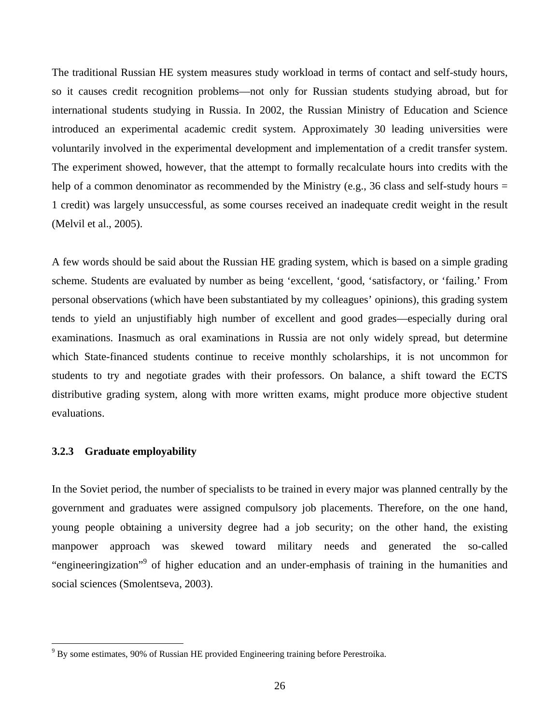The traditional Russian HE system measures study workload in terms of contact and self-study hours, so it causes credit recognition problems—not only for Russian students studying abroad, but for international students studying in Russia. In 2002, the Russian Ministry of Education and Science introduced an experimental academic credit system. Approximately 30 leading universities were voluntarily involved in the experimental development and implementation of a credit transfer system. The experiment showed, however, that the attempt to formally recalculate hours into credits with the help of a common denominator as recommended by the Ministry (e.g., 36 class and self-study hours = 1 credit) was largely unsuccessful, as some courses received an inadequate credit weight in the result (Melvil et al., 2005).

A few words should be said about the Russian HE grading system, which is based on a simple grading scheme. Students are evaluated by number as being 'excellent, 'good, 'satisfactory, or 'failing.' From personal observations (which have been substantiated by my colleagues' opinions), this grading system tends to yield an unjustifiably high number of excellent and good grades—especially during oral examinations. Inasmuch as oral examinations in Russia are not only widely spread, but determine which State-financed students continue to receive monthly scholarships, it is not uncommon for students to try and negotiate grades with their professors. On balance, a shift toward the ECTS distributive grading system, along with more written exams, might produce more objective student evaluations.

#### **3.2.3 Graduate employability**

l

In the Soviet period, the number of specialists to be trained in every major was planned centrally by the government and graduates were assigned compulsory job placements. Therefore, on the one hand, young people obtaining a university degree had a job security; on the other hand, the existing manpower approach was skewed toward military needs and generated the so-called "engineeringization"<sup>9</sup> of higher education and an under-emphasis of training in the humanities and social sciences (Smolentseva, 2003).

<sup>&</sup>lt;sup>9</sup> By some estimates, 90% of Russian HE provided Engineering training before Perestroika.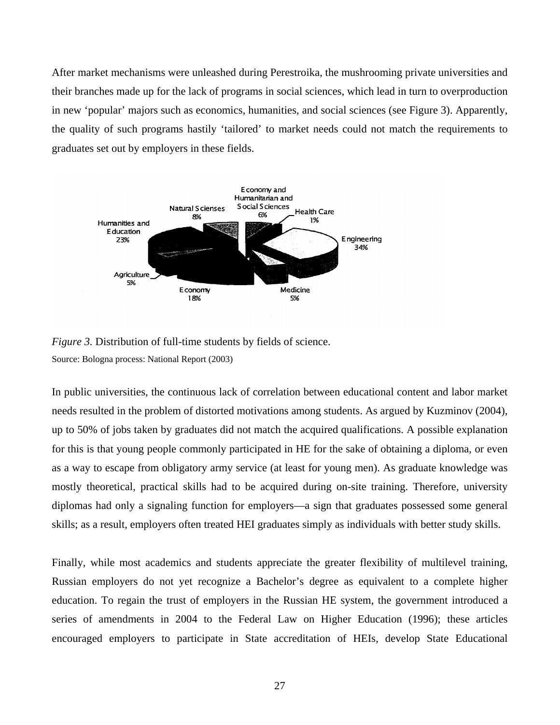After market mechanisms were unleashed during Perestroika, the mushrooming private universities and their branches made up for the lack of programs in social sciences, which lead in turn to overproduction in new 'popular' majors such as economics, humanities, and social sciences (see Figure 3). Apparently, the quality of such programs hastily 'tailored' to market needs could not match the requirements to graduates set out by employers in these fields.





In public universities, the continuous lack of correlation between educational content and labor market needs resulted in the problem of distorted motivations among students. As argued by Kuzminov (2004), up to 50% of jobs taken by graduates did not match the acquired qualifications. A possible explanation for this is that young people commonly participated in HE for the sake of obtaining a diploma, or even as a way to escape from obligatory army service (at least for young men). As graduate knowledge was mostly theoretical, practical skills had to be acquired during on-site training. Therefore, university diplomas had only a signaling function for employers—a sign that graduates possessed some general skills; as a result, employers often treated HEI graduates simply as individuals with better study skills.

Finally, while most academics and students appreciate the greater flexibility of multilevel training, Russian employers do not yet recognize a Bachelor's degree as equivalent to a complete higher education. To regain the trust of employers in the Russian HE system, the government introduced a series of amendments in 2004 to the Federal Law on Higher Education (1996); these articles encouraged employers to participate in State accreditation of HEIs, develop State Educational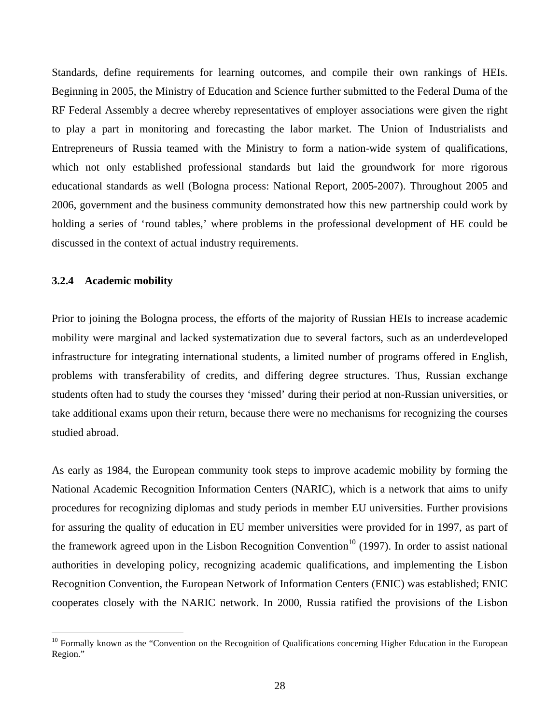Standards, define requirements for learning outcomes, and compile their own rankings of HEIs. Beginning in 2005, the Ministry of Education and Science further submitted to the Federal Duma of the RF Federal Assembly a decree whereby representatives of employer associations were given the right to play a part in monitoring and forecasting the labor market. The Union of Industrialists and Entrepreneurs of Russia teamed with the Ministry to form a nation-wide system of qualifications, which not only established professional standards but laid the groundwork for more rigorous educational standards as well (Bologna process: National Report, 2005-2007). Throughout 2005 and 2006, government and the business community demonstrated how this new partnership could work by holding a series of 'round tables,' where problems in the professional development of HE could be discussed in the context of actual industry requirements.

#### **3.2.4 Academic mobility**

 $\overline{a}$ 

Prior to joining the Bologna process, the efforts of the majority of Russian HEIs to increase academic mobility were marginal and lacked systematization due to several factors, such as an underdeveloped infrastructure for integrating international students, a limited number of programs offered in English, problems with transferability of credits, and differing degree structures. Thus, Russian exchange students often had to study the courses they 'missed' during their period at non-Russian universities, or take additional exams upon their return, because there were no mechanisms for recognizing the courses studied abroad.

As early as 1984, the European community took steps to improve academic mobility by forming the National Academic Recognition Information Centers (NARIC), which is a network that aims to unify procedures for recognizing diplomas and study periods in member EU universities. Further provisions for assuring the quality of education in EU member universities were provided for in 1997, as part of the framework agreed upon in the Lisbon Recognition Convention<sup>10</sup> (1997). In order to assist national authorities in developing policy, recognizing academic qualifications, and implementing the Lisbon Recognition Convention, the European Network of Information Centers (ENIC) was established; ENIC cooperates closely with the NARIC network. In 2000, Russia ratified the provisions of the Lisbon

<sup>&</sup>lt;sup>10</sup> Formally known as the "Convention on the Recognition of Qualifications concerning Higher Education in the European Region."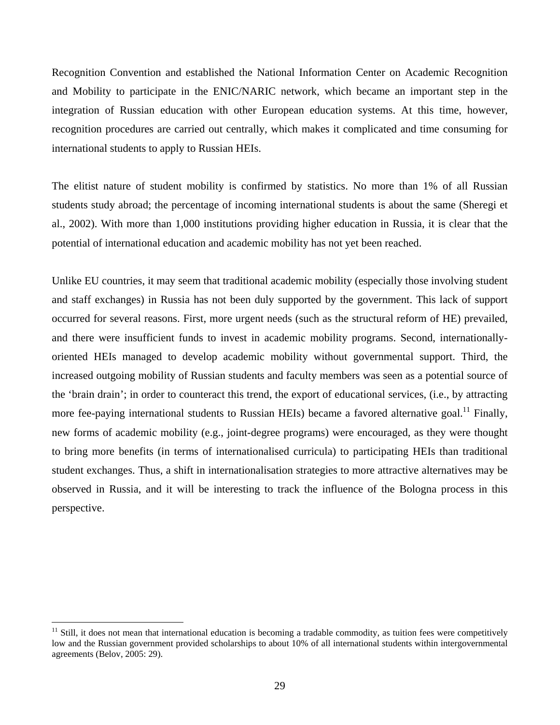Recognition Convention and established the National Information Center on Academic Recognition and Mobility to participate in the ENIC/NARIC network, which became an important step in the integration of Russian education with other European education systems. At this time, however, recognition procedures are carried out centrally, which makes it complicated and time consuming for international students to apply to Russian HEIs.

The elitist nature of student mobility is confirmed by statistics. No more than 1% of all Russian students study abroad; the percentage of incoming international students is about the same (Sheregi et al., 2002). With more than 1,000 institutions providing higher education in Russia, it is clear that the potential of international education and academic mobility has not yet been reached.

Unlike EU countries, it may seem that traditional academic mobility (especially those involving student and staff exchanges) in Russia has not been duly supported by the government. This lack of support occurred for several reasons. First, more urgent needs (such as the structural reform of HE) prevailed, and there were insufficient funds to invest in academic mobility programs. Second, internationallyoriented HEIs managed to develop academic mobility without governmental support. Third, the increased outgoing mobility of Russian students and faculty members was seen as a potential source of the 'brain drain'; in order to counteract this trend, the export of educational services, (i.e., by attracting more fee-paying international students to Russian HEIs) became a favored alternative goal.<sup>11</sup> Finally, new forms of academic mobility (e.g., joint-degree programs) were encouraged, as they were thought to bring more benefits (in terms of internationalised curricula) to participating HEIs than traditional student exchanges. Thus, a shift in internationalisation strategies to more attractive alternatives may be observed in Russia, and it will be interesting to track the influence of the Bologna process in this perspective.

 $\overline{a}$ 

 $11$  Still, it does not mean that international education is becoming a tradable commodity, as tuition fees were competitively low and the Russian government provided scholarships to about 10% of all international students within intergovernmental agreements (Belov, 2005: 29).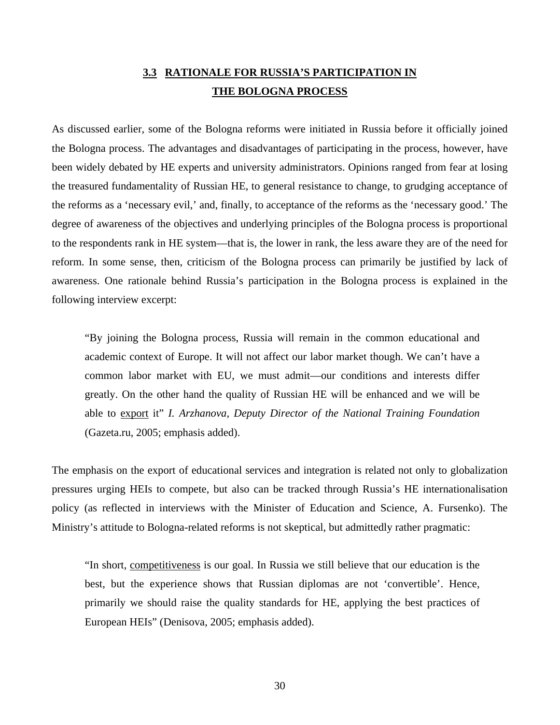# **3.3 RATIONALE FOR RUSSIA'S PARTICIPATION IN THE BOLOGNA PROCESS**

As discussed earlier, some of the Bologna reforms were initiated in Russia before it officially joined the Bologna process. The advantages and disadvantages of participating in the process, however, have been widely debated by HE experts and university administrators. Opinions ranged from fear at losing the treasured fundamentality of Russian HE, to general resistance to change, to grudging acceptance of the reforms as a 'necessary evil,' and, finally, to acceptance of the reforms as the 'necessary good.' The degree of awareness of the objectives and underlying principles of the Bologna process is proportional to the respondents rank in HE system—that is, the lower in rank, the less aware they are of the need for reform. In some sense, then, criticism of the Bologna process can primarily be justified by lack of awareness. One rationale behind Russia's participation in the Bologna process is explained in the following interview excerpt:

"By joining the Bologna process, Russia will remain in the common educational and academic context of Europe. It will not affect our labor market though. We can't have a common labor market with EU, we must admit—our conditions and interests differ greatly. On the other hand the quality of Russian HE will be enhanced and we will be able to export it" *I. Arzhanova, Deputy Director of the National Training Foundation* (Gazeta.ru, 2005; emphasis added).

The emphasis on the export of educational services and integration is related not only to globalization pressures urging HEIs to compete, but also can be tracked through Russia's HE internationalisation policy (as reflected in interviews with the Minister of Education and Science, A. Fursenko). The Ministry's attitude to Bologna-related reforms is not skeptical, but admittedly rather pragmatic:

"In short, competitiveness is our goal. In Russia we still believe that our education is the best, but the experience shows that Russian diplomas are not 'convertible'. Hence, primarily we should raise the quality standards for HE, applying the best practices of European HEIs" (Denisova, 2005; emphasis added).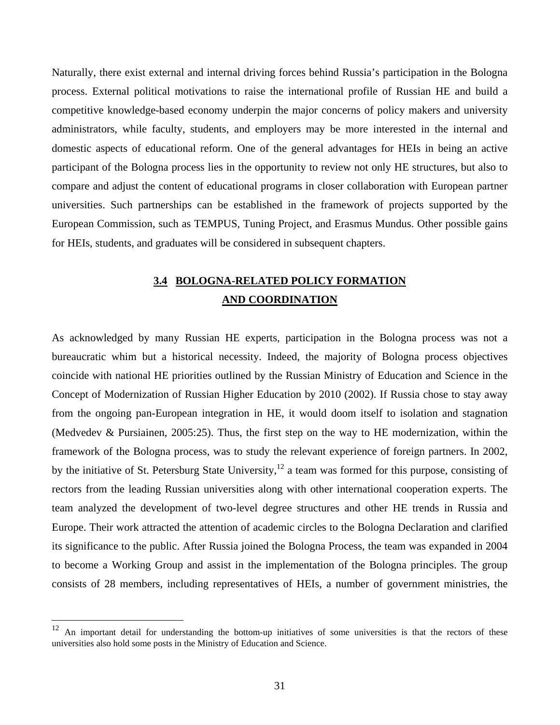Naturally, there exist external and internal driving forces behind Russia's participation in the Bologna process. External political motivations to raise the international profile of Russian HE and build a competitive knowledge-based economy underpin the major concerns of policy makers and university administrators, while faculty, students, and employers may be more interested in the internal and domestic aspects of educational reform. One of the general advantages for HEIs in being an active participant of the Bologna process lies in the opportunity to review not only HE structures, but also to compare and adjust the content of educational programs in closer collaboration with European partner universities. Such partnerships can be established in the framework of projects supported by the European Commission, such as TEMPUS, Tuning Project, and Erasmus Mundus. Other possible gains for HEIs, students, and graduates will be considered in subsequent chapters.

# **3.4 BOLOGNA-RELATED POLICY FORMATION AND COORDINATION**

As acknowledged by many Russian HE experts, participation in the Bologna process was not a bureaucratic whim but a historical necessity. Indeed, the majority of Bologna process objectives coincide with national HE priorities outlined by the Russian Ministry of Education and Science in the Concept of Modernization of Russian Higher Education by 2010 (2002). If Russia chose to stay away from the ongoing pan-European integration in HE, it would doom itself to isolation and stagnation (Medvedev & Pursiainen, 2005:25). Thus, the first step on the way to HE modernization, within the framework of the Bologna process, was to study the relevant experience of foreign partners. In 2002, by the initiative of St. Petersburg State University,<sup>12</sup> a team was formed for this purpose, consisting of rectors from the leading Russian universities along with other international cooperation experts. The team analyzed the development of two-level degree structures and other HE trends in Russia and Europe. Their work attracted the attention of academic circles to the Bologna Declaration and clarified its significance to the public. After Russia joined the Bologna Process, the team was expanded in 2004 to become a Working Group and assist in the implementation of the Bologna principles. The group consists of 28 members, including representatives of HEIs, a number of government ministries, the

 $\overline{a}$ 

<sup>12</sup> An important detail for understanding the bottom-up initiatives of some universities is that the rectors of these universities also hold some posts in the Ministry of Education and Science.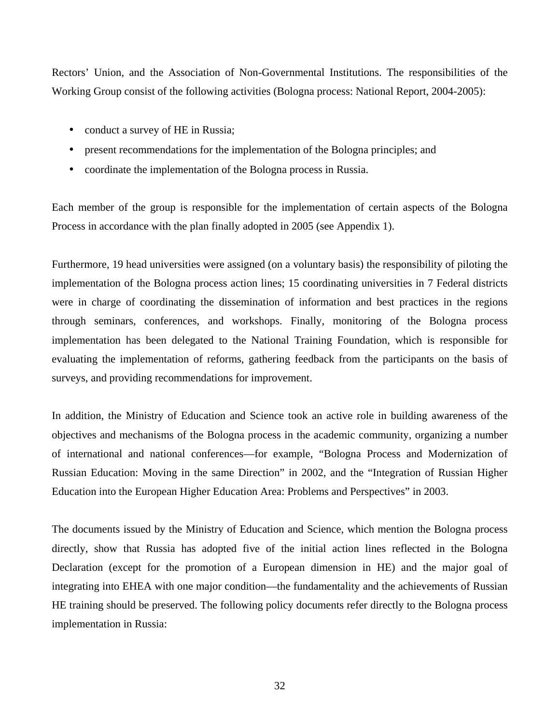Rectors' Union, and the Association of Non-Governmental Institutions. The responsibilities of the Working Group consist of the following activities (Bologna process: National Report, 2004-2005):

- conduct a survey of HE in Russia;
- present recommendations for the implementation of the Bologna principles; and
- coordinate the implementation of the Bologna process in Russia.

Each member of the group is responsible for the implementation of certain aspects of the Bologna Process in accordance with the plan finally adopted in 2005 (see Appendix 1).

Furthermore, 19 head universities were assigned (on a voluntary basis) the responsibility of piloting the implementation of the Bologna process action lines; 15 coordinating universities in 7 Federal districts were in charge of coordinating the dissemination of information and best practices in the regions through seminars, conferences, and workshops. Finally, monitoring of the Bologna process implementation has been delegated to the National Training Foundation, which is responsible for evaluating the implementation of reforms, gathering feedback from the participants on the basis of surveys, and providing recommendations for improvement.

In addition, the Ministry of Education and Science took an active role in building awareness of the objectives and mechanisms of the Bologna process in the academic community, organizing a number of international and national conferences—for example, "Bologna Process and Modernization of Russian Education: Moving in the same Direction" in 2002, and the "Integration of Russian Higher Education into the European Higher Education Area: Problems and Perspectives" in 2003.

The documents issued by the Ministry of Education and Science, which mention the Bologna process directly, show that Russia has adopted five of the initial action lines reflected in the Bologna Declaration (except for the promotion of a European dimension in HE) and the major goal of integrating into EHEA with one major condition—the fundamentality and the achievements of Russian HE training should be preserved. The following policy documents refer directly to the Bologna process implementation in Russia: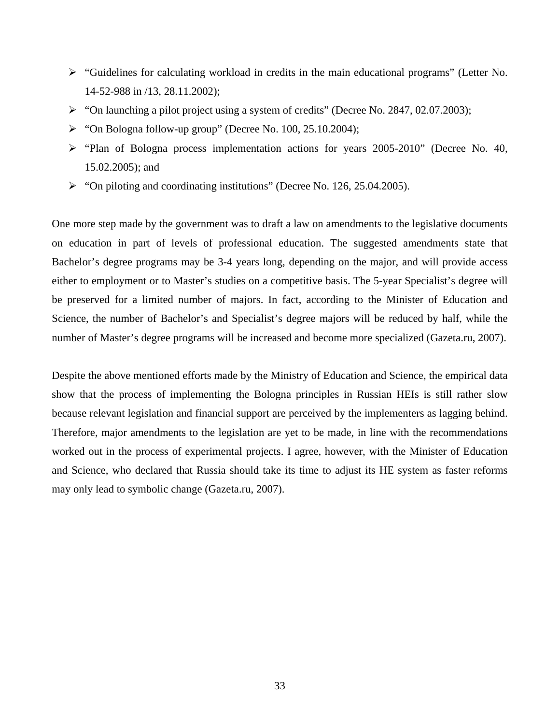- $\triangleright$  "Guidelines for calculating workload in credits in the main educational programs" (Letter No. 14-52-988 in /13, 28.11.2002);
- "On launching a pilot project using a system of credits" (Decree No. 2847, 02.07.2003);
- "On Bologna follow-up group" (Decree No. 100, 25.10.2004);
- "Plan of Bologna process implementation actions for years 2005-2010" (Decree No. 40, 15.02.2005); and
- "On piloting and coordinating institutions" (Decree No. 126, 25.04.2005).

One more step made by the government was to draft a law on amendments to the legislative documents on education in part of levels of professional education. The suggested amendments state that Bachelor's degree programs may be 3-4 years long, depending on the major, and will provide access either to employment or to Master's studies on a competitive basis. The 5-year Specialist's degree will be preserved for a limited number of majors. In fact, according to the Minister of Education and Science, the number of Bachelor's and Specialist's degree majors will be reduced by half, while the number of Master's degree programs will be increased and become more specialized (Gazeta.ru, 2007).

Despite the above mentioned efforts made by the Ministry of Education and Science, the empirical data show that the process of implementing the Bologna principles in Russian HEIs is still rather slow because relevant legislation and financial support are perceived by the implementers as lagging behind. Therefore, major amendments to the legislation are yet to be made, in line with the recommendations worked out in the process of experimental projects. I agree, however, with the Minister of Education and Science, who declared that Russia should take its time to adjust its HE system as faster reforms may only lead to symbolic change (Gazeta.ru, 2007).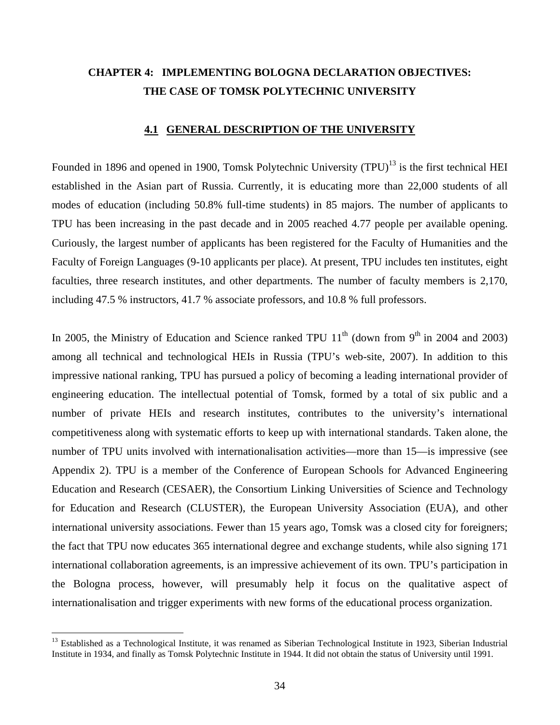# **CHAPTER 4: IMPLEMENTING BOLOGNA DECLARATION OBJECTIVES: THE CASE OF TOMSK POLYTECHNIC UNIVERSITY**

#### **4.1 GENERAL DESCRIPTION OF THE UNIVERSITY**

Founded in 1896 and opened in 1900, Tomsk Polytechnic University (TPU)<sup>13</sup> is the first technical HEI established in the Asian part of Russia. Currently, it is educating more than 22,000 students of all modes of education (including 50.8% full-time students) in 85 majors. The number of applicants to TPU has been increasing in the past decade and in 2005 reached 4.77 people per available opening. Curiously, the largest number of applicants has been registered for the Faculty of Humanities and the Faculty of Foreign Languages (9-10 applicants per place). At present, TPU includes ten institutes, eight faculties, three research institutes, and other departments. The number of faculty members is 2,170, including 47.5 % instructors, 41.7 % associate professors, and 10.8 % full professors.

In 2005, the Ministry of Education and Science ranked TPU  $11<sup>th</sup>$  (down from 9<sup>th</sup> in 2004 and 2003) among all technical and technological HEIs in Russia (TPU's web-site, 2007). In addition to this impressive national ranking, TPU has pursued a policy of becoming a leading international provider of engineering education. The intellectual potential of Tomsk, formed by a total of six public and a number of private HEIs and research institutes, contributes to the university's international competitiveness along with systematic efforts to keep up with international standards. Taken alone, the number of TPU units involved with internationalisation activities—more than 15—is impressive (see Appendix 2). TPU is a member of the Conference of European Schools for Advanced Engineering Education and Research (CESAER), the Consortium Linking Universities of Science and Technology for Education and Research (CLUSTER), the European University Association (EUA), and other international university associations. Fewer than 15 years ago, Tomsk was a closed city for foreigners; the fact that TPU now educates 365 international degree and exchange students, while also signing 171 international collaboration agreements, is an impressive achievement of its own. TPU's participation in the Bologna process, however, will presumably help it focus on the qualitative aspect of internationalisation and trigger experiments with new forms of the educational process organization.

 $\overline{a}$ 

<sup>&</sup>lt;sup>13</sup> Established as a Technological Institute, it was renamed as Siberian Technological Institute in 1923, Siberian Industrial Institute in 1934, and finally as Tomsk Polytechnic Institute in 1944. It did not obtain the status of University until 1991.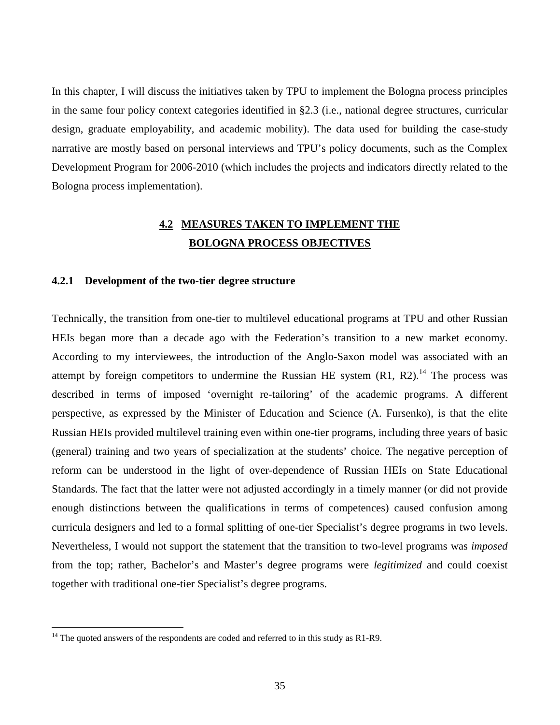In this chapter, I will discuss the initiatives taken by TPU to implement the Bologna process principles in the same four policy context categories identified in §2.3 (i.e., national degree structures, curricular design, graduate employability, and academic mobility). The data used for building the case-study narrative are mostly based on personal interviews and TPU's policy documents, such as the Complex Development Program for 2006-2010 (which includes the projects and indicators directly related to the Bologna process implementation).

## **4.2 MEASURES TAKEN TO IMPLEMENT THE BOLOGNA PROCESS OBJECTIVES**

#### **4.2.1 Development of the two-tier degree structure**

Technically, the transition from one-tier to multilevel educational programs at TPU and other Russian HEIs began more than a decade ago with the Federation's transition to a new market economy. According to my interviewees, the introduction of the Anglo-Saxon model was associated with an attempt by foreign competitors to undermine the Russian HE system  $(R1, R2)$ .<sup>14</sup> The process was described in terms of imposed 'overnight re-tailoring' of the academic programs. A different perspective, as expressed by the Minister of Education and Science (A. Fursenko), is that the elite Russian HEIs provided multilevel training even within one-tier programs, including three years of basic (general) training and two years of specialization at the students' choice. The negative perception of reform can be understood in the light of over-dependence of Russian HEIs on State Educational Standards. The fact that the latter were not adjusted accordingly in a timely manner (or did not provide enough distinctions between the qualifications in terms of competences) caused confusion among curricula designers and led to a formal splitting of one-tier Specialist's degree programs in two levels. Nevertheless, I would not support the statement that the transition to two-level programs was *imposed* from the top; rather, Bachelor's and Master's degree programs were *legitimized* and could coexist together with traditional one-tier Specialist's degree programs.

 $\overline{a}$ 

 $14$  The quoted answers of the respondents are coded and referred to in this study as R1-R9.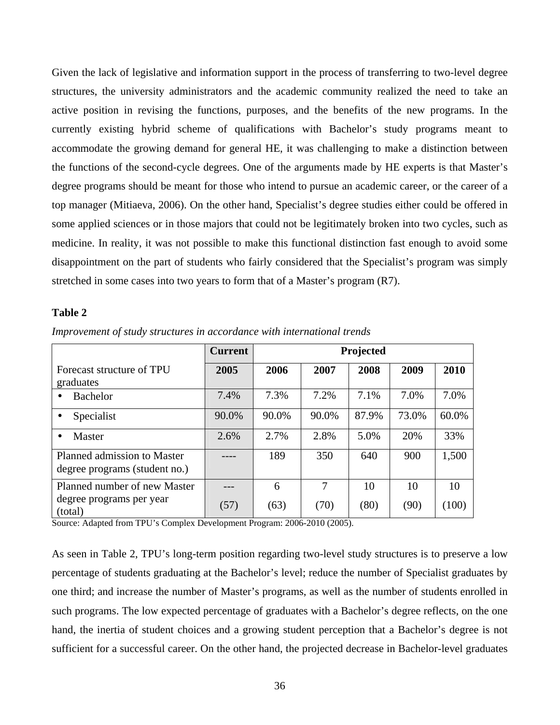Given the lack of legislative and information support in the process of transferring to two-level degree structures, the university administrators and the academic community realized the need to take an active position in revising the functions, purposes, and the benefits of the new programs. In the currently existing hybrid scheme of qualifications with Bachelor's study programs meant to accommodate the growing demand for general HE, it was challenging to make a distinction between the functions of the second-cycle degrees. One of the arguments made by HE experts is that Master's degree programs should be meant for those who intend to pursue an academic career, or the career of a top manager (Mitiaeva, 2006). On the other hand, Specialist's degree studies either could be offered in some applied sciences or in those majors that could not be legitimately broken into two cycles, such as medicine. In reality, it was not possible to make this functional distinction fast enough to avoid some disappointment on the part of students who fairly considered that the Specialist's program was simply stretched in some cases into two years to form that of a Master's program (R7).

#### **Table 2**

|                                                              | <b>Current</b> | Projected |       |       |       |       |  |  |
|--------------------------------------------------------------|----------------|-----------|-------|-------|-------|-------|--|--|
| Forecast structure of TPU<br>graduates                       | 2005           | 2006      | 2007  | 2008  | 2009  | 2010  |  |  |
| <b>Bachelor</b>                                              | 7.4%           | 7.3%      | 7.2%  | 7.1%  | 7.0%  | 7.0%  |  |  |
| Specialist                                                   | 90.0%          | 90.0%     | 90.0% | 87.9% | 73.0% | 60.0% |  |  |
| Master<br>$\bullet$                                          | 2.6%           | 2.7%      | 2.8%  | 5.0%  | 20%   | 33%   |  |  |
| Planned admission to Master<br>degree programs (student no.) |                | 189       | 350   | 640   | 900   | 1,500 |  |  |
| Planned number of new Master                                 |                | 6         | 7     | 10    | 10    | 10    |  |  |
| degree programs per year<br>(total)                          | (57)           | (63)      | (70)  | (80)  | (90)  | (100) |  |  |

*Improvement of study structures in accordance with international trends* 

Source: Adapted from TPU's Complex Development Program: 2006-2010 (2005).

As seen in Table 2, TPU's long-term position regarding two-level study structures is to preserve a low percentage of students graduating at the Bachelor's level; reduce the number of Specialist graduates by one third; and increase the number of Master's programs, as well as the number of students enrolled in such programs. The low expected percentage of graduates with a Bachelor's degree reflects, on the one hand, the inertia of student choices and a growing student perception that a Bachelor's degree is not sufficient for a successful career. On the other hand, the projected decrease in Bachelor-level graduates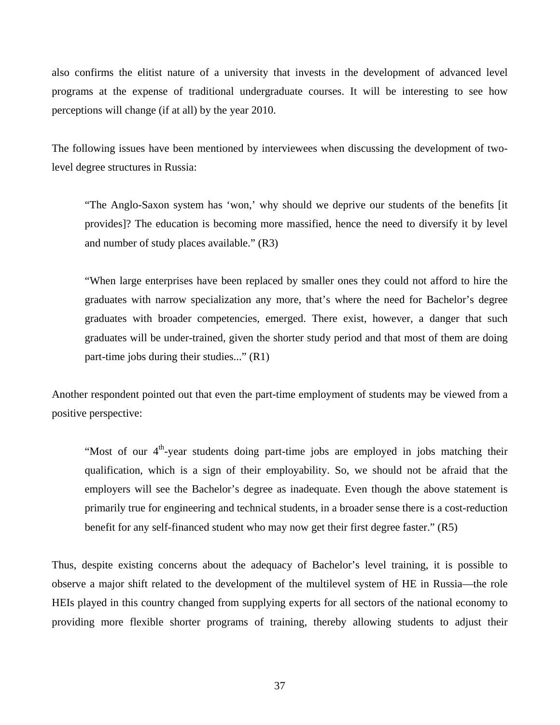also confirms the elitist nature of a university that invests in the development of advanced level programs at the expense of traditional undergraduate courses. It will be interesting to see how perceptions will change (if at all) by the year 2010.

The following issues have been mentioned by interviewees when discussing the development of twolevel degree structures in Russia:

"The Anglo-Saxon system has 'won,' why should we deprive our students of the benefits [it provides]? The education is becoming more massified, hence the need to diversify it by level and number of study places available." (R3)

"When large enterprises have been replaced by smaller ones they could not afford to hire the graduates with narrow specialization any more, that's where the need for Bachelor's degree graduates with broader competencies, emerged. There exist, however, a danger that such graduates will be under-trained, given the shorter study period and that most of them are doing part-time jobs during their studies..." (R1)

Another respondent pointed out that even the part-time employment of students may be viewed from a positive perspective:

"Most of our  $4<sup>th</sup>$ -year students doing part-time jobs are employed in jobs matching their qualification, which is a sign of their employability. So, we should not be afraid that the employers will see the Bachelor's degree as inadequate. Even though the above statement is primarily true for engineering and technical students, in a broader sense there is a cost-reduction benefit for any self-financed student who may now get their first degree faster." (R5)

Thus, despite existing concerns about the adequacy of Bachelor's level training, it is possible to observe a major shift related to the development of the multilevel system of HE in Russia—the role HEIs played in this country changed from supplying experts for all sectors of the national economy to providing more flexible shorter programs of training, thereby allowing students to adjust their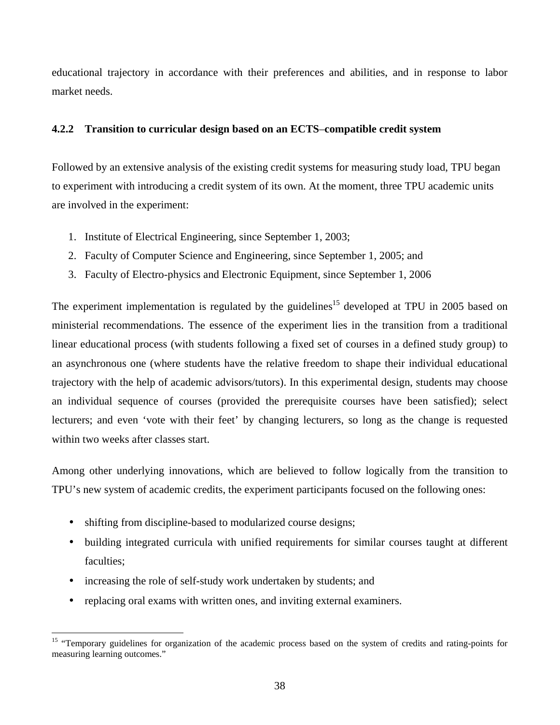educational trajectory in accordance with their preferences and abilities, and in response to labor market needs.

## **4.2.2 Transition to curricular design based on an ECTS**–**compatible credit system**

Followed by an extensive analysis of the existing credit systems for measuring study load, TPU began to experiment with introducing a credit system of its own. At the moment, three TPU academic units are involved in the experiment:

- 1. Institute of Electrical Engineering, since September 1, 2003;
- 2. Faculty of Computer Science and Engineering, since September 1, 2005; and
- 3. Faculty of Electro-physics and Electronic Equipment, since September 1, 2006

The experiment implementation is regulated by the guidelines<sup>15</sup> developed at TPU in 2005 based on ministerial recommendations. The essence of the experiment lies in the transition from a traditional linear educational process (with students following a fixed set of courses in a defined study group) to an asynchronous one (where students have the relative freedom to shape their individual educational trajectory with the help of academic advisors/tutors). In this experimental design, students may choose an individual sequence of courses (provided the prerequisite courses have been satisfied); select lecturers; and even 'vote with their feet' by changing lecturers, so long as the change is requested within two weeks after classes start.

Among other underlying innovations, which are believed to follow logically from the transition to TPU's new system of academic credits, the experiment participants focused on the following ones:

- shifting from discipline-based to modularized course designs;
- building integrated curricula with unified requirements for similar courses taught at different faculties:
- increasing the role of self-study work undertaken by students; and
- replacing oral exams with written ones, and inviting external examiners.

 $\overline{a}$ <sup>15</sup> "Temporary guidelines for organization of the academic process based on the system of credits and rating-points for measuring learning outcomes."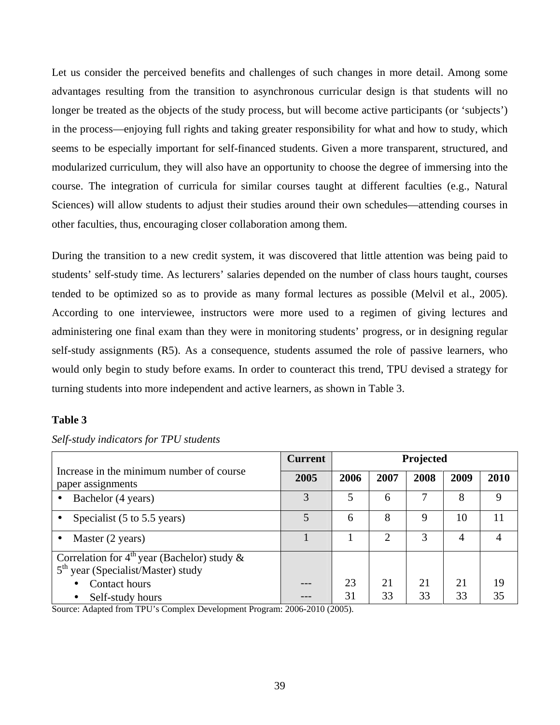Let us consider the perceived benefits and challenges of such changes in more detail. Among some advantages resulting from the transition to asynchronous curricular design is that students will no longer be treated as the objects of the study process, but will become active participants (or 'subjects') in the process—enjoying full rights and taking greater responsibility for what and how to study, which seems to be especially important for self-financed students. Given a more transparent, structured, and modularized curriculum, they will also have an opportunity to choose the degree of immersing into the course. The integration of curricula for similar courses taught at different faculties (e.g., Natural Sciences) will allow students to adjust their studies around their own schedules—attending courses in other faculties, thus, encouraging closer collaboration among them.

During the transition to a new credit system, it was discovered that little attention was being paid to students' self-study time. As lecturers' salaries depended on the number of class hours taught, courses tended to be optimized so as to provide as many formal lectures as possible (Melvil et al., 2005). According to one interviewee, instructors were more used to a regimen of giving lectures and administering one final exam than they were in monitoring students' progress, or in designing regular self-study assignments (R5). As a consequence, students assumed the role of passive learners, who would only begin to study before exams. In order to counteract this trend, TPU devised a strategy for turning students into more independent and active learners, as shown in Table 3.

## **Table 3**

|                                                                                                    | <b>Current</b> | Projected |      |      |      |      |
|----------------------------------------------------------------------------------------------------|----------------|-----------|------|------|------|------|
| Increase in the minimum number of course<br>paper assignments                                      | 2005           | 2006      | 2007 | 2008 | 2009 | 2010 |
| Bachelor (4 years)                                                                                 |                | 5         | 6    |      | 8    | 9    |
| Specialist (5 to 5.5 years)                                                                        |                | 6         | 8    | 9    | 10   | 11   |
| Master (2 years)<br>$\bullet$                                                                      |                |           |      | 3    | 4    |      |
| Correlation for $4^{th}$ year (Bachelor) study &<br>5 <sup>th</sup> year (Specialist/Master) study |                |           |      |      |      |      |
| Contact hours                                                                                      |                | 23        | 21   | 21   | 21   | 19   |
| Self-study hours                                                                                   |                | 31        | 33   | 33   | 33   | 35   |

### *Self-study indicators for TPU students*

Source: Adapted from TPU's Complex Development Program: 2006-2010 (2005).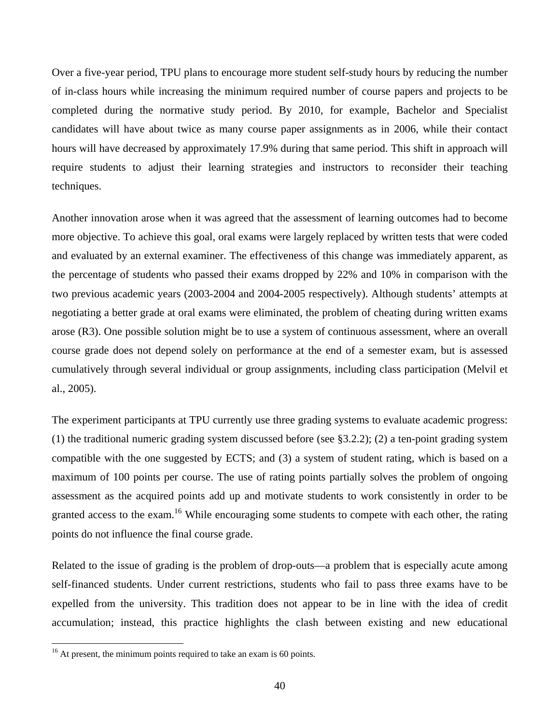Over a five-year period, TPU plans to encourage more student self-study hours by reducing the number of in-class hours while increasing the minimum required number of course papers and projects to be completed during the normative study period. By 2010, for example, Bachelor and Specialist candidates will have about twice as many course paper assignments as in 2006, while their contact hours will have decreased by approximately 17.9% during that same period. This shift in approach will require students to adjust their learning strategies and instructors to reconsider their teaching techniques.

Another innovation arose when it was agreed that the assessment of learning outcomes had to become more objective. To achieve this goal, oral exams were largely replaced by written tests that were coded and evaluated by an external examiner. The effectiveness of this change was immediately apparent, as the percentage of students who passed their exams dropped by 22% and 10% in comparison with the two previous academic years (2003-2004 and 2004-2005 respectively). Although students' attempts at negotiating a better grade at oral exams were eliminated, the problem of cheating during written exams arose (R3). One possible solution might be to use a system of continuous assessment, where an overall course grade does not depend solely on performance at the end of a semester exam, but is assessed cumulatively through several individual or group assignments, including class participation (Melvil et al., 2005).

The experiment participants at TPU currently use three grading systems to evaluate academic progress: (1) the traditional numeric grading system discussed before (see §3.2.2); (2) a ten-point grading system compatible with the one suggested by ECTS; and (3) a system of student rating, which is based on a maximum of 100 points per course. The use of rating points partially solves the problem of ongoing assessment as the acquired points add up and motivate students to work consistently in order to be granted access to the exam.<sup>16</sup> While encouraging some students to compete with each other, the rating points do not influence the final course grade.

Related to the issue of grading is the problem of drop-outs—a problem that is especially acute among self-financed students. Under current restrictions, students who fail to pass three exams have to be expelled from the university. This tradition does not appear to be in line with the idea of credit accumulation; instead, this practice highlights the clash between existing and new educational

 $\overline{a}$ 

 $16$  At present, the minimum points required to take an exam is 60 points.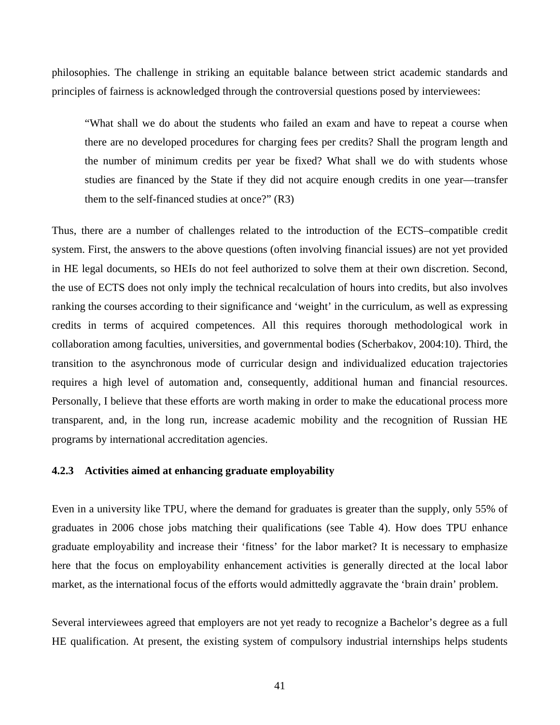philosophies. The challenge in striking an equitable balance between strict academic standards and principles of fairness is acknowledged through the controversial questions posed by interviewees:

"What shall we do about the students who failed an exam and have to repeat a course when there are no developed procedures for charging fees per credits? Shall the program length and the number of minimum credits per year be fixed? What shall we do with students whose studies are financed by the State if they did not acquire enough credits in one year—transfer them to the self-financed studies at once?" (R3)

Thus, there are a number of challenges related to the introduction of the ECTS–compatible credit system. First, the answers to the above questions (often involving financial issues) are not yet provided in HE legal documents, so HEIs do not feel authorized to solve them at their own discretion. Second, the use of ECTS does not only imply the technical recalculation of hours into credits, but also involves ranking the courses according to their significance and 'weight' in the curriculum, as well as expressing credits in terms of acquired competences. All this requires thorough methodological work in collaboration among faculties, universities, and governmental bodies (Scherbakov, 2004:10). Third, the transition to the asynchronous mode of curricular design and individualized education trajectories requires a high level of automation and, consequently, additional human and financial resources. Personally, I believe that these efforts are worth making in order to make the educational process more transparent, and, in the long run, increase academic mobility and the recognition of Russian HE programs by international accreditation agencies.

#### **4.2.3 Activities aimed at enhancing graduate employability**

Even in a university like TPU, where the demand for graduates is greater than the supply, only 55% of graduates in 2006 chose jobs matching their qualifications (see Table 4). How does TPU enhance graduate employability and increase their 'fitness' for the labor market? It is necessary to emphasize here that the focus on employability enhancement activities is generally directed at the local labor market, as the international focus of the efforts would admittedly aggravate the 'brain drain' problem.

Several interviewees agreed that employers are not yet ready to recognize a Bachelor's degree as a full HE qualification. At present, the existing system of compulsory industrial internships helps students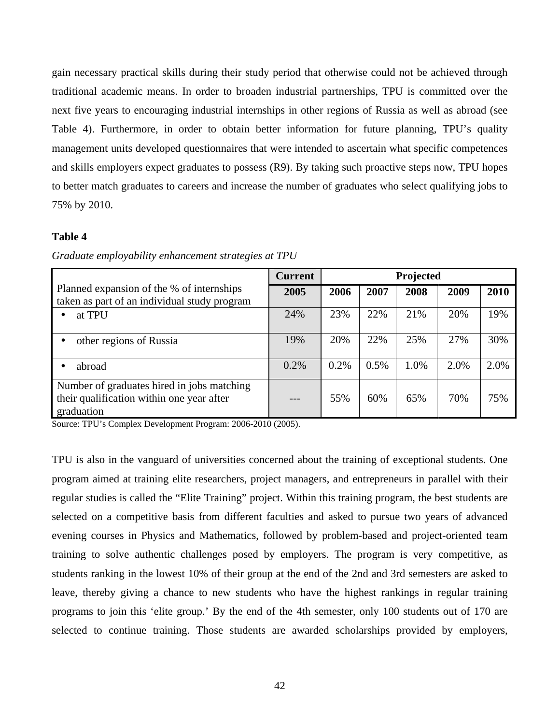gain necessary practical skills during their study period that otherwise could not be achieved through traditional academic means. In order to broaden industrial partnerships, TPU is committed over the next five years to encouraging industrial internships in other regions of Russia as well as abroad (see Table 4). Furthermore, in order to obtain better information for future planning, TPU's quality management units developed questionnaires that were intended to ascertain what specific competences and skills employers expect graduates to possess (R9). By taking such proactive steps now, TPU hopes to better match graduates to careers and increase the number of graduates who select qualifying jobs to 75% by 2010.

## **Table 4**

|                                                                                                       | <b>Current</b> | Projected |      |      |      |      |
|-------------------------------------------------------------------------------------------------------|----------------|-----------|------|------|------|------|
| Planned expansion of the % of internships<br>taken as part of an individual study program             | 2005           | 2006      | 2007 | 2008 | 2009 | 2010 |
| at TPU                                                                                                | 24%            | 23%       | 22%  | 21%  | 20%  | 19%  |
| other regions of Russia                                                                               | 19%            | 20%       | 22%  | 25%  | 27%  | 30%  |
| abroad                                                                                                | 0.2%           | 0.2%      | 0.5% | 1.0% | 2.0% | 2.0% |
| Number of graduates hired in jobs matching<br>their qualification within one year after<br>graduation |                | 55%       | 60%  | 65%  | 70%  | 75%  |

*Graduate employability enhancement strategies at TPU*

Source: TPU's Complex Development Program: 2006-2010 (2005).

TPU is also in the vanguard of universities concerned about the training of exceptional students. One program aimed at training elite researchers, project managers, and entrepreneurs in parallel with their regular studies is called the "Elite Training" project. Within this training program, the best students are selected on a competitive basis from different faculties and asked to pursue two years of advanced evening courses in Physics and Mathematics, followed by problem-based and project-oriented team training to solve authentic challenges posed by employers. The program is very competitive, as students ranking in the lowest 10% of their group at the end of the 2nd and 3rd semesters are asked to leave, thereby giving a chance to new students who have the highest rankings in regular training programs to join this 'elite group.' By the end of the 4th semester, only 100 students out of 170 are selected to continue training. Those students are awarded scholarships provided by employers,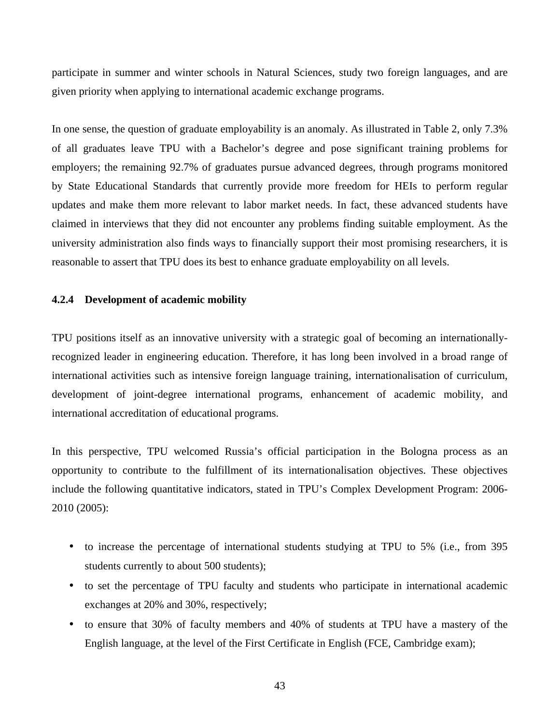participate in summer and winter schools in Natural Sciences, study two foreign languages, and are given priority when applying to international academic exchange programs.

In one sense, the question of graduate employability is an anomaly. As illustrated in Table 2, only 7.3% of all graduates leave TPU with a Bachelor's degree and pose significant training problems for employers; the remaining 92.7% of graduates pursue advanced degrees, through programs monitored by State Educational Standards that currently provide more freedom for HEIs to perform regular updates and make them more relevant to labor market needs. In fact, these advanced students have claimed in interviews that they did not encounter any problems finding suitable employment. As the university administration also finds ways to financially support their most promising researchers, it is reasonable to assert that TPU does its best to enhance graduate employability on all levels.

### **4.2.4 Development of academic mobility**

TPU positions itself as an innovative university with a strategic goal of becoming an internationallyrecognized leader in engineering education. Therefore, it has long been involved in a broad range of international activities such as intensive foreign language training, internationalisation of curriculum, development of joint-degree international programs, enhancement of academic mobility, and international accreditation of educational programs.

In this perspective, TPU welcomed Russia's official participation in the Bologna process as an opportunity to contribute to the fulfillment of its internationalisation objectives. These objectives include the following quantitative indicators, stated in TPU's Complex Development Program: 2006- 2010 (2005):

- to increase the percentage of international students studying at TPU to 5% (i.e., from 395 students currently to about 500 students);
- to set the percentage of TPU faculty and students who participate in international academic exchanges at 20% and 30%, respectively;
- to ensure that 30% of faculty members and 40% of students at TPU have a mastery of the English language, at the level of the First Certificate in English (FCE, Cambridge exam);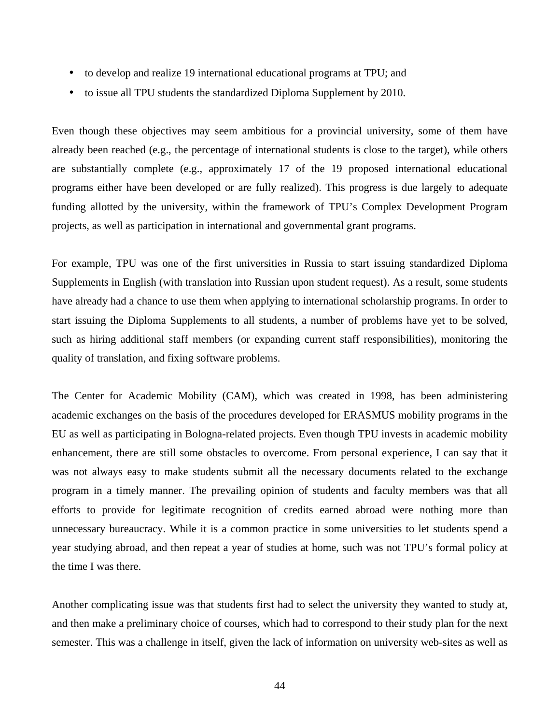- to develop and realize 19 international educational programs at TPU; and
- to issue all TPU students the standardized Diploma Supplement by 2010.

Even though these objectives may seem ambitious for a provincial university, some of them have already been reached (e.g., the percentage of international students is close to the target), while others are substantially complete (e.g., approximately 17 of the 19 proposed international educational programs either have been developed or are fully realized). This progress is due largely to adequate funding allotted by the university, within the framework of TPU's Complex Development Program projects, as well as participation in international and governmental grant programs.

For example, TPU was one of the first universities in Russia to start issuing standardized Diploma Supplements in English (with translation into Russian upon student request). As a result, some students have already had a chance to use them when applying to international scholarship programs. In order to start issuing the Diploma Supplements to all students, a number of problems have yet to be solved, such as hiring additional staff members (or expanding current staff responsibilities), monitoring the quality of translation, and fixing software problems.

The Center for Academic Mobility (CAM), which was created in 1998, has been administering academic exchanges on the basis of the procedures developed for ERASMUS mobility programs in the EU as well as participating in Bologna-related projects. Even though TPU invests in academic mobility enhancement, there are still some obstacles to overcome. From personal experience, I can say that it was not always easy to make students submit all the necessary documents related to the exchange program in a timely manner. The prevailing opinion of students and faculty members was that all efforts to provide for legitimate recognition of credits earned abroad were nothing more than unnecessary bureaucracy. While it is a common practice in some universities to let students spend a year studying abroad, and then repeat a year of studies at home, such was not TPU's formal policy at the time I was there.

Another complicating issue was that students first had to select the university they wanted to study at, and then make a preliminary choice of courses, which had to correspond to their study plan for the next semester. This was a challenge in itself, given the lack of information on university web-sites as well as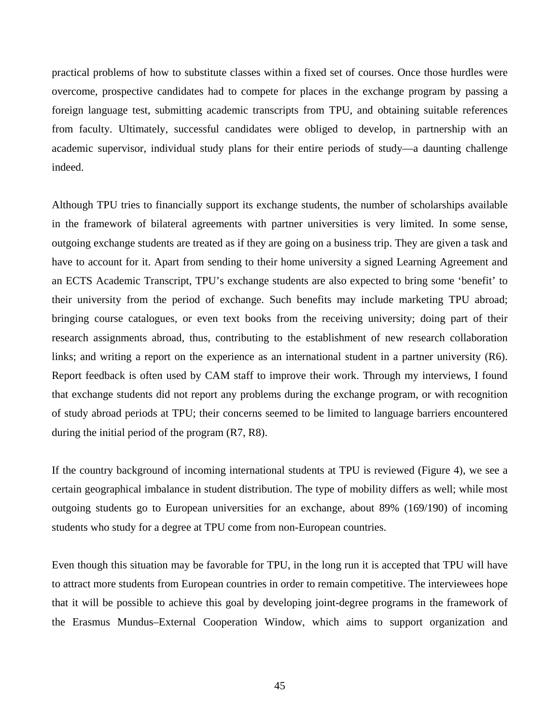practical problems of how to substitute classes within a fixed set of courses. Once those hurdles were overcome, prospective candidates had to compete for places in the exchange program by passing a foreign language test, submitting academic transcripts from TPU, and obtaining suitable references from faculty. Ultimately, successful candidates were obliged to develop, in partnership with an academic supervisor, individual study plans for their entire periods of study—a daunting challenge indeed.

Although TPU tries to financially support its exchange students, the number of scholarships available in the framework of bilateral agreements with partner universities is very limited. In some sense, outgoing exchange students are treated as if they are going on a business trip. They are given a task and have to account for it. Apart from sending to their home university a signed Learning Agreement and an ECTS Academic Transcript, TPU's exchange students are also expected to bring some 'benefit' to their university from the period of exchange. Such benefits may include marketing TPU abroad; bringing course catalogues, or even text books from the receiving university; doing part of their research assignments abroad, thus, contributing to the establishment of new research collaboration links; and writing a report on the experience as an international student in a partner university (R6). Report feedback is often used by CAM staff to improve their work. Through my interviews, I found that exchange students did not report any problems during the exchange program, or with recognition of study abroad periods at TPU; their concerns seemed to be limited to language barriers encountered during the initial period of the program (R7, R8).

If the country background of incoming international students at TPU is reviewed (Figure 4), we see a certain geographical imbalance in student distribution. The type of mobility differs as well; while most outgoing students go to European universities for an exchange, about 89% (169/190) of incoming students who study for a degree at TPU come from non-European countries.

Even though this situation may be favorable for TPU, in the long run it is accepted that TPU will have to attract more students from European countries in order to remain competitive. The interviewees hope that it will be possible to achieve this goal by developing joint-degree programs in the framework of the Erasmus Mundus–External Cooperation Window, which aims to support organization and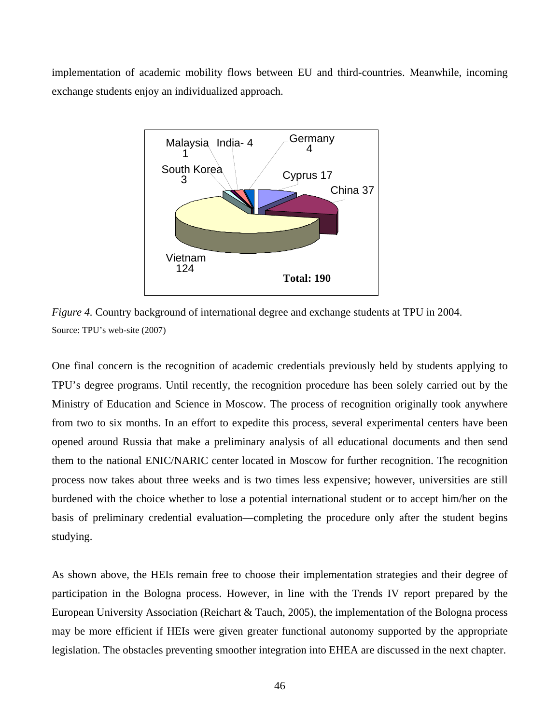implementation of academic mobility flows between EU and third-countries. Meanwhile, incoming exchange students enjoy an individualized approach.



*Figure 4.* Country background of international degree and exchange students at TPU in 2004. Source: TPU's web-site (2007)

One final concern is the recognition of academic credentials previously held by students applying to TPU's degree programs. Until recently, the recognition procedure has been solely carried out by the Ministry of Education and Science in Moscow. The process of recognition originally took anywhere from two to six months. In an effort to expedite this process, several experimental centers have been opened around Russia that make a preliminary analysis of all educational documents and then send them to the national ENIC/NARIC center located in Moscow for further recognition. The recognition process now takes about three weeks and is two times less expensive; however, universities are still burdened with the choice whether to lose a potential international student or to accept him/her on the basis of preliminary credential evaluation—completing the procedure only after the student begins studying.

As shown above, the HEIs remain free to choose their implementation strategies and their degree of participation in the Bologna process. However, in line with the Trends IV report prepared by the European University Association (Reichart & Tauch, 2005), the implementation of the Bologna process may be more efficient if HEIs were given greater functional autonomy supported by the appropriate legislation. The obstacles preventing smoother integration into EHEA are discussed in the next chapter.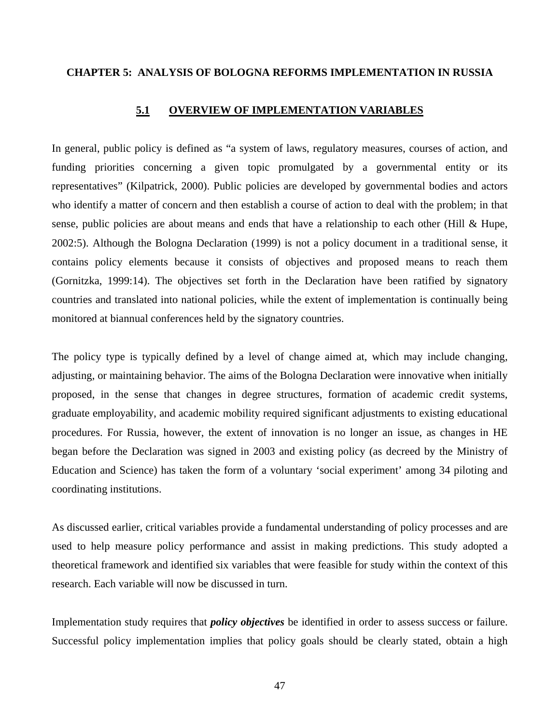### **CHAPTER 5: ANALYSIS OF BOLOGNA REFORMS IMPLEMENTATION IN RUSSIA**

### **5.1 OVERVIEW OF IMPLEMENTATION VARIABLES**

In general, public policy is defined as "a system of laws, regulatory measures, courses of action, and funding priorities concerning a given topic promulgated by a governmental entity or its representatives" (Kilpatrick, 2000). Public policies are developed by governmental bodies and actors who identify a matter of concern and then establish a course of action to deal with the problem; in that sense, public policies are about means and ends that have a relationship to each other (Hill & Hupe, 2002:5). Although the Bologna Declaration (1999) is not a policy document in a traditional sense, it contains policy elements because it consists of objectives and proposed means to reach them (Gornitzka, 1999:14). The objectives set forth in the Declaration have been ratified by signatory countries and translated into national policies, while the extent of implementation is continually being monitored at biannual conferences held by the signatory countries.

The policy type is typically defined by a level of change aimed at, which may include changing, adjusting, or maintaining behavior. The aims of the Bologna Declaration were innovative when initially proposed, in the sense that changes in degree structures, formation of academic credit systems, graduate employability, and academic mobility required significant adjustments to existing educational procedures. For Russia, however, the extent of innovation is no longer an issue, as changes in HE began before the Declaration was signed in 2003 and existing policy (as decreed by the Ministry of Education and Science) has taken the form of a voluntary 'social experiment' among 34 piloting and coordinating institutions.

As discussed earlier, critical variables provide a fundamental understanding of policy processes and are used to help measure policy performance and assist in making predictions. This study adopted a theoretical framework and identified six variables that were feasible for study within the context of this research. Each variable will now be discussed in turn.

Implementation study requires that *policy objectives* be identified in order to assess success or failure. Successful policy implementation implies that policy goals should be clearly stated, obtain a high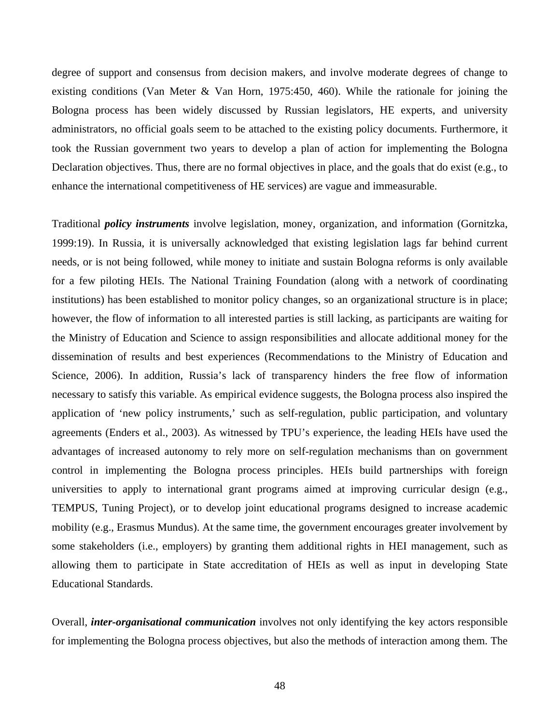degree of support and consensus from decision makers, and involve moderate degrees of change to existing conditions (Van Meter & Van Horn, 1975:450, 460). While the rationale for joining the Bologna process has been widely discussed by Russian legislators, HE experts, and university administrators, no official goals seem to be attached to the existing policy documents. Furthermore, it took the Russian government two years to develop a plan of action for implementing the Bologna Declaration objectives. Thus, there are no formal objectives in place, and the goals that do exist (e.g., to enhance the international competitiveness of HE services) are vague and immeasurable.

Traditional *policy instruments* involve legislation, money, organization, and information (Gornitzka, 1999:19). In Russia, it is universally acknowledged that existing legislation lags far behind current needs, or is not being followed, while money to initiate and sustain Bologna reforms is only available for a few piloting HEIs. The National Training Foundation (along with a network of coordinating institutions) has been established to monitor policy changes, so an organizational structure is in place; however, the flow of information to all interested parties is still lacking, as participants are waiting for the Ministry of Education and Science to assign responsibilities and allocate additional money for the dissemination of results and best experiences (Recommendations to the Ministry of Education and Science, 2006). In addition, Russia's lack of transparency hinders the free flow of information necessary to satisfy this variable. As empirical evidence suggests, the Bologna process also inspired the application of 'new policy instruments,' such as self-regulation, public participation, and voluntary agreements (Enders et al., 2003). As witnessed by TPU's experience, the leading HEIs have used the advantages of increased autonomy to rely more on self-regulation mechanisms than on government control in implementing the Bologna process principles. HEIs build partnerships with foreign universities to apply to international grant programs aimed at improving curricular design (e.g., TEMPUS, Tuning Project), or to develop joint educational programs designed to increase academic mobility (e.g., Erasmus Mundus). At the same time, the government encourages greater involvement by some stakeholders (i.e., employers) by granting them additional rights in HEI management, such as allowing them to participate in State accreditation of HEIs as well as input in developing State Educational Standards.

Overall, *inter-organisational communication* involves not only identifying the key actors responsible for implementing the Bologna process objectives, but also the methods of interaction among them. The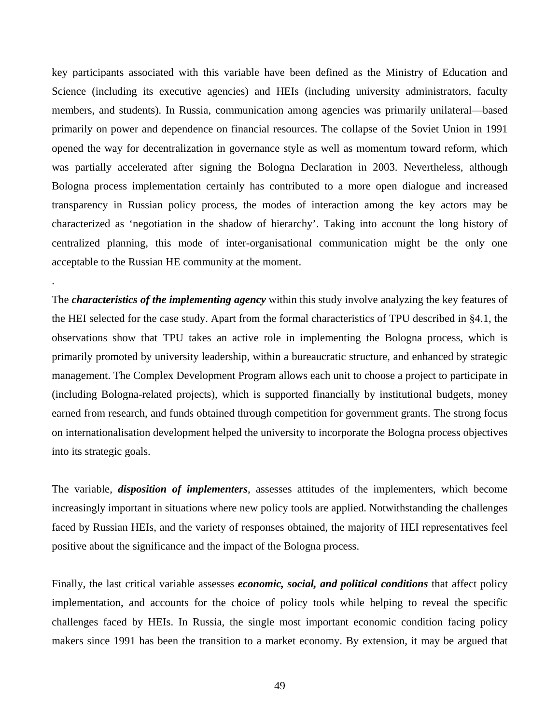key participants associated with this variable have been defined as the Ministry of Education and Science (including its executive agencies) and HEIs (including university administrators, faculty members, and students). In Russia, communication among agencies was primarily unilateral—based primarily on power and dependence on financial resources. The collapse of the Soviet Union in 1991 opened the way for decentralization in governance style as well as momentum toward reform, which was partially accelerated after signing the Bologna Declaration in 2003. Nevertheless, although Bologna process implementation certainly has contributed to a more open dialogue and increased transparency in Russian policy process, the modes of interaction among the key actors may be characterized as 'negotiation in the shadow of hierarchy'. Taking into account the long history of centralized planning, this mode of inter-organisational communication might be the only one acceptable to the Russian HE community at the moment.

The *characteristics of the implementing agency* within this study involve analyzing the key features of the HEI selected for the case study. Apart from the formal characteristics of TPU described in §4.1, the observations show that TPU takes an active role in implementing the Bologna process, which is primarily promoted by university leadership, within a bureaucratic structure, and enhanced by strategic management. The Complex Development Program allows each unit to choose a project to participate in (including Bologna-related projects), which is supported financially by institutional budgets, money earned from research, and funds obtained through competition for government grants. The strong focus on internationalisation development helped the university to incorporate the Bologna process objectives into its strategic goals.

.

The variable, *disposition of implementers*, assesses attitudes of the implementers, which become increasingly important in situations where new policy tools are applied. Notwithstanding the challenges faced by Russian HEIs, and the variety of responses obtained, the majority of HEI representatives feel positive about the significance and the impact of the Bologna process.

Finally, the last critical variable assesses *economic, social, and political conditions* that affect policy implementation, and accounts for the choice of policy tools while helping to reveal the specific challenges faced by HEIs. In Russia, the single most important economic condition facing policy makers since 1991 has been the transition to a market economy. By extension, it may be argued that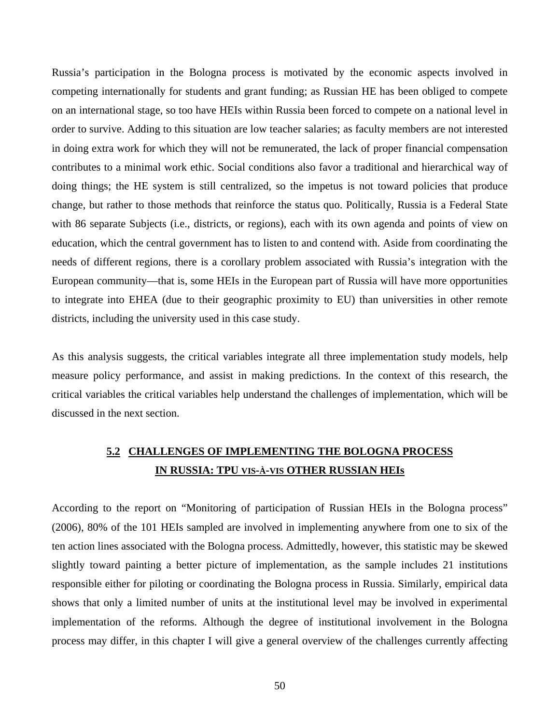Russia's participation in the Bologna process is motivated by the economic aspects involved in competing internationally for students and grant funding; as Russian HE has been obliged to compete on an international stage, so too have HEIs within Russia been forced to compete on a national level in order to survive. Adding to this situation are low teacher salaries; as faculty members are not interested in doing extra work for which they will not be remunerated, the lack of proper financial compensation contributes to a minimal work ethic. Social conditions also favor a traditional and hierarchical way of doing things; the HE system is still centralized, so the impetus is not toward policies that produce change, but rather to those methods that reinforce the status quo. Politically, Russia is a Federal State with 86 separate Subjects (i.e., districts, or regions), each with its own agenda and points of view on education, which the central government has to listen to and contend with. Aside from coordinating the needs of different regions, there is a corollary problem associated with Russia's integration with the European community—that is, some HEIs in the European part of Russia will have more opportunities to integrate into EHEA (due to their geographic proximity to EU) than universities in other remote districts, including the university used in this case study.

As this analysis suggests, the critical variables integrate all three implementation study models, help measure policy performance, and assist in making predictions. In the context of this research, the critical variables the critical variables help understand the challenges of implementation, which will be discussed in the next section.

# **5.2 CHALLENGES OF IMPLEMENTING THE BOLOGNA PROCESS IN RUSSIA: TPU VIS-À-VIS OTHER RUSSIAN HEIs**

According to the report on "Monitoring of participation of Russian HEIs in the Bologna process" (2006), 80% of the 101 HEIs sampled are involved in implementing anywhere from one to six of the ten action lines associated with the Bologna process. Admittedly, however, this statistic may be skewed slightly toward painting a better picture of implementation, as the sample includes 21 institutions responsible either for piloting or coordinating the Bologna process in Russia. Similarly, empirical data shows that only a limited number of units at the institutional level may be involved in experimental implementation of the reforms. Although the degree of institutional involvement in the Bologna process may differ, in this chapter I will give a general overview of the challenges currently affecting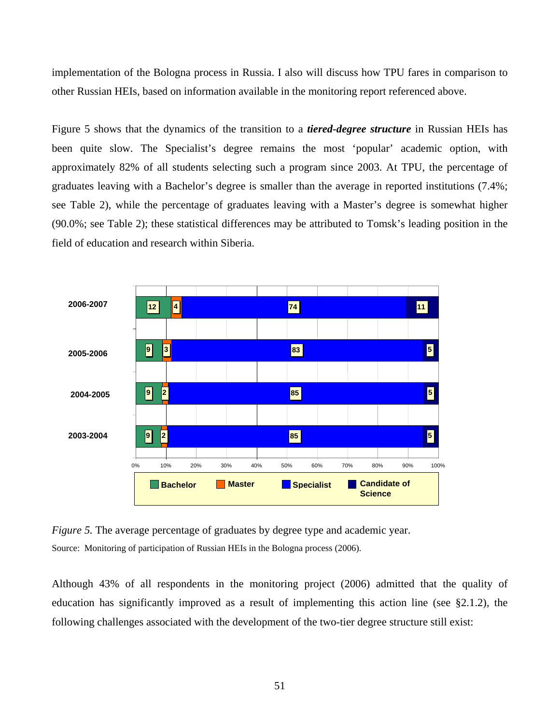implementation of the Bologna process in Russia. I also will discuss how TPU fares in comparison to other Russian HEIs, based on information available in the monitoring report referenced above.

Figure 5 shows that the dynamics of the transition to a *tiered-degree structure* in Russian HEIs has been quite slow. The Specialist's degree remains the most 'popular' academic option, with approximately 82% of all students selecting such a program since 2003. At TPU, the percentage of graduates leaving with a Bachelor's degree is smaller than the average in reported institutions (7.4%; see Table 2), while the percentage of graduates leaving with a Master's degree is somewhat higher (90.0%; see Table 2); these statistical differences may be attributed to Tomsk's leading position in the field of education and research within Siberia.



*Figure 5.* The average percentage of graduates by degree type and academic year. Source: Monitoring of participation of Russian HEIs in the Bologna process (2006).

Although 43% of all respondents in the monitoring project (2006) admitted that the quality of education has significantly improved as a result of implementing this action line (see §2.1.2), the following challenges associated with the development of the two-tier degree structure still exist: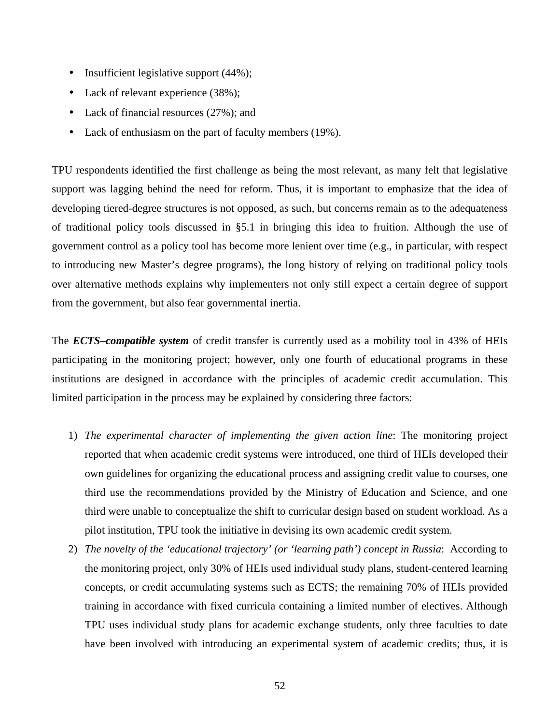- Insufficient legislative support (44%);
- Lack of relevant experience (38%);
- Lack of financial resources (27%); and
- Lack of enthusiasm on the part of faculty members (19%).

TPU respondents identified the first challenge as being the most relevant, as many felt that legislative support was lagging behind the need for reform. Thus, it is important to emphasize that the idea of developing tiered-degree structures is not opposed, as such, but concerns remain as to the adequateness of traditional policy tools discussed in §5.1 in bringing this idea to fruition. Although the use of government control as a policy tool has become more lenient over time (e.g., in particular, with respect to introducing new Master's degree programs), the long history of relying on traditional policy tools over alternative methods explains why implementers not only still expect a certain degree of support from the government, but also fear governmental inertia.

The *ECTS*–*compatible system* of credit transfer is currently used as a mobility tool in 43% of HEIs participating in the monitoring project; however, only one fourth of educational programs in these institutions are designed in accordance with the principles of academic credit accumulation. This limited participation in the process may be explained by considering three factors:

- 1) *The experimental character of implementing the given action line*: The monitoring project reported that when academic credit systems were introduced, one third of HEIs developed their own guidelines for organizing the educational process and assigning credit value to courses, one third use the recommendations provided by the Ministry of Education and Science, and one third were unable to conceptualize the shift to curricular design based on student workload. As a pilot institution, TPU took the initiative in devising its own academic credit system.
- 2) *The novelty of the 'educational trajectory' (or 'learning path') concept in Russia*: According to the monitoring project, only 30% of HEIs used individual study plans, student-centered learning concepts, or credit accumulating systems such as ECTS; the remaining 70% of HEIs provided training in accordance with fixed curricula containing a limited number of electives. Although TPU uses individual study plans for academic exchange students, only three faculties to date have been involved with introducing an experimental system of academic credits; thus, it is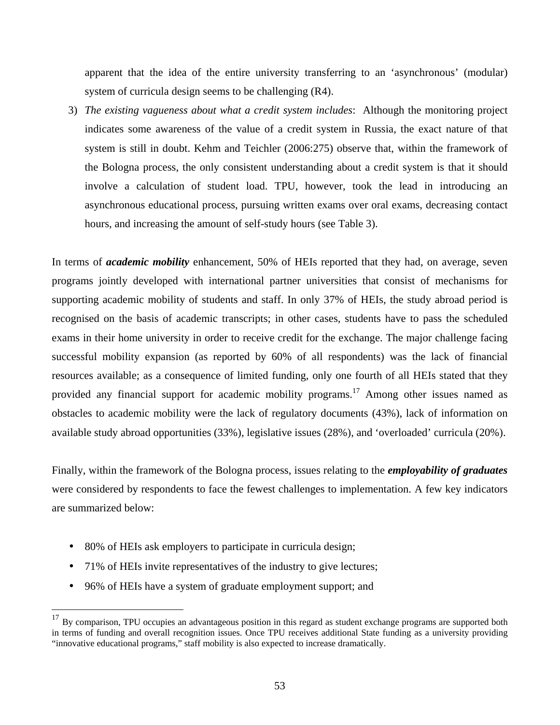apparent that the idea of the entire university transferring to an 'asynchronous' (modular) system of curricula design seems to be challenging (R4).

3) *The existing vagueness about what a credit system includes*: Although the monitoring project indicates some awareness of the value of a credit system in Russia, the exact nature of that system is still in doubt. Kehm and Teichler (2006:275) observe that, within the framework of the Bologna process, the only consistent understanding about a credit system is that it should involve a calculation of student load. TPU, however, took the lead in introducing an asynchronous educational process, pursuing written exams over oral exams, decreasing contact hours, and increasing the amount of self-study hours (see Table 3).

In terms of *academic mobility* enhancement, 50% of HEIs reported that they had, on average, seven programs jointly developed with international partner universities that consist of mechanisms for supporting academic mobility of students and staff. In only 37% of HEIs, the study abroad period is recognised on the basis of academic transcripts; in other cases, students have to pass the scheduled exams in their home university in order to receive credit for the exchange. The major challenge facing successful mobility expansion (as reported by 60% of all respondents) was the lack of financial resources available; as a consequence of limited funding, only one fourth of all HEIs stated that they provided any financial support for academic mobility programs.<sup>17</sup> Among other issues named as obstacles to academic mobility were the lack of regulatory documents (43%), lack of information on available study abroad opportunities (33%), legislative issues (28%), and 'overloaded' curricula (20%).

Finally, within the framework of the Bologna process, issues relating to the *employability of graduates* were considered by respondents to face the fewest challenges to implementation. A few key indicators are summarized below:

• 80% of HEIs ask employers to participate in curricula design;

 $\overline{a}$ 

- 71% of HEIs invite representatives of the industry to give lectures;
- 96% of HEIs have a system of graduate employment support; and

 $17$  By comparison, TPU occupies an advantageous position in this regard as student exchange programs are supported both in terms of funding and overall recognition issues. Once TPU receives additional State funding as a university providing "innovative educational programs," staff mobility is also expected to increase dramatically.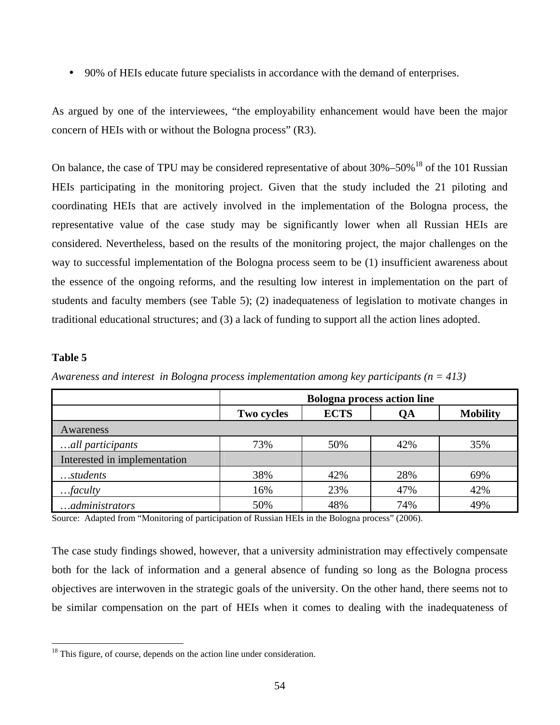• 90% of HEIs educate future specialists in accordance with the demand of enterprises.

As argued by one of the interviewees, "the employability enhancement would have been the major concern of HEIs with or without the Bologna process" (R3).

On balance, the case of TPU may be considered representative of about  $30\% - 50\%$ <sup>18</sup> of the 101 Russian HEIs participating in the monitoring project. Given that the study included the 21 piloting and coordinating HEIs that are actively involved in the implementation of the Bologna process, the representative value of the case study may be significantly lower when all Russian HEIs are considered. Nevertheless, based on the results of the monitoring project, the major challenges on the way to successful implementation of the Bologna process seem to be (1) insufficient awareness about the essence of the ongoing reforms, and the resulting low interest in implementation on the part of students and faculty members (see Table 5); (2) inadequateness of legislation to motivate changes in traditional educational structures; and (3) a lack of funding to support all the action lines adopted.

## **Table 5**

 $\overline{a}$ 

|                              | <b>Bologna process action line</b> |             |     |                 |  |  |
|------------------------------|------------------------------------|-------------|-----|-----------------|--|--|
|                              | Two cycles                         | <b>ECTS</b> | QA  | <b>Mobility</b> |  |  |
| Awareness                    |                                    |             |     |                 |  |  |
| all participants             | 73%                                | 50%         | 42% | 35%             |  |  |
| Interested in implementation |                                    |             |     |                 |  |  |
| $$ students                  | 38%                                | 42%         | 28% | 69%             |  |  |
| $$ <i>faculty</i>            | 16%                                | 23%         | 47% | 42%             |  |  |
| administrators               | 50%                                | 48%         | 74% | 49%             |  |  |

*Awareness and interest in Bologna process implementation among key participants (n = 413)* 

Source: Adapted from "Monitoring of participation of Russian HEIs in the Bologna process" (2006).

The case study findings showed, however, that a university administration may effectively compensate both for the lack of information and a general absence of funding so long as the Bologna process objectives are interwoven in the strategic goals of the university. On the other hand, there seems not to be similar compensation on the part of HEIs when it comes to dealing with the inadequateness of

 $18$  This figure, of course, depends on the action line under consideration.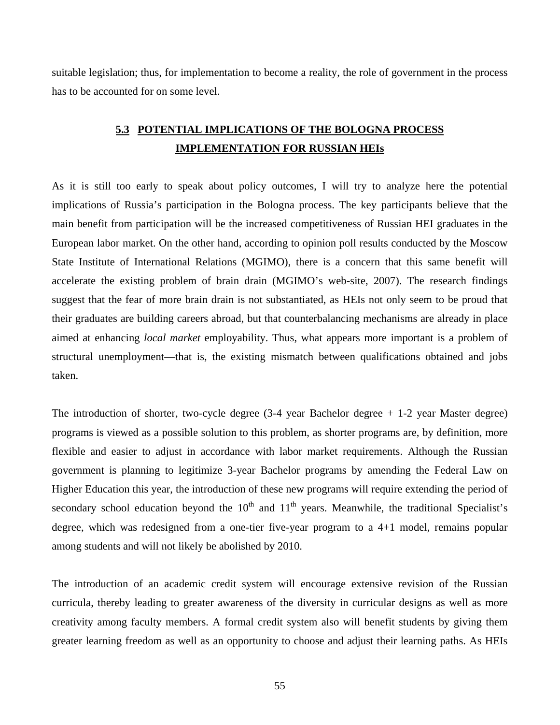suitable legislation; thus, for implementation to become a reality, the role of government in the process has to be accounted for on some level.

# **5.3 POTENTIAL IMPLICATIONS OF THE BOLOGNA PROCESS IMPLEMENTATION FOR RUSSIAN HEIs**

As it is still too early to speak about policy outcomes, I will try to analyze here the potential implications of Russia's participation in the Bologna process. The key participants believe that the main benefit from participation will be the increased competitiveness of Russian HEI graduates in the European labor market. On the other hand, according to opinion poll results conducted by the Moscow State Institute of International Relations (MGIMO), there is a concern that this same benefit will accelerate the existing problem of brain drain (MGIMO's web-site, 2007). The research findings suggest that the fear of more brain drain is not substantiated, as HEIs not only seem to be proud that their graduates are building careers abroad, but that counterbalancing mechanisms are already in place aimed at enhancing *local market* employability. Thus, what appears more important is a problem of structural unemployment—that is, the existing mismatch between qualifications obtained and jobs taken.

The introduction of shorter, two-cycle degree  $(3-4)$  year Bachelor degree  $+1-2$  year Master degree) programs is viewed as a possible solution to this problem, as shorter programs are, by definition, more flexible and easier to adjust in accordance with labor market requirements. Although the Russian government is planning to legitimize 3-year Bachelor programs by amending the Federal Law on Higher Education this year, the introduction of these new programs will require extending the period of secondary school education beyond the  $10<sup>th</sup>$  and  $11<sup>th</sup>$  years. Meanwhile, the traditional Specialist's degree, which was redesigned from a one-tier five-year program to a 4+1 model, remains popular among students and will not likely be abolished by 2010.

The introduction of an academic credit system will encourage extensive revision of the Russian curricula, thereby leading to greater awareness of the diversity in curricular designs as well as more creativity among faculty members. A formal credit system also will benefit students by giving them greater learning freedom as well as an opportunity to choose and adjust their learning paths. As HEIs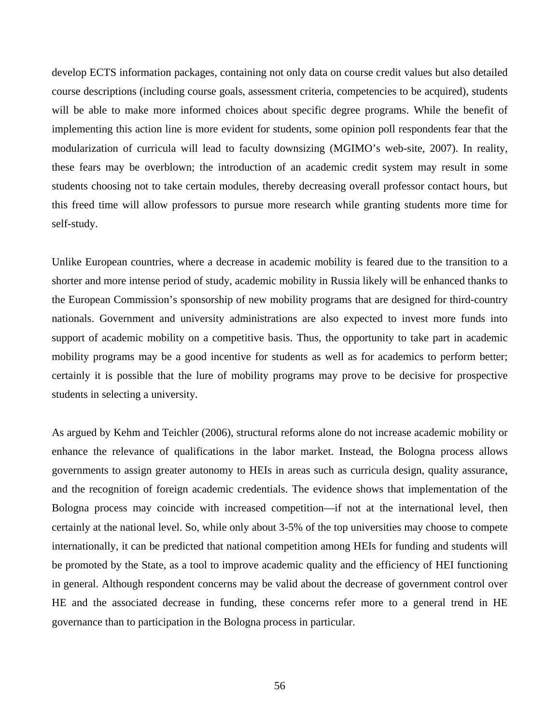develop ECTS information packages, containing not only data on course credit values but also detailed course descriptions (including course goals, assessment criteria, competencies to be acquired), students will be able to make more informed choices about specific degree programs. While the benefit of implementing this action line is more evident for students, some opinion poll respondents fear that the modularization of curricula will lead to faculty downsizing (MGIMO's web-site, 2007). In reality, these fears may be overblown; the introduction of an academic credit system may result in some students choosing not to take certain modules, thereby decreasing overall professor contact hours, but this freed time will allow professors to pursue more research while granting students more time for self-study.

Unlike European countries, where a decrease in academic mobility is feared due to the transition to a shorter and more intense period of study, academic mobility in Russia likely will be enhanced thanks to the European Commission's sponsorship of new mobility programs that are designed for third-country nationals. Government and university administrations are also expected to invest more funds into support of academic mobility on a competitive basis. Thus, the opportunity to take part in academic mobility programs may be a good incentive for students as well as for academics to perform better; certainly it is possible that the lure of mobility programs may prove to be decisive for prospective students in selecting a university.

As argued by Kehm and Teichler (2006), structural reforms alone do not increase academic mobility or enhance the relevance of qualifications in the labor market. Instead, the Bologna process allows governments to assign greater autonomy to HEIs in areas such as curricula design, quality assurance, and the recognition of foreign academic credentials. The evidence shows that implementation of the Bologna process may coincide with increased competition—if not at the international level, then certainly at the national level. So, while only about 3-5% of the top universities may choose to compete internationally, it can be predicted that national competition among HEIs for funding and students will be promoted by the State, as a tool to improve academic quality and the efficiency of HEI functioning in general. Although respondent concerns may be valid about the decrease of government control over HE and the associated decrease in funding, these concerns refer more to a general trend in HE governance than to participation in the Bologna process in particular.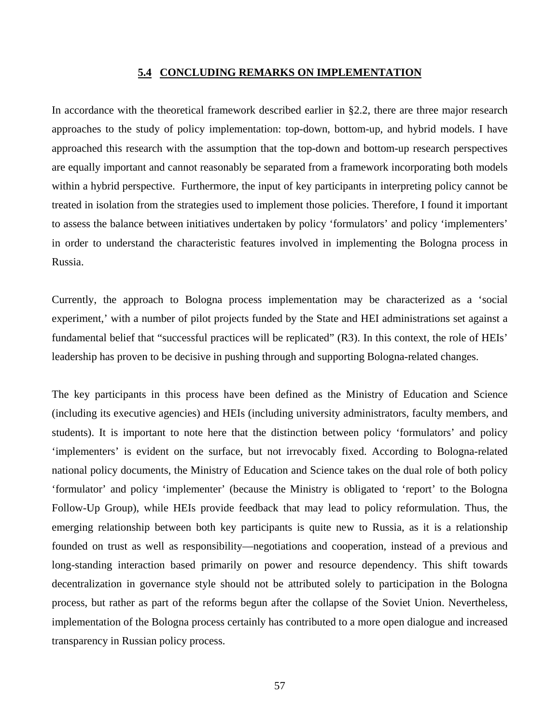#### **5.4 CONCLUDING REMARKS ON IMPLEMENTATION**

In accordance with the theoretical framework described earlier in §2.2, there are three major research approaches to the study of policy implementation: top-down, bottom-up, and hybrid models. I have approached this research with the assumption that the top-down and bottom-up research perspectives are equally important and cannot reasonably be separated from a framework incorporating both models within a hybrid perspective. Furthermore, the input of key participants in interpreting policy cannot be treated in isolation from the strategies used to implement those policies. Therefore, I found it important to assess the balance between initiatives undertaken by policy 'formulators' and policy 'implementers' in order to understand the characteristic features involved in implementing the Bologna process in Russia.

Currently, the approach to Bologna process implementation may be characterized as a 'social experiment,' with a number of pilot projects funded by the State and HEI administrations set against a fundamental belief that "successful practices will be replicated" (R3). In this context, the role of HEIs' leadership has proven to be decisive in pushing through and supporting Bologna-related changes.

The key participants in this process have been defined as the Ministry of Education and Science (including its executive agencies) and HEIs (including university administrators, faculty members, and students). It is important to note here that the distinction between policy 'formulators' and policy 'implementers' is evident on the surface, but not irrevocably fixed. According to Bologna-related national policy documents, the Ministry of Education and Science takes on the dual role of both policy 'formulator' and policy 'implementer' (because the Ministry is obligated to 'report' to the Bologna Follow-Up Group), while HEIs provide feedback that may lead to policy reformulation. Thus, the emerging relationship between both key participants is quite new to Russia, as it is a relationship founded on trust as well as responsibility—negotiations and cooperation, instead of a previous and long-standing interaction based primarily on power and resource dependency. This shift towards decentralization in governance style should not be attributed solely to participation in the Bologna process, but rather as part of the reforms begun after the collapse of the Soviet Union. Nevertheless, implementation of the Bologna process certainly has contributed to a more open dialogue and increased transparency in Russian policy process.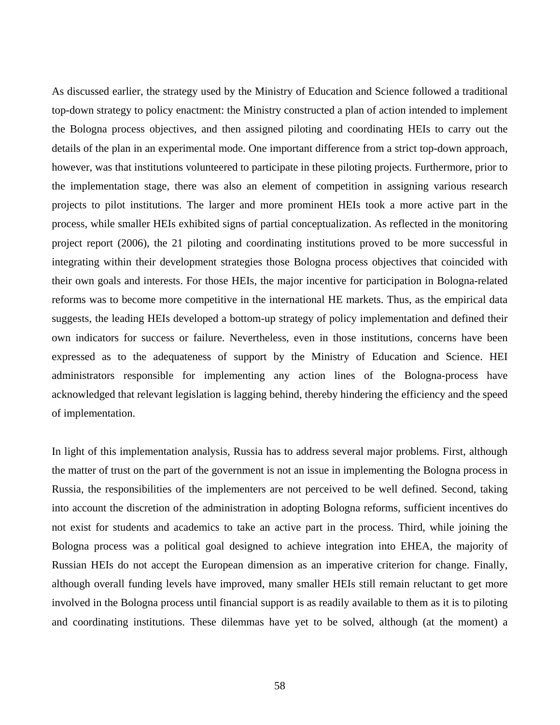As discussed earlier, the strategy used by the Ministry of Education and Science followed a traditional top-down strategy to policy enactment: the Ministry constructed a plan of action intended to implement the Bologna process objectives, and then assigned piloting and coordinating HEIs to carry out the details of the plan in an experimental mode. One important difference from a strict top-down approach, however, was that institutions volunteered to participate in these piloting projects. Furthermore, prior to the implementation stage, there was also an element of competition in assigning various research projects to pilot institutions. The larger and more prominent HEIs took a more active part in the process, while smaller HEIs exhibited signs of partial conceptualization. As reflected in the monitoring project report (2006), the 21 piloting and coordinating institutions proved to be more successful in integrating within their development strategies those Bologna process objectives that coincided with their own goals and interests. For those HEIs, the major incentive for participation in Bologna-related reforms was to become more competitive in the international HE markets. Thus, as the empirical data suggests, the leading HEIs developed a bottom-up strategy of policy implementation and defined their own indicators for success or failure. Nevertheless, even in those institutions, concerns have been expressed as to the adequateness of support by the Ministry of Education and Science. HEI administrators responsible for implementing any action lines of the Bologna-process have acknowledged that relevant legislation is lagging behind, thereby hindering the efficiency and the speed of implementation.

In light of this implementation analysis, Russia has to address several major problems. First, although the matter of trust on the part of the government is not an issue in implementing the Bologna process in Russia, the responsibilities of the implementers are not perceived to be well defined. Second, taking into account the discretion of the administration in adopting Bologna reforms, sufficient incentives do not exist for students and academics to take an active part in the process. Third, while joining the Bologna process was a political goal designed to achieve integration into EHEA, the majority of Russian HEIs do not accept the European dimension as an imperative criterion for change. Finally, although overall funding levels have improved, many smaller HEIs still remain reluctant to get more involved in the Bologna process until financial support is as readily available to them as it is to piloting and coordinating institutions. These dilemmas have yet to be solved, although (at the moment) a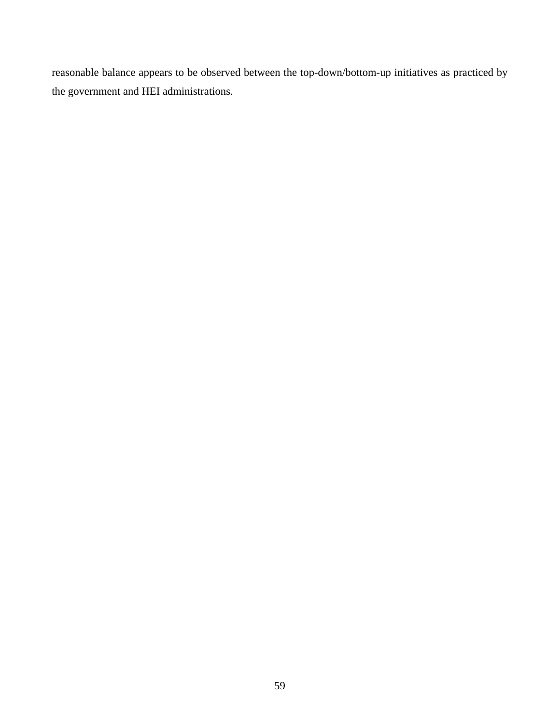reasonable balance appears to be observed between the top-down/bottom-up initiatives as practiced by the government and HEI administrations.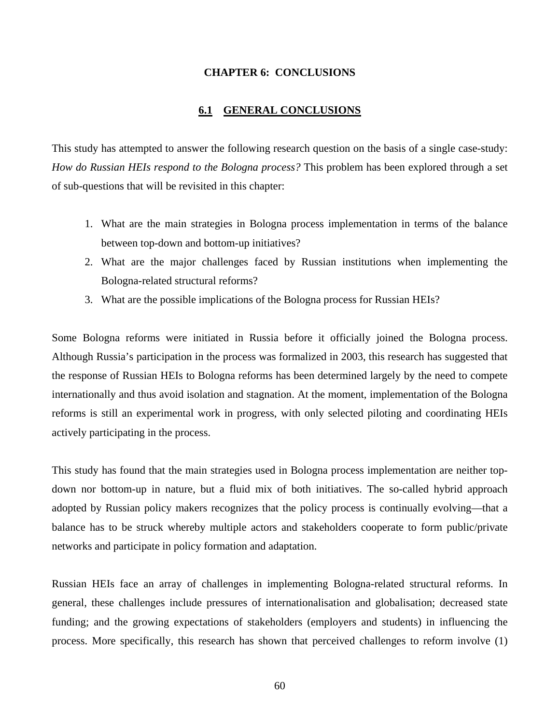### **CHAPTER 6: CONCLUSIONS**

### **6.1 GENERAL CONCLUSIONS**

This study has attempted to answer the following research question on the basis of a single case-study: *How do Russian HEIs respond to the Bologna process?* This problem has been explored through a set of sub-questions that will be revisited in this chapter:

- 1. What are the main strategies in Bologna process implementation in terms of the balance between top-down and bottom-up initiatives?
- 2. What are the major challenges faced by Russian institutions when implementing the Bologna-related structural reforms?
- 3. What are the possible implications of the Bologna process for Russian HEIs?

Some Bologna reforms were initiated in Russia before it officially joined the Bologna process. Although Russia's participation in the process was formalized in 2003, this research has suggested that the response of Russian HEIs to Bologna reforms has been determined largely by the need to compete internationally and thus avoid isolation and stagnation. At the moment, implementation of the Bologna reforms is still an experimental work in progress, with only selected piloting and coordinating HEIs actively participating in the process.

This study has found that the main strategies used in Bologna process implementation are neither topdown nor bottom-up in nature, but a fluid mix of both initiatives. The so-called hybrid approach adopted by Russian policy makers recognizes that the policy process is continually evolving—that a balance has to be struck whereby multiple actors and stakeholders cooperate to form public/private networks and participate in policy formation and adaptation.

Russian HEIs face an array of challenges in implementing Bologna-related structural reforms. In general, these challenges include pressures of internationalisation and globalisation; decreased state funding; and the growing expectations of stakeholders (employers and students) in influencing the process. More specifically, this research has shown that perceived challenges to reform involve (1)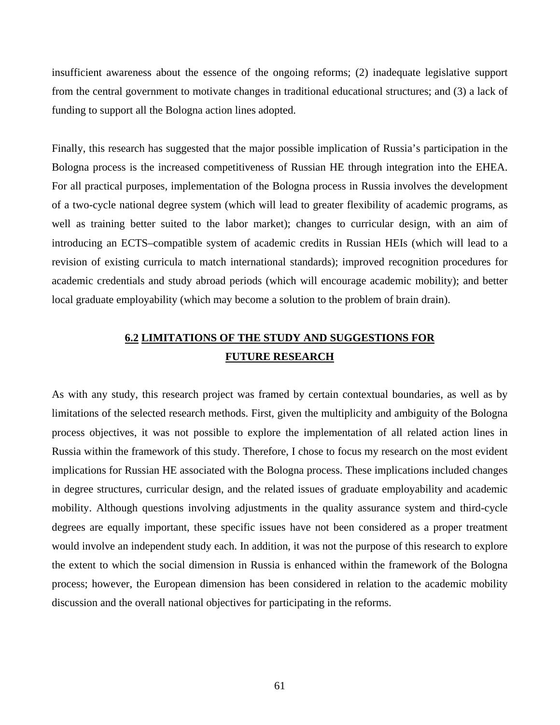insufficient awareness about the essence of the ongoing reforms; (2) inadequate legislative support from the central government to motivate changes in traditional educational structures; and (3) a lack of funding to support all the Bologna action lines adopted.

Finally, this research has suggested that the major possible implication of Russia's participation in the Bologna process is the increased competitiveness of Russian HE through integration into the EHEA. For all practical purposes, implementation of the Bologna process in Russia involves the development of a two-cycle national degree system (which will lead to greater flexibility of academic programs, as well as training better suited to the labor market); changes to curricular design, with an aim of introducing an ECTS–compatible system of academic credits in Russian HEIs (which will lead to a revision of existing curricula to match international standards); improved recognition procedures for academic credentials and study abroad periods (which will encourage academic mobility); and better local graduate employability (which may become a solution to the problem of brain drain).

# **6.2 LIMITATIONS OF THE STUDY AND SUGGESTIONS FOR FUTURE RESEARCH**

As with any study, this research project was framed by certain contextual boundaries, as well as by limitations of the selected research methods. First, given the multiplicity and ambiguity of the Bologna process objectives, it was not possible to explore the implementation of all related action lines in Russia within the framework of this study. Therefore, I chose to focus my research on the most evident implications for Russian HE associated with the Bologna process. These implications included changes in degree structures, curricular design, and the related issues of graduate employability and academic mobility. Although questions involving adjustments in the quality assurance system and third-cycle degrees are equally important, these specific issues have not been considered as a proper treatment would involve an independent study each. In addition, it was not the purpose of this research to explore the extent to which the social dimension in Russia is enhanced within the framework of the Bologna process; however, the European dimension has been considered in relation to the academic mobility discussion and the overall national objectives for participating in the reforms.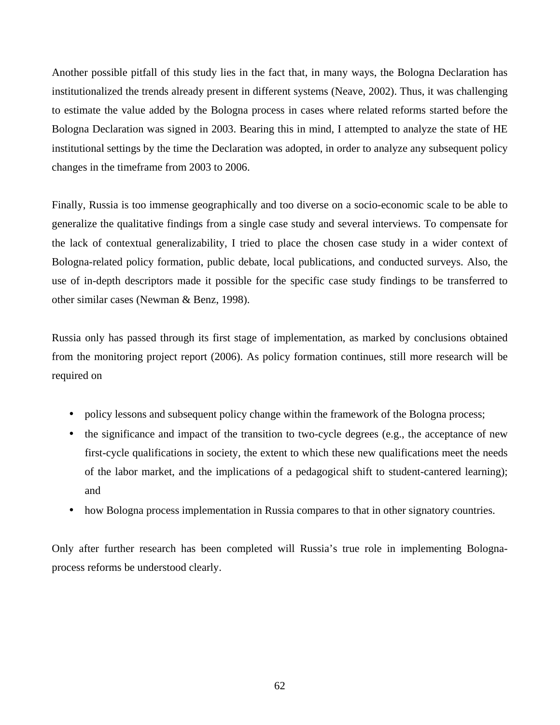Another possible pitfall of this study lies in the fact that, in many ways, the Bologna Declaration has institutionalized the trends already present in different systems (Neave, 2002). Thus, it was challenging to estimate the value added by the Bologna process in cases where related reforms started before the Bologna Declaration was signed in 2003. Bearing this in mind, I attempted to analyze the state of HE institutional settings by the time the Declaration was adopted, in order to analyze any subsequent policy changes in the timeframe from 2003 to 2006.

Finally, Russia is too immense geographically and too diverse on a socio-economic scale to be able to generalize the qualitative findings from a single case study and several interviews. To compensate for the lack of contextual generalizability, I tried to place the chosen case study in a wider context of Bologna-related policy formation, public debate, local publications, and conducted surveys. Also, the use of in-depth descriptors made it possible for the specific case study findings to be transferred to other similar cases (Newman & Benz, 1998).

Russia only has passed through its first stage of implementation, as marked by conclusions obtained from the monitoring project report (2006). As policy formation continues, still more research will be required on

- policy lessons and subsequent policy change within the framework of the Bologna process;
- the significance and impact of the transition to two-cycle degrees (e.g., the acceptance of new first-cycle qualifications in society, the extent to which these new qualifications meet the needs of the labor market, and the implications of a pedagogical shift to student-cantered learning); and
- how Bologna process implementation in Russia compares to that in other signatory countries.

Only after further research has been completed will Russia's true role in implementing Bolognaprocess reforms be understood clearly.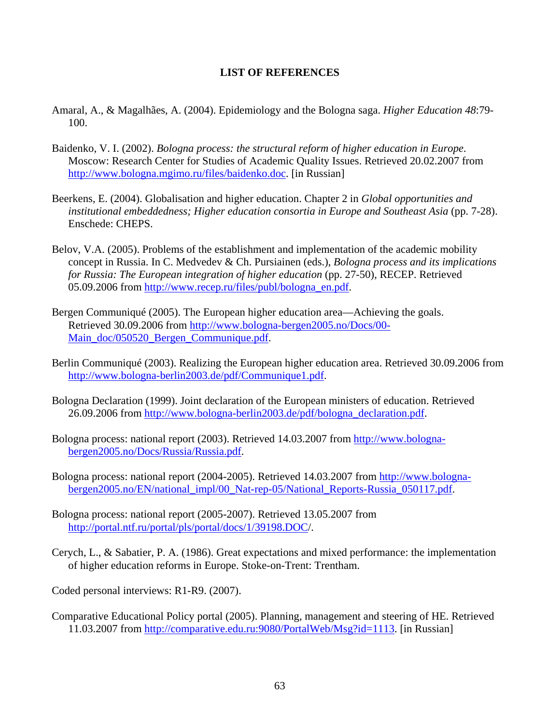### **LIST OF REFERENCES**

- Amaral, A., & Magalhães, A. (2004). Epidemiology and the Bologna saga. *Higher Education 48*:79- 100.
- Baidenko, V. I. (2002). *Bologna process: the structural reform of higher education in Europe*. Moscow: Research Center for Studies of Academic Quality Issues. Retrieved 20.02.2007 from http://www.bologna.mgimo.ru/files/baidenko.doc. [in Russian]
- Beerkens, E. (2004). Globalisation and higher education. Chapter 2 in *Global opportunities and institutional embeddedness; Higher education consortia in Europe and Southeast Asia* (pp. 7-28). Enschede: CHEPS.
- Belov, V.A. (2005). Problems of the establishment and implementation of the academic mobility concept in Russia. In C. Medvedev & Ch. Pursiainen (eds.), *Bologna process and its implications for Russia: The European integration of higher education* (pp. 27-50), RECEP. Retrieved 05.09.2006 from http://www.recep.ru/files/publ/bologna\_en.pdf.
- Bergen Communiqué (2005). The European higher education area—Achieving the goals. Retrieved 30.09.2006 from http://www.bologna-bergen2005.no/Docs/00- Main\_doc/050520\_Bergen\_Communique.pdf.
- Berlin Communiqué (2003). Realizing the European higher education area. Retrieved 30.09.2006 from http://www.bologna-berlin2003.de/pdf/Communique1.pdf.
- Bologna Declaration (1999). Joint declaration of the European ministers of education. Retrieved 26.09.2006 from http://www.bologna-berlin2003.de/pdf/bologna\_declaration.pdf.
- Bologna process: national report (2003). Retrieved 14.03.2007 from http://www.bolognabergen2005.no/Docs/Russia/Russia.pdf.
- Bologna process: national report (2004-2005). Retrieved 14.03.2007 from http://www.bolognabergen2005.no/EN/national\_impl/00\_Nat-rep-05/National\_Reports-Russia\_050117.pdf.
- Bologna process: national report (2005-2007). Retrieved 13.05.2007 from http://portal.ntf.ru/portal/pls/portal/docs/1/39198.DOC/.
- Cerych, L., & Sabatier, P. A. (1986). Great expectations and mixed performance: the implementation of higher education reforms in Europe. Stoke-on-Trent: Trentham.

Coded personal interviews: R1-R9. (2007).

Comparative Educational Policy portal (2005). Planning, management and steering of HE. Retrieved 11.03.2007 from http://comparative.edu.ru:9080/PortalWeb/Msg?id=1113. [in Russian]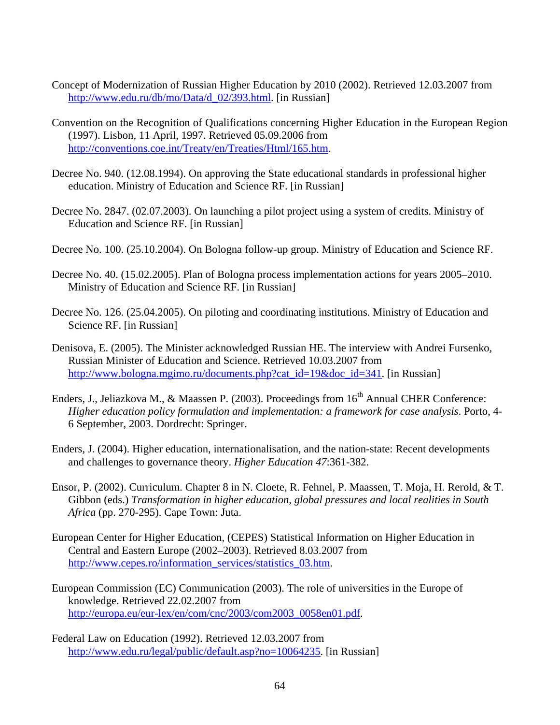- Concept of Modernization of Russian Higher Education by 2010 (2002). Retrieved 12.03.2007 from http://www.edu.ru/db/mo/Data/d\_02/393.html. [in Russian]
- Convention on the Recognition of Qualifications concerning Higher Education in the European Region (1997). Lisbon, 11 April, 1997. Retrieved 05.09.2006 from http://conventions.coe.int/Treaty/en/Treaties/Html/165.htm.
- Decree No. 940. (12.08.1994). On approving the State educational standards in professional higher education. Ministry of Education and Science RF. [in Russian]
- Decree No. 2847. (02.07.2003). On launching a pilot project using a system of credits. Ministry of Education and Science RF. [in Russian]
- Decree No. 100. (25.10.2004). On Bologna follow-up group. Ministry of Education and Science RF.
- Decree No. 40. (15.02.2005). Plan of Bologna process implementation actions for years 2005–2010. Ministry of Education and Science RF. [in Russian]
- Decree No. 126. (25.04.2005). On piloting and coordinating institutions. Ministry of Education and Science RF. [in Russian]
- Denisova, E. (2005). The Minister acknowledged Russian HE. The interview with Andrei Fursenko, Russian Minister of Education and Science. Retrieved 10.03.2007 from http://www.bologna.mgimo.ru/documents.php?cat\_id=19&doc\_id=341. [in Russian]
- Enders, J., Jeliazkova M., & Maassen P. (2003). Proceedings from 16<sup>th</sup> Annual CHER Conference: *Higher education policy formulation and implementation: a framework for case analysis*. Porto, 4- 6 September, 2003. Dordrecht: Springer.
- Enders, J. (2004). Higher education, internationalisation, and the nation-state: Recent developments and challenges to governance theory. *Higher Education 47*:361-382.
- Ensor, P. (2002). Curriculum. Chapter 8 in N. Cloete, R. Fehnel, P. Maassen, T. Moja, H. Rerold, & T. Gibbon (eds.) *Transformation in higher education, global pressures and local realities in South Africa* (pp. 270-295). Cape Town: Juta.
- European Center for Higher Education, (CEPES) Statistical Information on Higher Education in Central and Eastern Europe (2002–2003). Retrieved 8.03.2007 from http://www.cepes.ro/information\_services/statistics\_03.htm.
- European Commission (EC) Communication (2003). The role of universities in the Europe of knowledge. Retrieved 22.02.2007 from http://europa.eu/eur-lex/en/com/cnc/2003/com2003\_0058en01.pdf.
- Federal Law on Education (1992). Retrieved 12.03.2007 from http://www.edu.ru/legal/public/default.asp?no=10064235. [in Russian]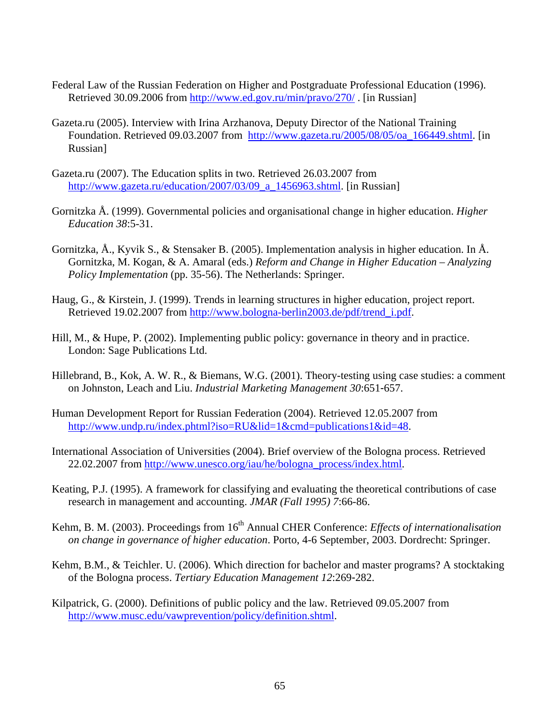- Federal Law of the Russian Federation on Higher and Postgraduate Professional Education (1996). Retrieved 30.09.2006 from http://www.ed.gov.ru/min/pravo/270/ . [in Russian]
- Gazeta.ru (2005). Interview with Irina Arzhanova, Deputy Director of the National Training Foundation. Retrieved 09.03.2007 from http://www.gazeta.ru/2005/08/05/oa\_166449.shtml. [in Russian]
- Gazeta.ru (2007). The Education splits in two. Retrieved 26.03.2007 from http://www.gazeta.ru/education/2007/03/09\_a\_1456963.shtml. [in Russian]
- Gornitzka Å. (1999). Governmental policies and organisational change in higher education. *Higher Education 38*:5-31.
- Gornitzka, Å., Kyvik S., & Stensaker B. (2005). Implementation analysis in higher education. In Å. Gornitzka, M. Kogan, & A. Amaral (eds.) *Reform and Change in Higher Education – Analyzing Policy Implementation* (pp. 35-56). The Netherlands: Springer.
- Haug, G., & Kirstein, J. (1999). Trends in learning structures in higher education, project report. Retrieved 19.02.2007 from http://www.bologna-berlin2003.de/pdf/trend\_i.pdf.
- Hill, M., & Hupe, P. (2002). Implementing public policy: governance in theory and in practice. London: Sage Publications Ltd.
- Hillebrand, B., Kok, A. W. R., & Biemans, W.G. (2001). Theory-testing using case studies: a comment on Johnston, Leach and Liu. *Industrial Marketing Management 30*:651-657.
- Human Development Report for Russian Federation (2004). Retrieved 12.05.2007 from http://www.undp.ru/index.phtml?iso=RU&lid=1&cmd=publications1&id=48.
- International Association of Universities (2004). Brief overview of the Bologna process. Retrieved 22.02.2007 from http://www.unesco.org/iau/he/bologna\_process/index.html.
- Keating, P.J. (1995). A framework for classifying and evaluating the theoretical contributions of case research in management and accounting. *JMAR (Fall 1995) 7*:66-86.
- Kehm, B. M. (2003). Proceedings from 16<sup>th</sup> Annual CHER Conference: *Effects of internationalisation on change in governance of higher education*. Porto, 4-6 September, 2003. Dordrecht: Springer.
- Kehm, B.M., & Teichler. U. (2006). Which direction for bachelor and master programs? A stocktaking of the Bologna process. *Tertiary Education Management 12*:269-282.
- Kilpatrick, G. (2000). Definitions of public policy and the law. Retrieved 09.05.2007 from http://www.musc.edu/vawprevention/policy/definition.shtml.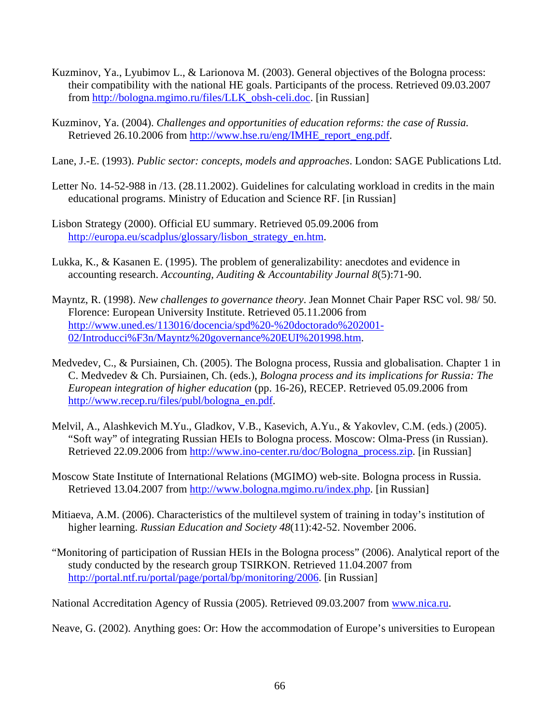- Kuzminov, Ya., Lyubimov L., & Larionova M. (2003). General objectives of the Bologna process: their compatibility with the national HE goals. Participants of the process. Retrieved 09.03.2007 from http://bologna.mgimo.ru/files/LLK\_obsh-celi.doc. [in Russian]
- Kuzminov, Ya. (2004). *Challenges and opportunities of education reforms: the case of Russia.*  Retrieved 26.10.2006 from http://www.hse.ru/eng/IMHE\_report\_eng.pdf.
- Lane, J.-E. (1993). *Public sector: concepts, models and approaches*. London: SAGE Publications Ltd.
- Letter No. 14-52-988 in /13. (28.11.2002). Guidelines for calculating workload in credits in the main educational programs. Ministry of Education and Science RF. [in Russian]
- Lisbon Strategy (2000). Official EU summary. Retrieved 05.09.2006 from http://europa.eu/scadplus/glossary/lisbon\_strategy\_en.htm.
- Lukka, K., & Kasanen E. (1995). The problem of generalizability: anecdotes and evidence in accounting research. *Accounting, Auditing & Accountability Journal 8*(5):71-90.
- Mayntz, R. (1998). *New challenges to governance theory*. Jean Monnet Chair Paper RSC vol. 98/ 50. Florence: European University Institute. Retrieved 05.11.2006 from http://www.uned.es/113016/docencia/spd%20-%20doctorado%202001- 02/Introducci%F3n/Mayntz%20governance%20EUI%201998.htm.
- Medvedev, C., & Pursiainen, Ch. (2005). The Bologna process, Russia and globalisation. Chapter 1 in C. Medvedev & Ch. Pursiainen, Ch. (eds.), *Bologna process and its implications for Russia: The European integration of higher education* (pp. 16-26), RECEP. Retrieved 05.09.2006 from http://www.recep.ru/files/publ/bologna\_en.pdf.
- Melvil, A., Alashkevich M.Yu., Gladkov, V.B., Kasevich, A.Yu., & Yakovlev, C.M. (eds.) (2005). "Soft way" of integrating Russian HEIs to Bologna process. Moscow: Olma-Press (in Russian). Retrieved 22.09.2006 from http://www.ino-center.ru/doc/Bologna\_process.zip. [in Russian]
- Moscow State Institute of International Relations (MGIMO) web-site. Bologna process in Russia. Retrieved 13.04.2007 from http://www.bologna.mgimo.ru/index.php. [in Russian]
- Mitiaeva, A.M. (2006). Characteristics of the multilevel system of training in today's institution of higher learning. *Russian Education and Society 48*(11):42-52. November 2006.
- "Monitoring of participation of Russian HEIs in the Bologna process" (2006). Analytical report of the study conducted by the research group TSIRKON. Retrieved 11.04.2007 from http://portal.ntf.ru/portal/page/portal/bp/monitoring/2006. [in Russian]

National Accreditation Agency of Russia (2005). Retrieved 09.03.2007 from www.nica.ru.

Neave, G. (2002). Anything goes: Or: How the accommodation of Europe's universities to European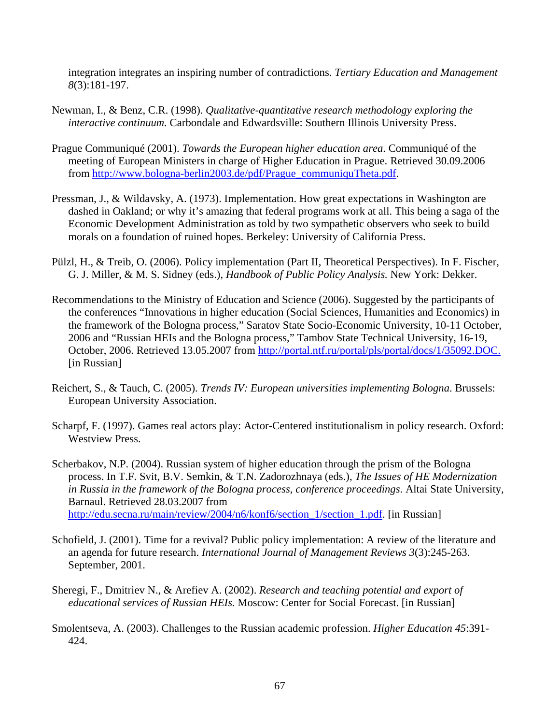integration integrates an inspiring number of contradictions. *Tertiary Education and Management 8*(3):181-197.

- Newman, I., & Benz, C.R. (1998). *Qualitative-quantitative research methodology exploring the interactive continuum.* Carbondale and Edwardsville: Southern Illinois University Press.
- Prague Communiqué (2001). *Towards the European higher education area*. Communiqué of the meeting of European Ministers in charge of Higher Education in Prague. Retrieved 30.09.2006 from http://www.bologna-berlin2003.de/pdf/Prague\_communiquTheta.pdf.
- Pressman, J., & Wildavsky, A. (1973). Implementation. How great expectations in Washington are dashed in Oakland; or why it's amazing that federal programs work at all. This being a saga of the Economic Development Administration as told by two sympathetic observers who seek to build morals on a foundation of ruined hopes. Berkeley: University of California Press.
- Pülzl, H., & Treib, O. (2006). Policy implementation (Part II, Theoretical Perspectives). In F. Fischer, G. J. Miller, & M. S. Sidney (eds.), *Handbook of Public Policy Analysis.* New York: Dekker.
- Recommendations to the Ministry of Education and Science (2006). Suggested by the participants of the conferences "Innovations in higher education (Social Sciences, Humanities and Economics) in the framework of the Bologna process," Saratov State Socio-Economic University, 10-11 October, 2006 and "Russian HEIs and the Bologna process," Tambov State Technical University, 16-19, October, 2006. Retrieved 13.05.2007 from http://portal.ntf.ru/portal/pls/portal/docs/1/35092.DOC. [in Russian]
- Reichert, S., & Tauch, C. (2005). *Trends IV: European universities implementing Bologna*. Brussels: European University Association.
- Scharpf, F. (1997). Games real actors play: Actor-Centered institutionalism in policy research. Oxford: Westview Press.
- Scherbakov, N.P. (2004). Russian system of higher education through the prism of the Bologna process. In T.F. Svit, B.V. Semkin, & T.N. Zadorozhnaya (eds.), *The Issues of HE Modernization in Russia in the framework of the Bologna process, conference proceedings*. Altai State University, Barnaul. Retrieved 28.03.2007 from http://edu.secna.ru/main/review/2004/n6/konf6/section\_1/section\_1.pdf. [in Russian]
- Schofield, J. (2001). Time for a revival? Public policy implementation: A review of the literature and an agenda for future research. *International Journal of Management Reviews 3*(3):245-263. September, 2001.
- Sheregi, F., Dmitriev N., & Arefiev A. (2002). *Research and teaching potential and export of educational services of Russian HEIs.* Moscow: Center for Social Forecast. [in Russian]
- Smolentseva, A. (2003). Challenges to the Russian academic profession. *Higher Education 45*:391- 424.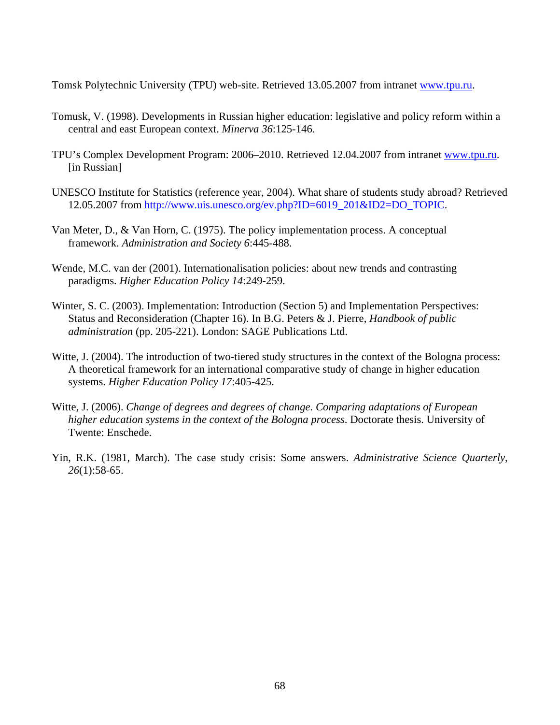Tomsk Polytechnic University (TPU) web-site. Retrieved 13.05.2007 from intranet www.tpu.ru.

- Tomusk, V. (1998). Developments in Russian higher education: legislative and policy reform within a central and east European context. *Minerva 36*:125-146.
- TPU's Complex Development Program: 2006–2010. Retrieved 12.04.2007 from intranet www.tpu.ru. [in Russian]
- UNESCO Institute for Statistics (reference year, 2004). What share of students study abroad? Retrieved 12.05.2007 from http://www.uis.unesco.org/ev.php?ID=6019\_201&ID2=DO\_TOPIC.
- Van Meter, D., & Van Horn, C. (1975). The policy implementation process. A conceptual framework. *Administration and Society 6*:445-488.
- Wende, M.C. van der (2001). Internationalisation policies: about new trends and contrasting paradigms. *Higher Education Policy 14*:249-259.
- Winter, S. C. (2003). Implementation: Introduction (Section 5) and Implementation Perspectives: Status and Reconsideration (Chapter 16). In B.G. Peters & J. Pierre, *Handbook of public administration* (pp. 205-221). London: SAGE Publications Ltd.
- Witte, J. (2004). The introduction of two-tiered study structures in the context of the Bologna process: A theoretical framework for an international comparative study of change in higher education systems. *Higher Education Policy 17*:405-425.
- Witte, J. (2006). *Change of degrees and degrees of change. Comparing adaptations of European higher education systems in the context of the Bologna process*. Doctorate thesis. University of Twente: Enschede.
- Yin, R.K. (1981, March). The case study crisis: Some answers. *Administrative Science Quarterly*, *26*(1):58-65.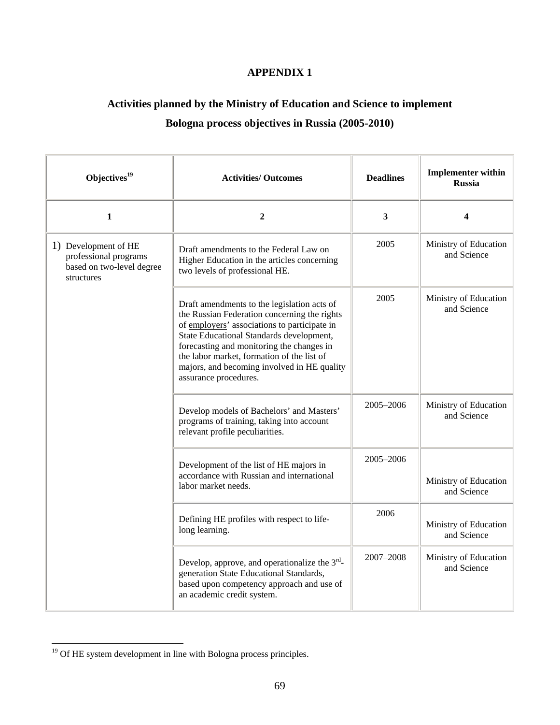## **APPENDIX 1**

## **Activities planned by the Ministry of Education and Science to implement Bologna process objectives in Russia (2005-2010)**

| Objectives <sup>19</sup>                                                                 | <b>Activities/ Outcomes</b>                                                                                                                                                                                                                                                                                                                                | <b>Deadlines</b> | <b>Implementer within</b><br><b>Russia</b> |
|------------------------------------------------------------------------------------------|------------------------------------------------------------------------------------------------------------------------------------------------------------------------------------------------------------------------------------------------------------------------------------------------------------------------------------------------------------|------------------|--------------------------------------------|
| $\mathbf{1}$                                                                             | $\boldsymbol{2}$                                                                                                                                                                                                                                                                                                                                           | 3                | 4                                          |
| 1) Development of HE<br>professional programs<br>based on two-level degree<br>structures | Draft amendments to the Federal Law on<br>Higher Education in the articles concerning<br>two levels of professional HE.                                                                                                                                                                                                                                    | 2005             | Ministry of Education<br>and Science       |
|                                                                                          | Draft amendments to the legislation acts of<br>the Russian Federation concerning the rights<br>of employers' associations to participate in<br>State Educational Standards development,<br>forecasting and monitoring the changes in<br>the labor market, formation of the list of<br>majors, and becoming involved in HE quality<br>assurance procedures. | 2005             | Ministry of Education<br>and Science       |
|                                                                                          | Develop models of Bachelors' and Masters'<br>programs of training, taking into account<br>relevant profile peculiarities.                                                                                                                                                                                                                                  | 2005-2006        | Ministry of Education<br>and Science       |
|                                                                                          | Development of the list of HE majors in<br>accordance with Russian and international<br>labor market needs.                                                                                                                                                                                                                                                | 2005-2006        | Ministry of Education<br>and Science       |
|                                                                                          | Defining HE profiles with respect to life-<br>long learning.                                                                                                                                                                                                                                                                                               | 2006             | Ministry of Education<br>and Science       |
|                                                                                          | Develop, approve, and operationalize the $3rd$ -<br>generation State Educational Standards,<br>based upon competency approach and use of<br>an academic credit system.                                                                                                                                                                                     | 2007-2008        | Ministry of Education<br>and Science       |

l

 $19$  Of HE system development in line with Bologna process principles.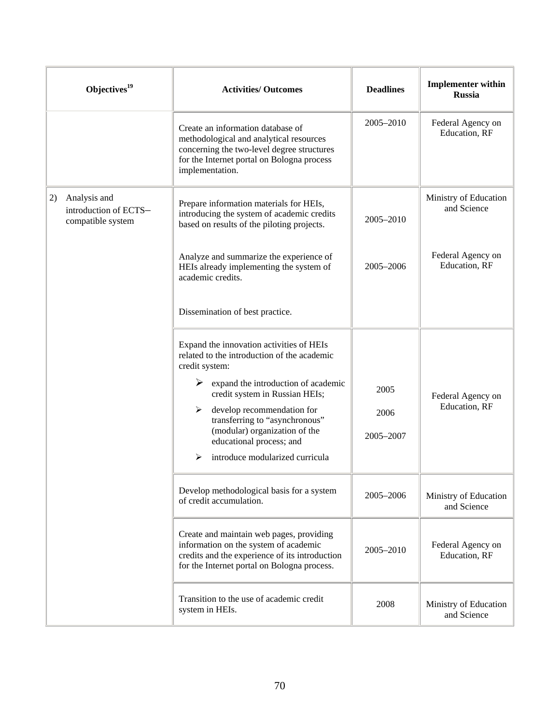| Objectives $19$                                                  | <b>Activities/ Outcomes</b>                                                                                                                                                                 | <b>Deadlines</b> | <b>Implementer within</b><br><b>Russia</b> |
|------------------------------------------------------------------|---------------------------------------------------------------------------------------------------------------------------------------------------------------------------------------------|------------------|--------------------------------------------|
|                                                                  | Create an information database of<br>methodological and analytical resources<br>concerning the two-level degree structures<br>for the Internet portal on Bologna process<br>implementation. | 2005-2010        | Federal Agency on<br>Education, RF         |
| 2)<br>Analysis and<br>introduction of ECTS-<br>compatible system | Prepare information materials for HEIs,<br>introducing the system of academic credits<br>based on results of the piloting projects.                                                         | 2005-2010        | Ministry of Education<br>and Science       |
|                                                                  | Analyze and summarize the experience of<br>HEIs already implementing the system of<br>academic credits.                                                                                     | $2005 - 2006$    | Federal Agency on<br>Education, RF         |
|                                                                  | Dissemination of best practice.                                                                                                                                                             |                  |                                            |
|                                                                  | Expand the innovation activities of HEIs<br>related to the introduction of the academic<br>credit system:                                                                                   |                  |                                            |
|                                                                  | expand the introduction of academic<br>➤<br>credit system in Russian HEIs;                                                                                                                  | 2005             | Federal Agency on                          |
|                                                                  | develop recommendation for<br>➤<br>transferring to "asynchronous"                                                                                                                           | 2006             | Education, RF                              |
|                                                                  | (modular) organization of the<br>educational process; and                                                                                                                                   | 2005-2007        |                                            |
|                                                                  | introduce modularized curricula<br>⋗                                                                                                                                                        |                  |                                            |
|                                                                  | Develop methodological basis for a system<br>of credit accumulation.                                                                                                                        | 2005-2006        | Ministry of Education<br>and Science       |
|                                                                  | Create and maintain web pages, providing<br>information on the system of academic<br>credits and the experience of its introduction<br>for the Internet portal on Bologna process.          | 2005-2010        | Federal Agency on<br>Education, RF         |
|                                                                  | Transition to the use of academic credit<br>system in HEIs.                                                                                                                                 | 2008             | Ministry of Education<br>and Science       |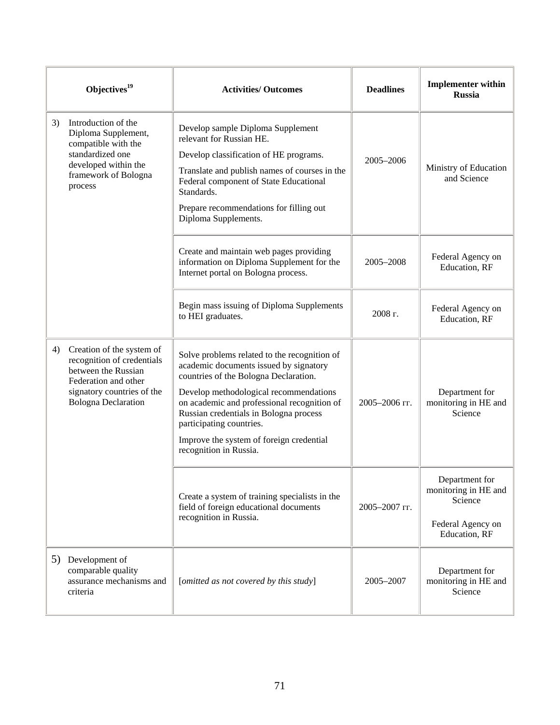|    | Objectives <sup>19</sup>                                                                                                                                           | <b>Activities/Outcomes</b>                                                                                                                                                                                                                                                                                                                                           | <b>Deadlines</b> | <b>Implementer within</b><br><b>Russia</b>                                              |
|----|--------------------------------------------------------------------------------------------------------------------------------------------------------------------|----------------------------------------------------------------------------------------------------------------------------------------------------------------------------------------------------------------------------------------------------------------------------------------------------------------------------------------------------------------------|------------------|-----------------------------------------------------------------------------------------|
| 3) | Introduction of the<br>Diploma Supplement,<br>compatible with the<br>standardized one<br>developed within the<br>framework of Bologna<br>process                   | Develop sample Diploma Supplement<br>relevant for Russian HE.<br>Develop classification of HE programs.<br>Translate and publish names of courses in the<br>Federal component of State Educational<br>Standards.<br>Prepare recommendations for filling out<br>Diploma Supplements.                                                                                  | 2005-2006        | Ministry of Education<br>and Science                                                    |
|    |                                                                                                                                                                    | Create and maintain web pages providing<br>information on Diploma Supplement for the<br>Internet portal on Bologna process.                                                                                                                                                                                                                                          | 2005-2008        | Federal Agency on<br>Education, RF                                                      |
|    |                                                                                                                                                                    | Begin mass issuing of Diploma Supplements<br>to HEI graduates.                                                                                                                                                                                                                                                                                                       | 2008 г.          | Federal Agency on<br>Education, RF                                                      |
| 4) | Creation of the system of<br>recognition of credentials<br>between the Russian<br>Federation and other<br>signatory countries of the<br><b>Bologna Declaration</b> | Solve problems related to the recognition of<br>academic documents issued by signatory<br>countries of the Bologna Declaration.<br>Develop methodological recommendations<br>on academic and professional recognition of<br>Russian credentials in Bologna process<br>participating countries.<br>Improve the system of foreign credential<br>recognition in Russia. | 2005-2006 гг.    | Department for<br>monitoring in HE and<br>Science                                       |
|    |                                                                                                                                                                    | Create a system of training specialists in the<br>field of foreign educational documents<br>recognition in Russia.                                                                                                                                                                                                                                                   | 2005-2007 гг.    | Department for<br>monitoring in HE and<br>Science<br>Federal Agency on<br>Education, RF |
|    | 5) Development of<br>comparable quality<br>assurance mechanisms and<br>criteria                                                                                    | [omitted as not covered by this study]                                                                                                                                                                                                                                                                                                                               | 2005-2007        | Department for<br>monitoring in HE and<br>Science                                       |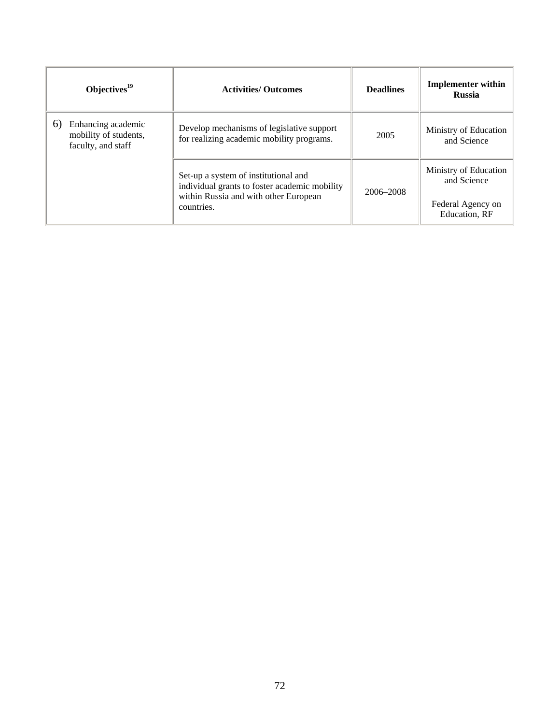| Objectives $19$                                                         | <b>Activities/ Outcomes</b>                                                            | <b>Deadlines</b> | <b>Implementer within</b><br><b>Russia</b> |
|-------------------------------------------------------------------------|----------------------------------------------------------------------------------------|------------------|--------------------------------------------|
| Enhancing academic<br>6)<br>mobility of students,<br>faculty, and staff | Develop mechanisms of legislative support<br>for realizing academic mobility programs. | 2005             | Ministry of Education<br>and Science       |
|                                                                         | Set-up a system of institutional and<br>individual grants to foster academic mobility  | 2006-2008        | Ministry of Education<br>and Science       |
|                                                                         | within Russia and with other European<br>countries.                                    |                  | Federal Agency on<br>Education, RF         |